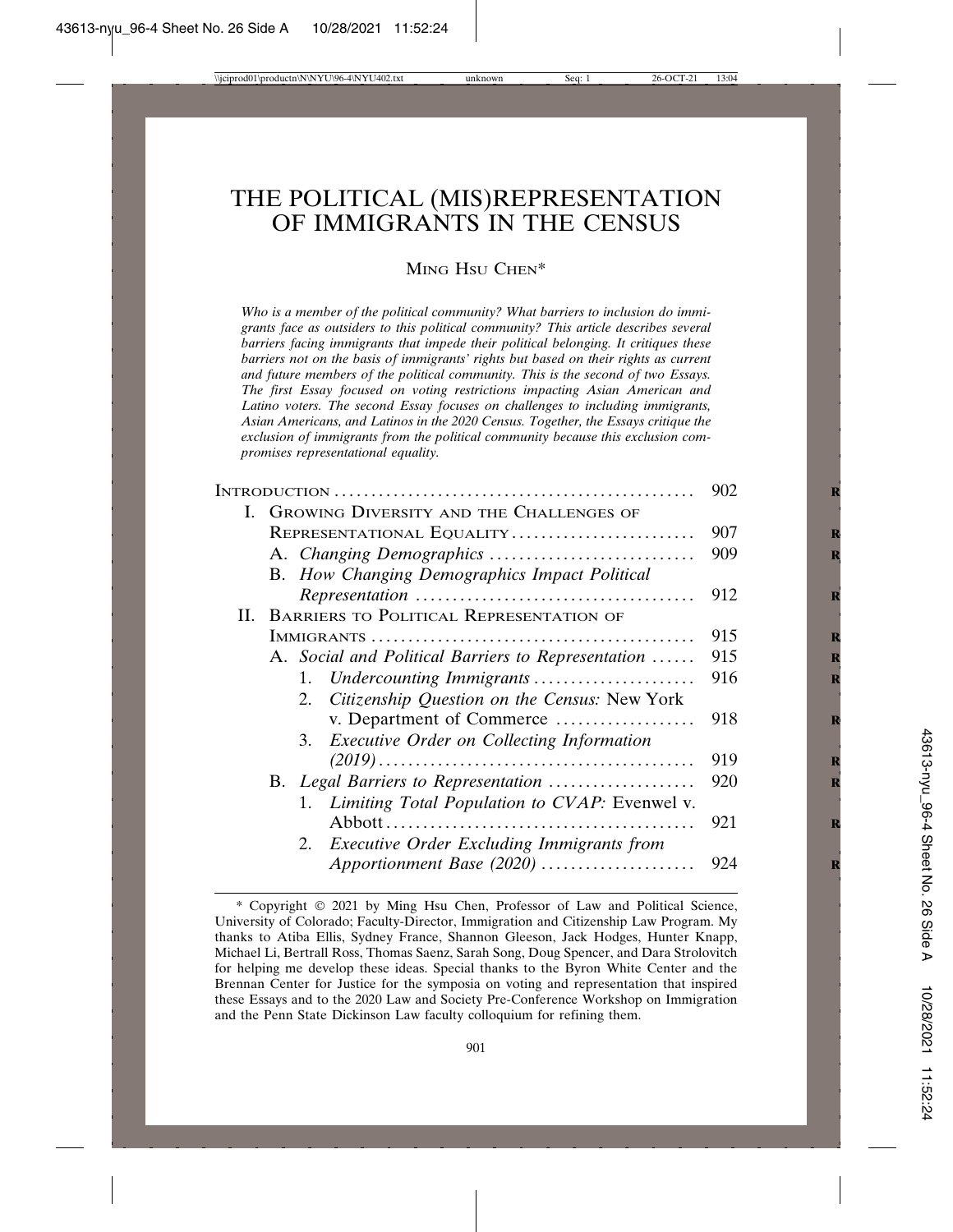# THE POLITICAL (MIS)REPRESENTATION OF IMMIGRANTS IN THE CENSUS

MING HSU CHEN\*

*Who is a member of the political community? What barriers to inclusion do immigrants face as outsiders to this political community? This article describes several barriers facing immigrants that impede their political belonging. It critiques these barriers not on the basis of immigrants' rights but based on their rights as current and future members of the political community. This is the second of two Essays. The first Essay focused on voting restrictions impacting Asian American and Latino voters. The second Essay focuses on challenges to including immigrants, Asian Americans, and Latinos in the 2020 Census. Together, the Essays critique the exclusion of immigrants from the political community because this exclusion compromises representational equality.*

|    | 902                                                    |     |
|----|--------------------------------------------------------|-----|
| L. | GROWING DIVERSITY AND THE CHALLENGES OF                |     |
|    | REPRESENTATIONAL EQUALITY                              | 907 |
|    |                                                        | 909 |
|    | B. How Changing Demographics Impact Political          |     |
|    |                                                        | 912 |
| Н. | BARRIERS TO POLITICAL REPRESENTATION OF                |     |
|    |                                                        | 915 |
|    | A. Social and Political Barriers to Representation     | 915 |
|    | 1. Undercounting Immigrants                            | 916 |
|    | Citizenship Question on the Census: New York<br>2.     |     |
|    | v. Department of Commerce                              | 918 |
|    | 3. Executive Order on Collecting Information           |     |
|    |                                                        | 919 |
|    | B. Legal Barriers to Representation                    | 920 |
|    | 1. Limiting Total Population to CVAP: Evenwel v.       |     |
|    |                                                        | 921 |
|    | <b>Executive Order Excluding Immigrants from</b><br>2. |     |
|    | Apportionment Base (2020)                              | 924 |

<sup>\*</sup> Copyright © 2021 by Ming Hsu Chen, Professor of Law and Political Science, University of Colorado; Faculty-Director, Immigration and Citizenship Law Program. My thanks to Atiba Ellis, Sydney France, Shannon Gleeson, Jack Hodges, Hunter Knapp, Michael Li, Bertrall Ross, Thomas Saenz, Sarah Song, Doug Spencer, and Dara Strolovitch for helping me develop these ideas. Special thanks to the Byron White Center and the Brennan Center for Justice for the symposia on voting and representation that inspired these Essays and to the 2020 Law and Society Pre-Conference Workshop on Immigration and the Penn State Dickinson Law faculty colloquium for refining them.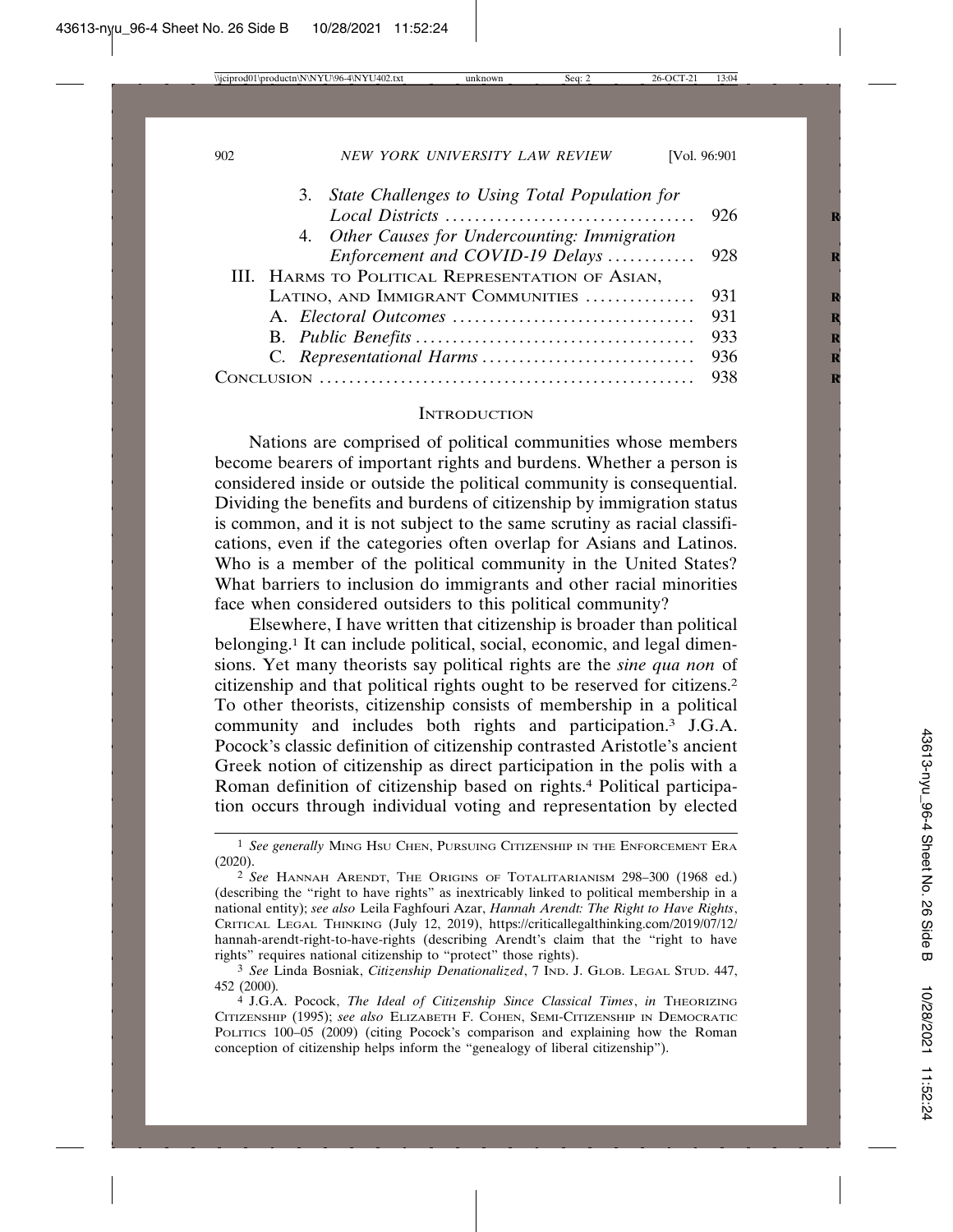| 3. State Challenges to Using Total Population for |  |
|---------------------------------------------------|--|
|                                                   |  |
| 4. Other Causes for Undercounting: Immigration    |  |
|                                                   |  |
| III. HARMS TO POLITICAL REPRESENTATION OF ASIAN,  |  |
| LATINO, AND IMMIGRANT COMMUNITIES  931            |  |
|                                                   |  |
|                                                   |  |
|                                                   |  |
| Cor                                               |  |
|                                                   |  |

### **INTRODUCTION**

Nations are comprised of political communities whose members become bearers of important rights and burdens. Whether a person is considered inside or outside the political community is consequential. Dividing the benefits and burdens of citizenship by immigration status is common, and it is not subject to the same scrutiny as racial classifications, even if the categories often overlap for Asians and Latinos. Who is a member of the political community in the United States? What barriers to inclusion do immigrants and other racial minorities face when considered outsiders to this political community?

Elsewhere, I have written that citizenship is broader than political belonging.1 It can include political, social, economic, and legal dimensions. Yet many theorists say political rights are the *sine qua non* of citizenship and that political rights ought to be reserved for citizens.2 To other theorists, citizenship consists of membership in a political community and includes both rights and participation.3 J.G.A. Pocock's classic definition of citizenship contrasted Aristotle's ancient Greek notion of citizenship as direct participation in the polis with a Roman definition of citizenship based on rights.4 Political participation occurs through individual voting and representation by elected

<sup>1</sup> *See generally* MING HSU CHEN, PURSUING CITIZENSHIP IN THE ENFORCEMENT ERA (2020).

<sup>2</sup> *See* HANNAH ARENDT, THE ORIGINS OF TOTALITARIANISM 298–300 (1968 ed.) (describing the "right to have rights" as inextricably linked to political membership in a national entity); *see also* Leila Faghfouri Azar, *Hannah Arendt: The Right to Have Rights*, CRITICAL LEGAL THINKING (July 12, 2019), https://criticallegalthinking.com/2019/07/12/ hannah-arendt-right-to-have-rights (describing Arendt's claim that the "right to have rights" requires national citizenship to "protect" those rights).

<sup>3</sup> *See* Linda Bosniak, *Citizenship Denationalized*, 7 IND. J. GLOB. LEGAL STUD. 447, 452 (2000)*.*

<sup>4</sup> J.G.A. Pocock, *The Ideal of Citizenship Since Classical Times*, *in* THEORIZING CITIZENSHIP (1995); *see also* ELIZABETH F. COHEN, SEMI-CITIZENSHIP IN DEMOCRATIC POLITICS 100-05 (2009) (citing Pocock's comparison and explaining how the Roman conception of citizenship helps inform the "genealogy of liberal citizenship").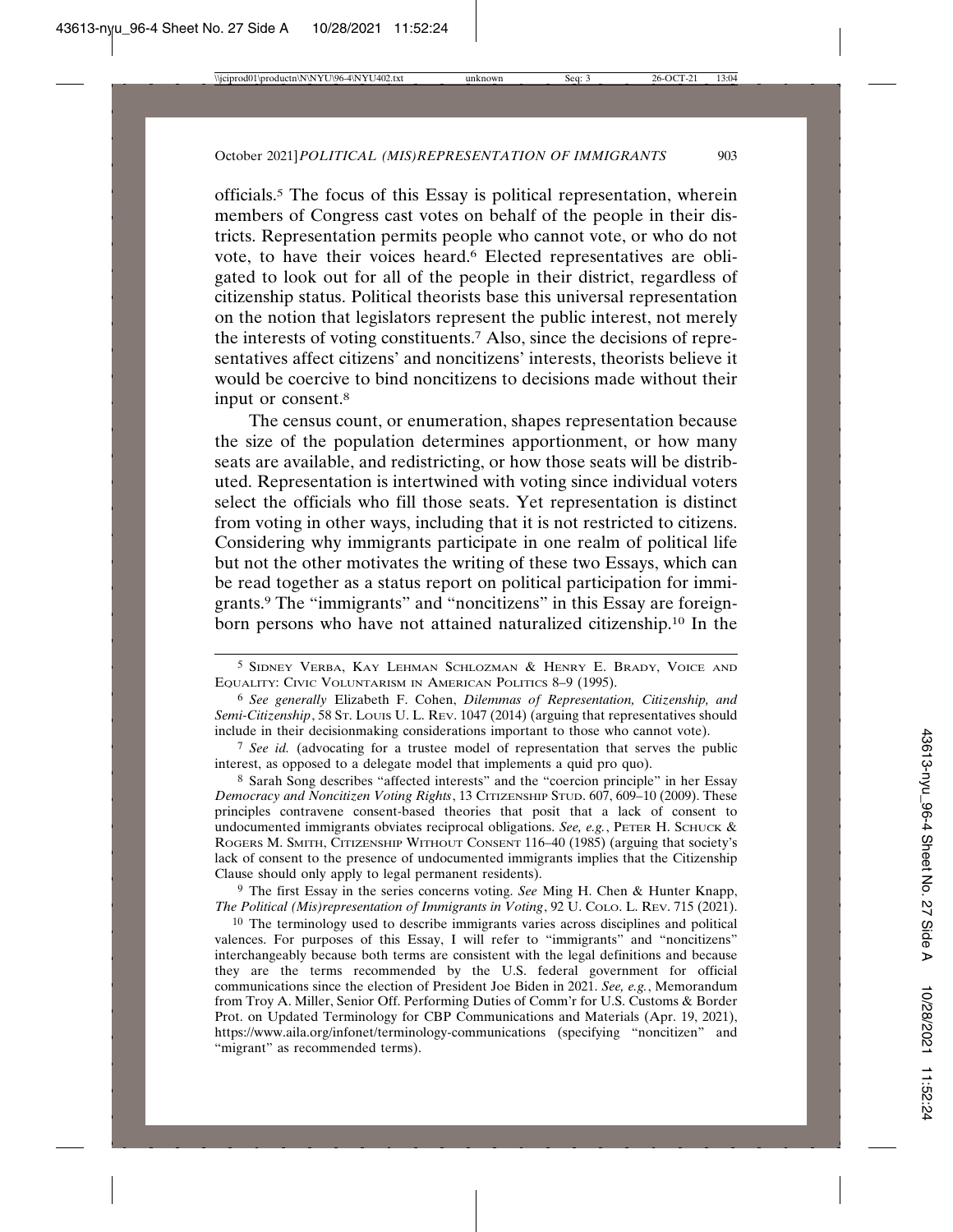officials.5 The focus of this Essay is political representation, wherein members of Congress cast votes on behalf of the people in their districts. Representation permits people who cannot vote, or who do not vote, to have their voices heard.6 Elected representatives are obligated to look out for all of the people in their district, regardless of citizenship status. Political theorists base this universal representation on the notion that legislators represent the public interest, not merely the interests of voting constituents.7 Also, since the decisions of representatives affect citizens' and noncitizens' interests, theorists believe it would be coercive to bind noncitizens to decisions made without their input or consent.8

The census count, or enumeration, shapes representation because the size of the population determines apportionment, or how many seats are available, and redistricting, or how those seats will be distributed. Representation is intertwined with voting since individual voters select the officials who fill those seats. Yet representation is distinct from voting in other ways, including that it is not restricted to citizens. Considering why immigrants participate in one realm of political life but not the other motivates the writing of these two Essays, which can be read together as a status report on political participation for immigrants.9 The "immigrants" and "noncitizens" in this Essay are foreignborn persons who have not attained naturalized citizenship.10 In the

6 *See generally* Elizabeth F. Cohen, *Dilemmas of Representation, Citizenship, and Semi-Citizenship*, 58 ST. LOUIS U. L. REV. 1047 (2014) (arguing that representatives should include in their decisionmaking considerations important to those who cannot vote).

7 *See id.* (advocating for a trustee model of representation that serves the public interest, as opposed to a delegate model that implements a quid pro quo).

8 Sarah Song describes "affected interests" and the "coercion principle" in her Essay *Democracy and Noncitizen Voting Rights*, 13 CITIZENSHIP STUD. 607, 609–10 (2009). These principles contravene consent-based theories that posit that a lack of consent to undocumented immigrants obviates reciprocal obligations. *See, e.g.*, PETER H. SCHUCK & ROGERS M. SMITH, CITIZENSHIP WITHOUT CONSENT 116–40 (1985) (arguing that society's lack of consent to the presence of undocumented immigrants implies that the Citizenship Clause should only apply to legal permanent residents).

9 The first Essay in the series concerns voting. *See* Ming H. Chen & Hunter Knapp, *The Political (Mis)representation of Immigrants in Voting*, 92 U. COLO. L. REV. 715 (2021).

<sup>10</sup> The terminology used to describe immigrants varies across disciplines and political valences. For purposes of this Essay, I will refer to "immigrants" and "noncitizens" interchangeably because both terms are consistent with the legal definitions and because they are the terms recommended by the U.S. federal government for official communications since the election of President Joe Biden in 2021. *See, e.g.*, Memorandum from Troy A. Miller, Senior Off. Performing Duties of Comm'r for U.S. Customs & Border Prot. on Updated Terminology for CBP Communications and Materials (Apr. 19, 2021), https://www.aila.org/infonet/terminology-communications (specifying "noncitizen" and "migrant" as recommended terms).

<sup>5</sup> SIDNEY VERBA, KAY LEHMAN SCHLOZMAN & HENRY E. BRADY, VOICE AND EQUALITY: CIVIC VOLUNTARISM IN AMERICAN POLITICS 8–9 (1995).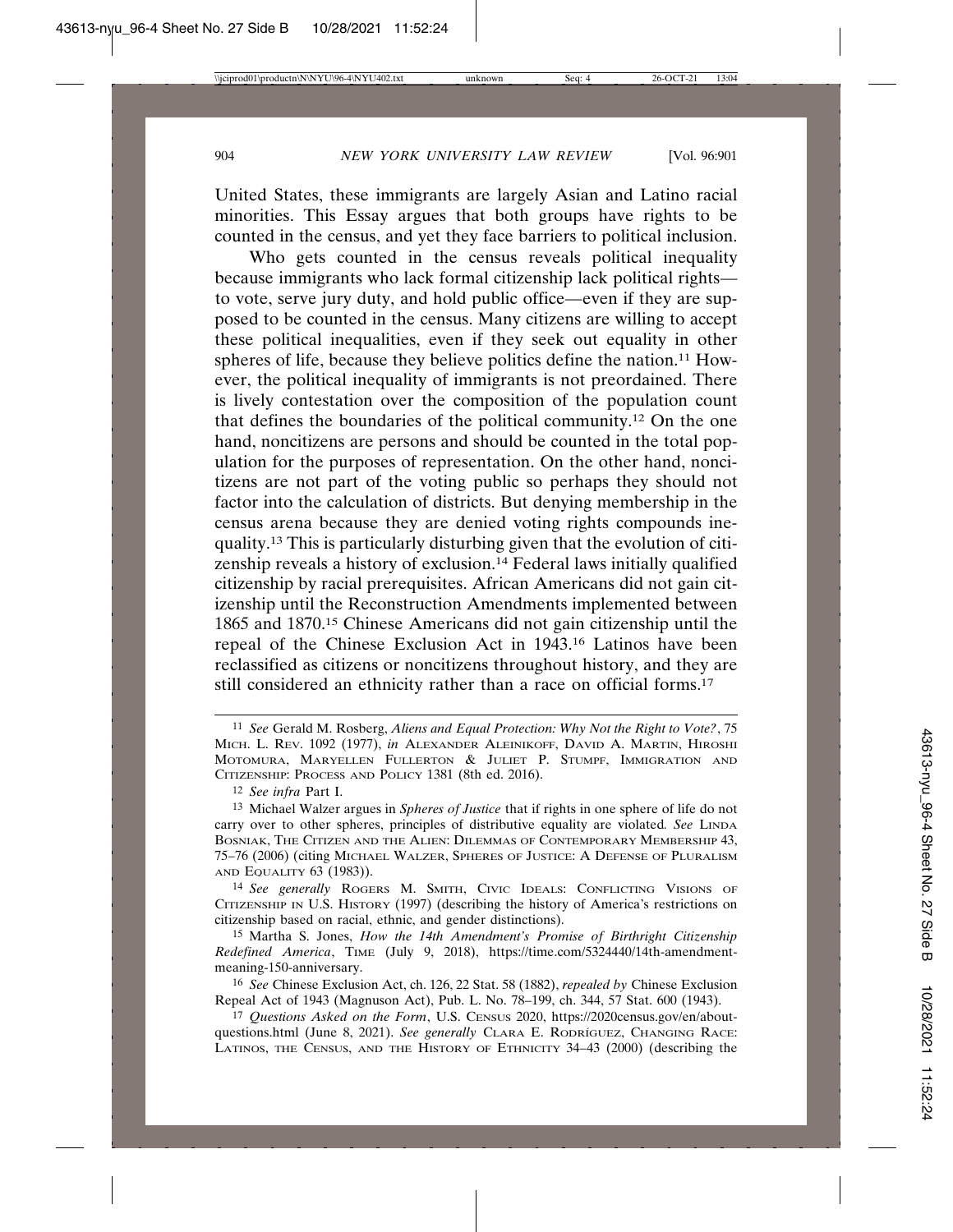United States, these immigrants are largely Asian and Latino racial minorities. This Essay argues that both groups have rights to be counted in the census, and yet they face barriers to political inclusion.

Who gets counted in the census reveals political inequality because immigrants who lack formal citizenship lack political rights to vote, serve jury duty, and hold public office—even if they are supposed to be counted in the census. Many citizens are willing to accept these political inequalities, even if they seek out equality in other spheres of life, because they believe politics define the nation.<sup>11</sup> However, the political inequality of immigrants is not preordained. There is lively contestation over the composition of the population count that defines the boundaries of the political community.12 On the one hand, noncitizens are persons and should be counted in the total population for the purposes of representation. On the other hand, noncitizens are not part of the voting public so perhaps they should not factor into the calculation of districts. But denying membership in the census arena because they are denied voting rights compounds inequality.13 This is particularly disturbing given that the evolution of citizenship reveals a history of exclusion.14 Federal laws initially qualified citizenship by racial prerequisites. African Americans did not gain citizenship until the Reconstruction Amendments implemented between 1865 and 1870.15 Chinese Americans did not gain citizenship until the repeal of the Chinese Exclusion Act in 1943.16 Latinos have been reclassified as citizens or noncitizens throughout history, and they are still considered an ethnicity rather than a race on official forms.17

12 *See infra* Part I.

14 *See generally* ROGERS M. SMITH, CIVIC IDEALS: CONFLICTING VISIONS OF CITIZENSHIP IN U.S. HISTORY (1997) (describing the history of America's restrictions on citizenship based on racial, ethnic, and gender distinctions).

15 Martha S. Jones, *How the 14th Amendment's Promise of Birthright Citizenship Redefined America*, TIME (July 9, 2018), https://time.com/5324440/14th-amendmentmeaning-150-anniversary.

16 *See* Chinese Exclusion Act, ch. 126, 22 Stat. 58 (1882), *repealed by* Chinese Exclusion Repeal Act of 1943 (Magnuson Act), Pub. L. No. 78–199, ch. 344, 57 Stat. 600 (1943).

17 *Questions Asked on the Form*, U.S. CENSUS 2020, https://2020census.gov/en/aboutquestions.html (June 8, 2021). *See generally* CLARA E. RODRÍGUEZ, CHANGING RACE: LATINOS, THE CENSUS, AND THE HISTORY OF ETHNICITY 34–43 (2000) (describing the

<sup>11</sup> *See* Gerald M. Rosberg, *Aliens and Equal Protection: Why Not the Right to Vote?*, 75 MICH. L. REV. 1092 (1977), *in* ALEXANDER ALEINIKOFF, DAVID A. MARTIN, HIROSHI MOTOMURA, MARYELLEN FULLERTON & JULIET P. STUMPF, IMMIGRATION AND CITIZENSHIP: PROCESS AND POLICY 1381 (8th ed. 2016).

<sup>13</sup> Michael Walzer argues in *Spheres of Justice* that if rights in one sphere of life do not carry over to other spheres, principles of distributive equality are violated*. See* LINDA BOSNIAK, THE CITIZEN AND THE ALIEN: DILEMMAS OF CONTEMPORARY MEMBERSHIP 43, 75–76 (2006) (citing MICHAEL WALZER, SPHERES OF JUSTICE: A DEFENSE OF PLURALISM AND EQUALITY 63 (1983)).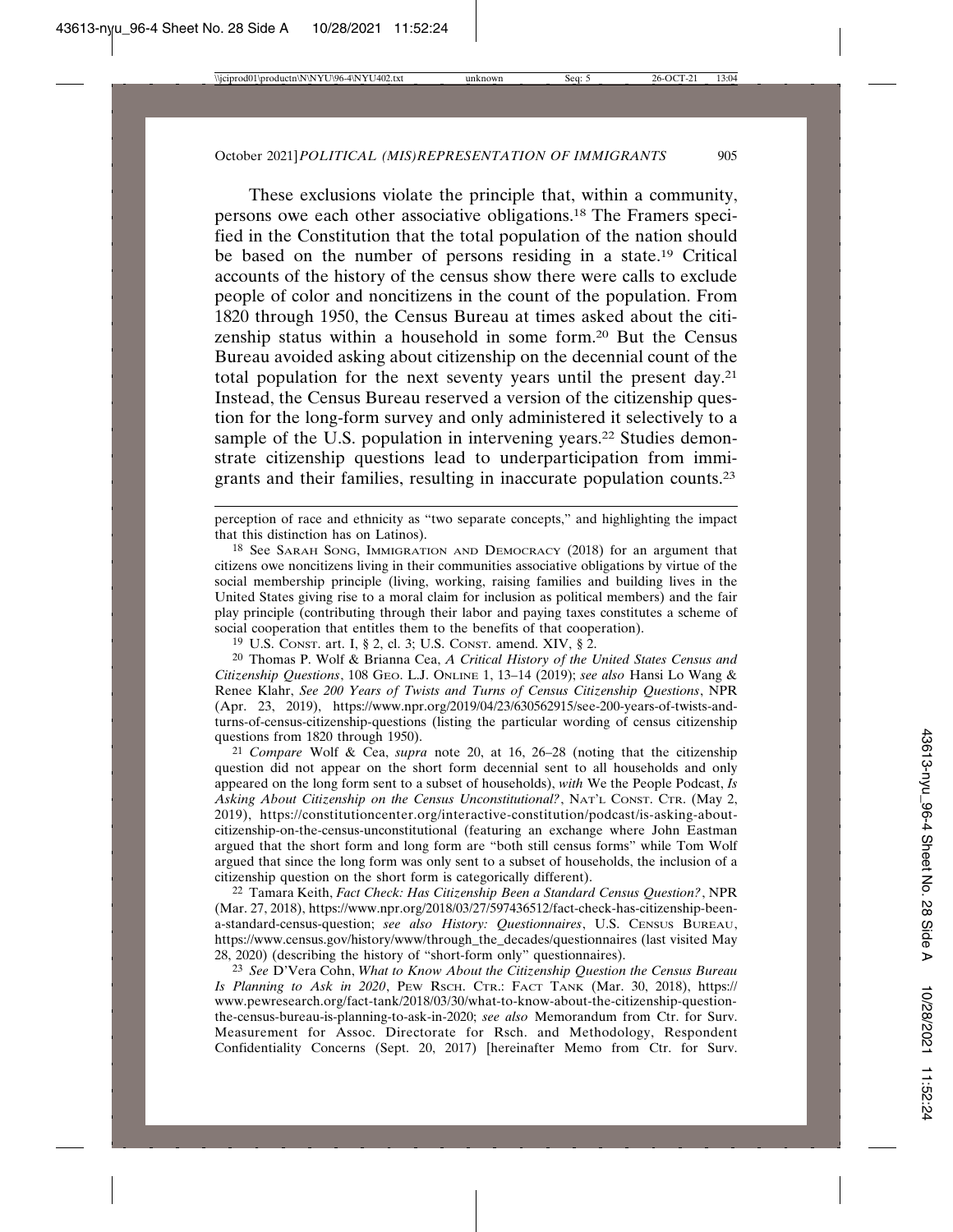These exclusions violate the principle that, within a community, persons owe each other associative obligations.18 The Framers specified in the Constitution that the total population of the nation should be based on the number of persons residing in a state.19 Critical accounts of the history of the census show there were calls to exclude people of color and noncitizens in the count of the population. From 1820 through 1950, the Census Bureau at times asked about the citizenship status within a household in some form.20 But the Census Bureau avoided asking about citizenship on the decennial count of the total population for the next seventy years until the present day.21 Instead, the Census Bureau reserved a version of the citizenship question for the long-form survey and only administered it selectively to a sample of the U.S. population in intervening years.<sup>22</sup> Studies demonstrate citizenship questions lead to underparticipation from immigrants and their families, resulting in inaccurate population counts.23

perception of race and ethnicity as "two separate concepts," and highlighting the impact that this distinction has on Latinos).

18 See SARAH SONG, IMMIGRATION AND DEMOCRACY (2018) for an argument that citizens owe noncitizens living in their communities associative obligations by virtue of the social membership principle (living, working, raising families and building lives in the United States giving rise to a moral claim for inclusion as political members) and the fair play principle (contributing through their labor and paying taxes constitutes a scheme of social cooperation that entitles them to the benefits of that cooperation).

19 U.S. CONST. art. I, § 2, cl. 3; U.S. CONST. amend. XIV, § 2.

20 Thomas P. Wolf & Brianna Cea, *A Critical History of the United States Census and Citizenship Questions*, 108 GEO. L.J. ONLINE 1, 13–14 (2019); *see also* Hansi Lo Wang & Renee Klahr, *See 200 Years of Twists and Turns of Census Citizenship Questions*, NPR (Apr. 23, 2019), https://www.npr.org/2019/04/23/630562915/see-200-years-of-twists-andturns-of-census-citizenship-questions (listing the particular wording of census citizenship questions from 1820 through 1950).

21 *Compare* Wolf & Cea, *supra* note 20, at 16, 26–28 (noting that the citizenship question did not appear on the short form decennial sent to all households and only appeared on the long form sent to a subset of households), *with* We the People Podcast, *Is Asking About Citizenship on the Census Unconstitutional?*, NAT'L CONST. CTR. (May 2, 2019), https://constitutioncenter.org/interactive-constitution/podcast/is-asking-aboutcitizenship-on-the-census-unconstitutional (featuring an exchange where John Eastman argued that the short form and long form are "both still census forms" while Tom Wolf argued that since the long form was only sent to a subset of households, the inclusion of a citizenship question on the short form is categorically different).

22 Tamara Keith, *Fact Check: Has Citizenship Been a Standard Census Question?*, NPR (Mar. 27, 2018), https://www.npr.org/2018/03/27/597436512/fact-check-has-citizenship-beena-standard-census-question; *see also History: Questionnaires*, U.S. CENSUS BUREAU, https://www.census.gov/history/www/through\_the\_decades/questionnaires (last visited May 28, 2020) (describing the history of "short-form only" questionnaires).

23 *See* D'Vera Cohn, *What to Know About the Citizenship Question the Census Bureau Is Planning to Ask in 2020*, PEW RSCH. CTR.: FACT TANK (Mar. 30, 2018), https:// www.pewresearch.org/fact-tank/2018/03/30/what-to-know-about-the-citizenship-questionthe-census-bureau-is-planning-to-ask-in-2020; *see also* Memorandum from Ctr. for Surv. Measurement for Assoc. Directorate for Rsch. and Methodology, Respondent Confidentiality Concerns (Sept. 20, 2017) [hereinafter Memo from Ctr. for Surv.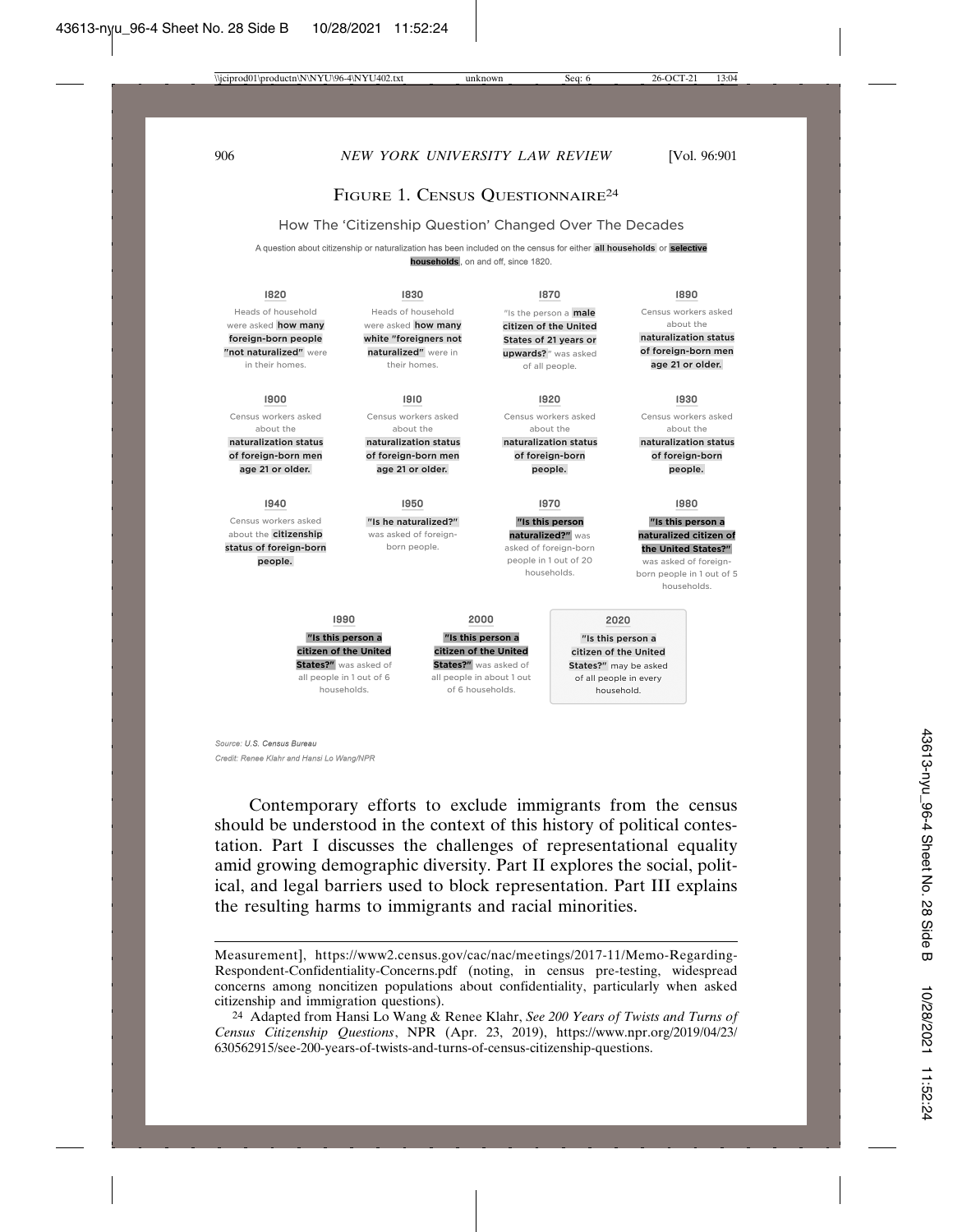## FIGURE 1. CENSUS QUESTIONNAIRE<sup>24</sup>

## How The 'Citizenship Question' Changed Over The Decades

A question about citizenship or naturalization has been included on the census for either all households or selective **households**, on and off, since 1820.

#### 1820

Heads of household were asked how many foreign-born people "not naturalized" were in their homes.

#### 1900

Census workers asked about the naturalization status of foreign-born men age 21 or older.

#### 1940

Census workers asked about the citizenship status of foreign-born people.

#### 1830

Heads of household were asked how many white "foreigners not naturalized" were in their homes.

1910 Census workers asked about the

naturalization status of foreign-born men age 21 or older.

#### 1950

"Is he naturalized?" was asked of foreignborn people.

#### 1870

"Is the person a **male** citizen of the United States of 21 years or upwards?" was asked of all people.

1920 Census workers asked

ahout the naturalization status of foreign-born

people.

#### 1970

"Is this person naturalized?" was asked of foreign-born people in 1 out of 20 households.

#### 1890

Census workers asked about the

naturalization status of foreign-born men age 21 or older.

#### 1930

Census workers asked about the naturalization status

of foreign-born people.

#### 1980

"Is this person a naturalized citizen of the United States?" was asked of foreignborn people in 1 out of 5 households.

#### "Is this person a citizen of the United States?" was asked of all people in 1 out of 6

1990

households.

"Is this person a citizen of the United States?" was asked of all people in about 1 out of 6 households.

2000

#### 2020

"Is this person a citizen of the United States?" may be asked of all people in every household.

#### Source: U.S. Census Bureau Credit: Renee Klahr and Hansi Lo Wang/NPR

Contemporary efforts to exclude immigrants from the census should be understood in the context of this history of political contestation. Part I discusses the challenges of representational equality amid growing demographic diversity. Part II explores the social, political, and legal barriers used to block representation. Part III explains the resulting harms to immigrants and racial minorities.

Measurement], https://www2.census.gov/cac/nac/meetings/2017-11/Memo-Regarding-Respondent-Confidentiality-Concerns.pdf (noting, in census pre-testing, widespread concerns among noncitizen populations about confidentiality, particularly when asked citizenship and immigration questions).

<sup>24</sup> Adapted from Hansi Lo Wang & Renee Klahr, *See 200 Years of Twists and Turns of Census Citizenship Questions*, NPR (Apr. 23, 2019), https://www.npr.org/2019/04/23/ 630562915/see-200-years-of-twists-and-turns-of-census-citizenship-questions.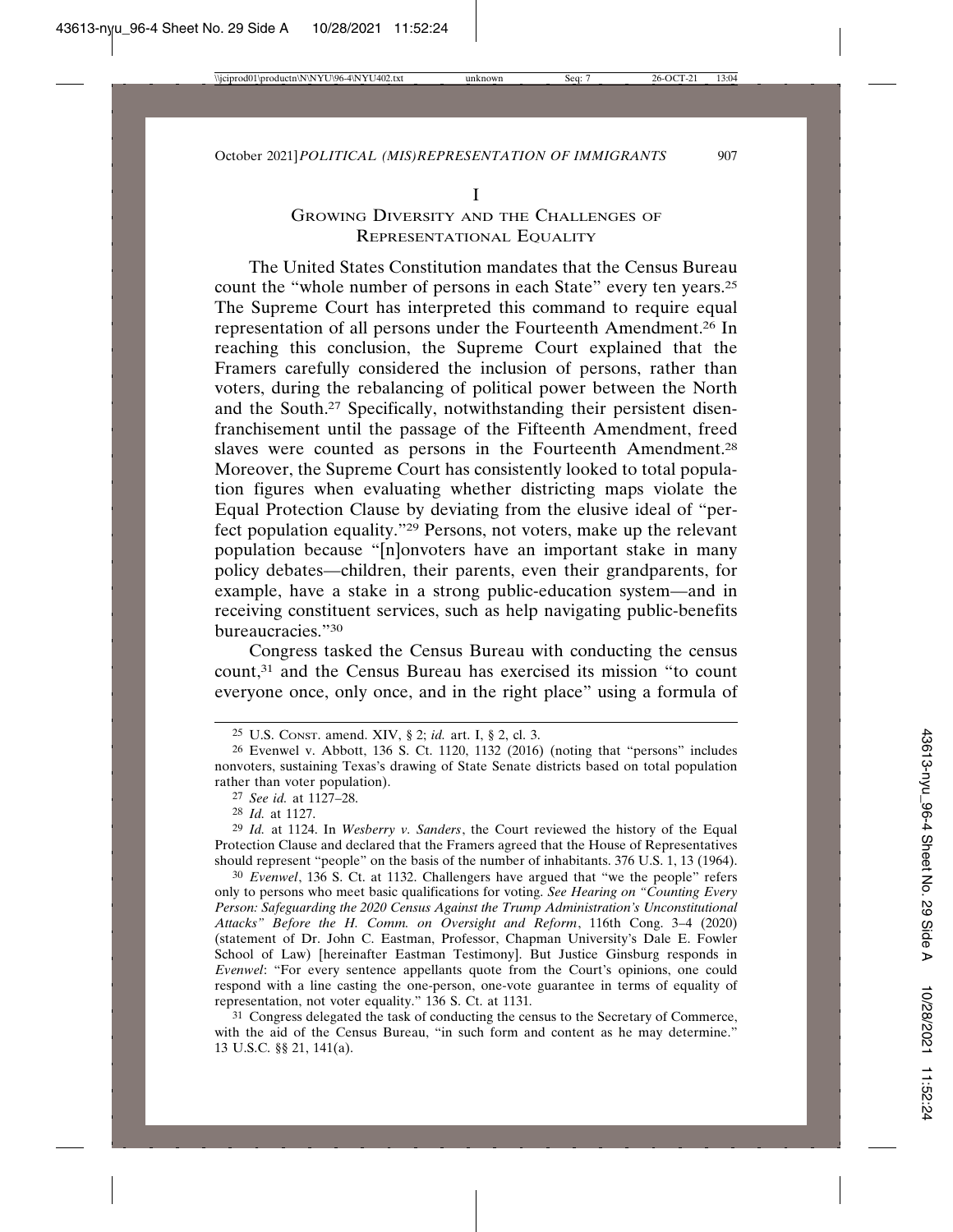# GROWING DIVERSITY AND THE CHALLENGES OF REPRESENTATIONAL EQUALITY

The United States Constitution mandates that the Census Bureau count the "whole number of persons in each State" every ten years.25 The Supreme Court has interpreted this command to require equal representation of all persons under the Fourteenth Amendment.26 In reaching this conclusion, the Supreme Court explained that the Framers carefully considered the inclusion of persons, rather than voters, during the rebalancing of political power between the North and the South.27 Specifically, notwithstanding their persistent disenfranchisement until the passage of the Fifteenth Amendment, freed slaves were counted as persons in the Fourteenth Amendment.<sup>28</sup> Moreover, the Supreme Court has consistently looked to total population figures when evaluating whether districting maps violate the Equal Protection Clause by deviating from the elusive ideal of "perfect population equality."29 Persons, not voters, make up the relevant population because "[n]onvoters have an important stake in many policy debates—children, their parents, even their grandparents, for example, have a stake in a strong public-education system—and in receiving constituent services, such as help navigating public-benefits bureaucracies."30

Congress tasked the Census Bureau with conducting the census count,31 and the Census Bureau has exercised its mission "to count everyone once, only once, and in the right place" using a formula of

31 Congress delegated the task of conducting the census to the Secretary of Commerce, with the aid of the Census Bureau, "in such form and content as he may determine." 13 U.S.C. §§ 21, 141(a).

<sup>25</sup> U.S. CONST. amend. XIV, § 2; *id.* art. I, § 2, cl. 3.

<sup>26</sup> Evenwel v. Abbott, 136 S. Ct. 1120, 1132 (2016) (noting that "persons" includes nonvoters, sustaining Texas's drawing of State Senate districts based on total population rather than voter population).

<sup>27</sup> *See id.* at 1127–28.

<sup>28</sup> *Id.* at 1127.

<sup>29</sup> *Id.* at 1124. In *Wesberry v. Sanders*, the Court reviewed the history of the Equal Protection Clause and declared that the Framers agreed that the House of Representatives should represent "people" on the basis of the number of inhabitants. 376 U.S. 1, 13 (1964).

<sup>30</sup> *Evenwel*, 136 S. Ct. at 1132. Challengers have argued that "we the people" refers only to persons who meet basic qualifications for voting. *See Hearing on "Counting Every Person: Safeguarding the 2020 Census Against the Trump Administration's Unconstitutional Attacks" Before the H. Comm. on Oversight and Reform*, 116th Cong. 3–4 (2020) (statement of Dr. John C. Eastman, Professor, Chapman University's Dale E. Fowler School of Law) [hereinafter Eastman Testimony]. But Justice Ginsburg responds in *Evenwel*: "For every sentence appellants quote from the Court's opinions, one could respond with a line casting the one-person, one-vote guarantee in terms of equality of representation, not voter equality." 136 S. Ct. at 1131*.*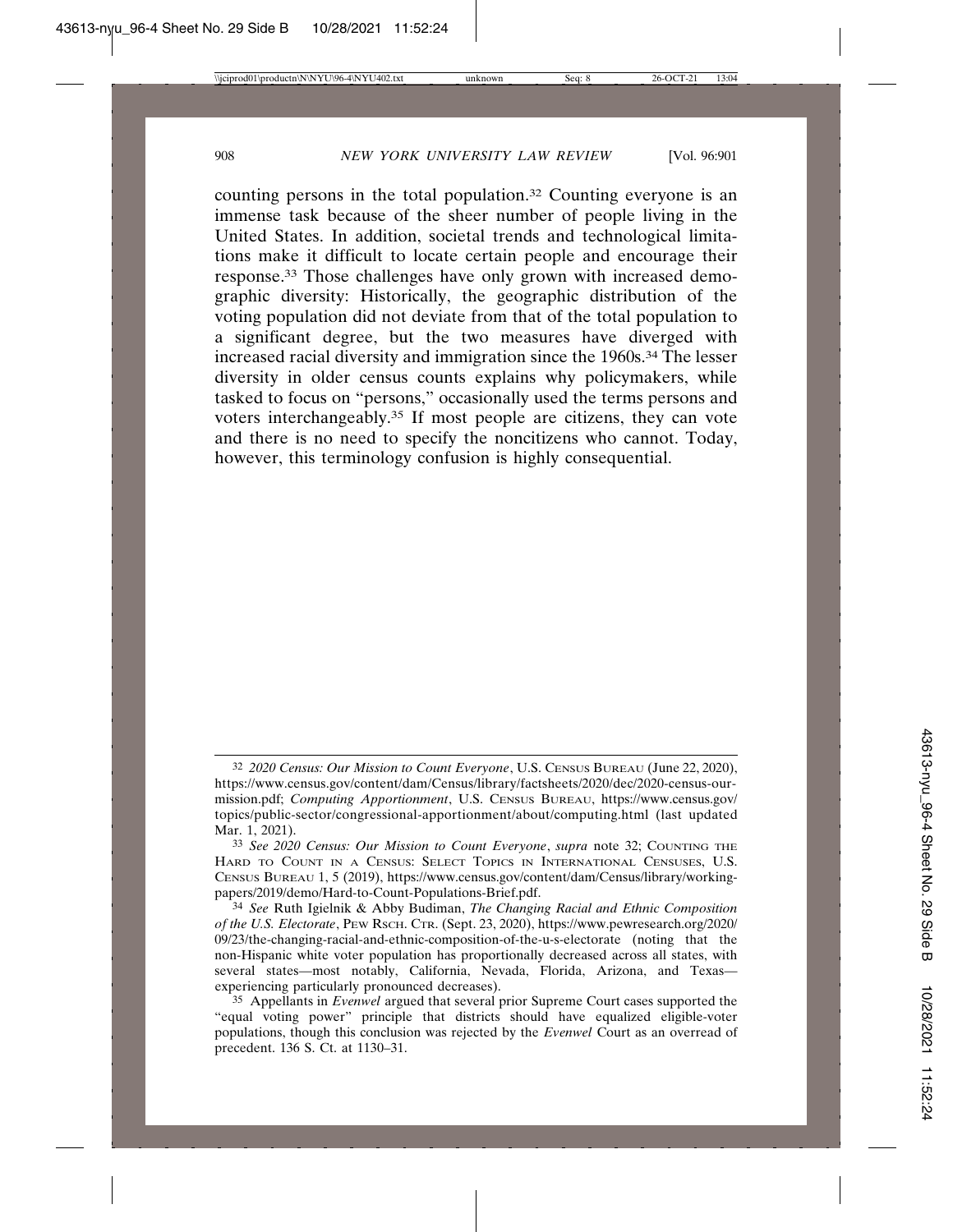counting persons in the total population.32 Counting everyone is an immense task because of the sheer number of people living in the United States. In addition, societal trends and technological limitations make it difficult to locate certain people and encourage their response.33 Those challenges have only grown with increased demographic diversity: Historically, the geographic distribution of the voting population did not deviate from that of the total population to a significant degree, but the two measures have diverged with increased racial diversity and immigration since the 1960s.34 The lesser diversity in older census counts explains why policymakers, while tasked to focus on "persons," occasionally used the terms persons and voters interchangeably.35 If most people are citizens, they can vote and there is no need to specify the noncitizens who cannot. Today, however, this terminology confusion is highly consequential.

<sup>32</sup> *2020 Census: Our Mission to Count Everyone*, U.S. CENSUS BUREAU (June 22, 2020), https://www.census.gov/content/dam/Census/library/factsheets/2020/dec/2020-census-ourmission.pdf; *Computing Apportionment*, U.S. CENSUS BUREAU, https://www.census.gov/ topics/public-sector/congressional-apportionment/about/computing.html (last updated Mar. 1, 2021).

<sup>33</sup> *See 2020 Census: Our Mission to Count Everyone*, *supra* note 32; COUNTING THE HARD TO COUNT IN A CENSUS: SELECT TOPICS IN INTERNATIONAL CENSUSES, U.S. CENSUS BUREAU 1, 5 (2019), https://www.census.gov/content/dam/Census/library/workingpapers/2019/demo/Hard-to-Count-Populations-Brief.pdf.

<sup>34</sup> *See* Ruth Igielnik & Abby Budiman, *The Changing Racial and Ethnic Composition of the U.S. Electorate*, PEW RSCH. CTR. (Sept. 23, 2020), https://www.pewresearch.org/2020/ 09/23/the-changing-racial-and-ethnic-composition-of-the-u-s-electorate (noting that the non-Hispanic white voter population has proportionally decreased across all states, with several states—most notably, California, Nevada, Florida, Arizona, and Texas experiencing particularly pronounced decreases).

<sup>35</sup> Appellants in *Evenwel* argued that several prior Supreme Court cases supported the "equal voting power" principle that districts should have equalized eligible-voter populations, though this conclusion was rejected by the *Evenwel* Court as an overread of precedent. 136 S. Ct. at 1130–31.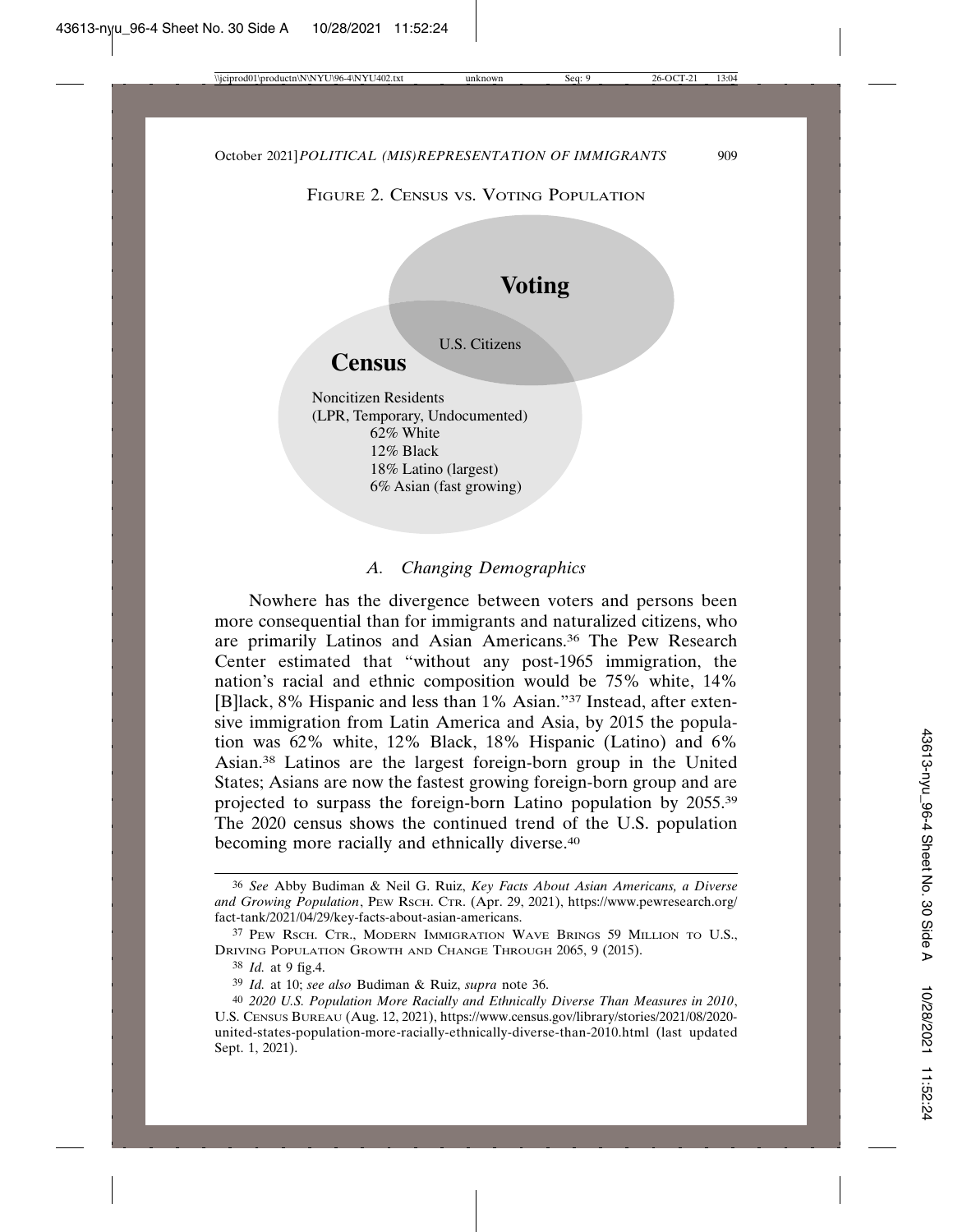FIGURE 2. CENSUS VS. VOTING POPULATION



## *A. Changing Demographics*

Nowhere has the divergence between voters and persons been more consequential than for immigrants and naturalized citizens, who are primarily Latinos and Asian Americans.36 The Pew Research Center estimated that "without any post-1965 immigration, the nation's racial and ethnic composition would be 75% white, 14% [B]lack, 8% Hispanic and less than 1% Asian."37 Instead, after extensive immigration from Latin America and Asia, by 2015 the population was 62% white, 12% Black, 18% Hispanic (Latino) and 6% Asian.38 Latinos are the largest foreign-born group in the United States; Asians are now the fastest growing foreign-born group and are projected to surpass the foreign-born Latino population by 2055.39 The 2020 census shows the continued trend of the U.S. population becoming more racially and ethnically diverse.<sup>40</sup>

<sup>36</sup> *See* Abby Budiman & Neil G. Ruiz, *Key Facts About Asian Americans, a Diverse and Growing Population*, PEW RSCH. CTR. (Apr. 29, 2021), https://www.pewresearch.org/ fact-tank/2021/04/29/key-facts-about-asian-americans.

<sup>37</sup> PEW RSCH. CTR., MODERN IMMIGRATION WAVE BRINGS 59 MILLION TO U.S., DRIVING POPULATION GROWTH AND CHANGE THROUGH 2065, 9 (2015).

<sup>38</sup> *Id.* at 9 fig.4.

<sup>39</sup> *Id.* at 10; *see also* Budiman & Ruiz, *supra* note 36.

<sup>40</sup> *2020 U.S. Population More Racially and Ethnically Diverse Than Measures in 2010*, U.S. CENSUS BUREAU (Aug. 12, 2021), https://www.census.gov/library/stories/2021/08/2020 united-states-population-more-racially-ethnically-diverse-than-2010.html (last updated Sept. 1, 2021).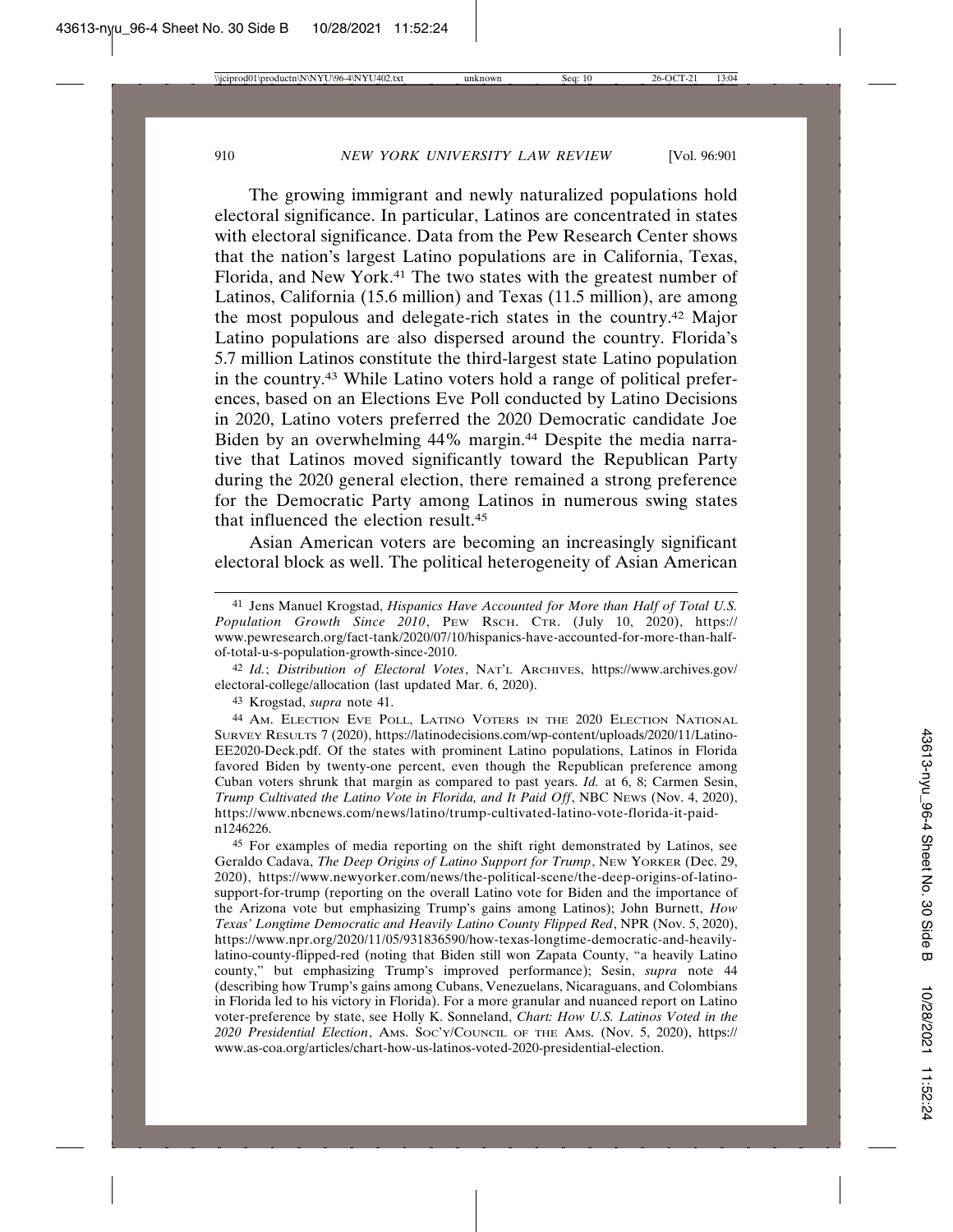The growing immigrant and newly naturalized populations hold electoral significance. In particular, Latinos are concentrated in states with electoral significance. Data from the Pew Research Center shows that the nation's largest Latino populations are in California, Texas, Florida, and New York.41 The two states with the greatest number of Latinos, California (15.6 million) and Texas (11.5 million), are among the most populous and delegate-rich states in the country.42 Major Latino populations are also dispersed around the country. Florida's 5.7 million Latinos constitute the third-largest state Latino population in the country.43 While Latino voters hold a range of political preferences, based on an Elections Eve Poll conducted by Latino Decisions in 2020, Latino voters preferred the 2020 Democratic candidate Joe Biden by an overwhelming 44% margin.<sup>44</sup> Despite the media narrative that Latinos moved significantly toward the Republican Party during the 2020 general election, there remained a strong preference for the Democratic Party among Latinos in numerous swing states that influenced the election result.45

Asian American voters are becoming an increasingly significant electoral block as well. The political heterogeneity of Asian American

42 *Id.*; *Distribution of Electoral Votes*, NAT'L ARCHIVES, https://www.archives.gov/ electoral-college/allocation (last updated Mar. 6, 2020).

43 Krogstad, *supra* note 41.

44 AM. ELECTION EVE POLL, LATINO VOTERS IN THE 2020 ELECTION NATIONAL SURVEY RESULTS 7 (2020), https://latinodecisions.com/wp-content/uploads/2020/11/Latino-EE2020-Deck.pdf. Of the states with prominent Latino populations, Latinos in Florida favored Biden by twenty-one percent, even though the Republican preference among Cuban voters shrunk that margin as compared to past years. *Id.* at 6, 8; Carmen Sesin, *Trump Cultivated the Latino Vote in Florida, and It Paid Off*, NBC NEWS (Nov. 4, 2020), https://www.nbcnews.com/news/latino/trump-cultivated-latino-vote-florida-it-paidn1246226.

45 For examples of media reporting on the shift right demonstrated by Latinos, see Geraldo Cadava, *The Deep Origins of Latino Support for Trump*, NEW YORKER (Dec. 29, 2020), https://www.newyorker.com/news/the-political-scene/the-deep-origins-of-latinosupport-for-trump (reporting on the overall Latino vote for Biden and the importance of the Arizona vote but emphasizing Trump's gains among Latinos); John Burnett, *How Texas' Longtime Democratic and Heavily Latino County Flipped Red*, NPR (Nov. 5, 2020), https://www.npr.org/2020/11/05/931836590/how-texas-longtime-democratic-and-heavilylatino-county-flipped-red (noting that Biden still won Zapata County, "a heavily Latino county," but emphasizing Trump's improved performance); Sesin, *supra* note 44 (describing how Trump's gains among Cubans, Venezuelans, Nicaraguans, and Colombians in Florida led to his victory in Florida). For a more granular and nuanced report on Latino voter-preference by state, see Holly K. Sonneland, *Chart: How U.S. Latinos Voted in the 2020 Presidential Election*, AMS. SOC'Y/COUNCIL OF THE AMS. (Nov. 5, 2020), https:// www.as-coa.org/articles/chart-how-us-latinos-voted-2020-presidential-election.

<sup>41</sup> Jens Manuel Krogstad, *Hispanics Have Accounted for More than Half of Total U.S. Population Growth Since 2010*, PEW RSCH. CTR. (July 10, 2020), https:// www.pewresearch.org/fact-tank/2020/07/10/hispanics-have-accounted-for-more-than-halfof-total-u-s-population-growth-since-2010.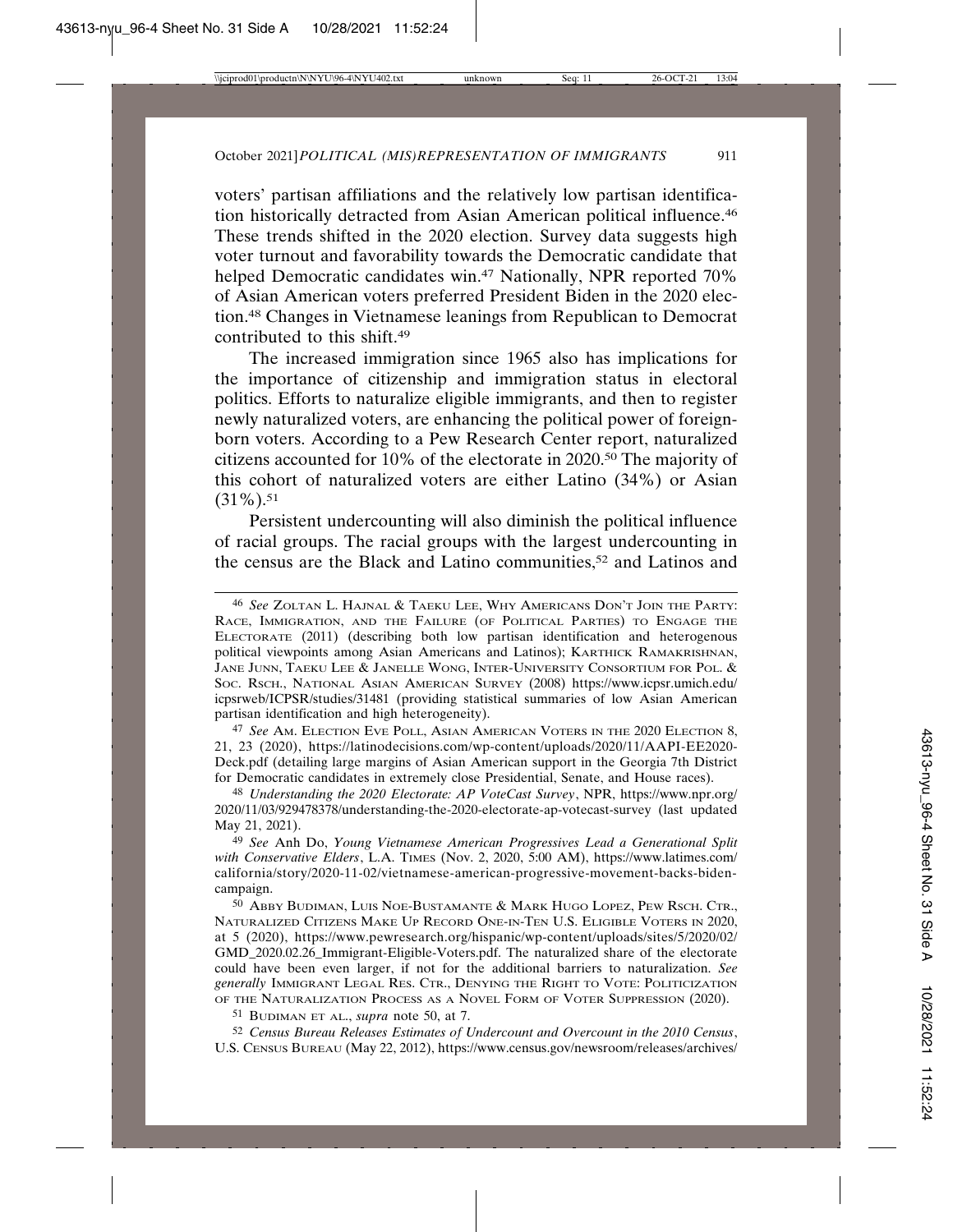voters' partisan affiliations and the relatively low partisan identification historically detracted from Asian American political influence.46 These trends shifted in the 2020 election. Survey data suggests high voter turnout and favorability towards the Democratic candidate that helped Democratic candidates win.<sup>47</sup> Nationally, NPR reported 70% of Asian American voters preferred President Biden in the 2020 election.48 Changes in Vietnamese leanings from Republican to Democrat contributed to this shift.49

The increased immigration since 1965 also has implications for the importance of citizenship and immigration status in electoral politics. Efforts to naturalize eligible immigrants, and then to register newly naturalized voters, are enhancing the political power of foreignborn voters. According to a Pew Research Center report, naturalized citizens accounted for 10% of the electorate in 2020.50 The majority of this cohort of naturalized voters are either Latino (34%) or Asian  $(31\%)$ .<sup>51</sup>

Persistent undercounting will also diminish the political influence of racial groups. The racial groups with the largest undercounting in the census are the Black and Latino communities,<sup>52</sup> and Latinos and

47 *See* AM. ELECTION EVE POLL, ASIAN AMERICAN VOTERS IN THE 2020 ELECTION 8, 21, 23 (2020), https://latinodecisions.com/wp-content/uploads/2020/11/AAPI-EE2020- Deck.pdf (detailing large margins of Asian American support in the Georgia 7th District for Democratic candidates in extremely close Presidential, Senate, and House races).

48 *Understanding the 2020 Electorate: AP VoteCast Survey*, NPR, https://www.npr.org/ 2020/11/03/929478378/understanding-the-2020-electorate-ap-votecast-survey (last updated May 21, 2021).

49 *See* Anh Do, *Young Vietnamese American Progressives Lead a Generational Split with Conservative Elders*, L.A. TIMES (Nov. 2, 2020, 5:00 AM), https://www.latimes.com/ california/story/2020-11-02/vietnamese-american-progressive-movement-backs-bidencampaign.

50 ABBY BUDIMAN, LUIS NOE-BUSTAMANTE & MARK HUGO LOPEZ, PEW RSCH. CTR., NATURALIZED CITIZENS MAKE UP RECORD ONE-IN-TEN U.S. ELIGIBLE VOTERS IN 2020, at 5 (2020), https://www.pewresearch.org/hispanic/wp-content/uploads/sites/5/2020/02/ GMD\_2020.02.26\_Immigrant-Eligible-Voters.pdf. The naturalized share of the electorate could have been even larger, if not for the additional barriers to naturalization. *See generally* IMMIGRANT LEGAL RES. CTR., DENYING THE RIGHT TO VOTE: POLITICIZATION OF THE NATURALIZATION PROCESS AS A NOVEL FORM OF VOTER SUPPRESSION (2020).

51 BUDIMAN ET AL., *supra* note 50, at 7.

52 *Census Bureau Releases Estimates of Undercount and Overcount in the 2010 Census*, U.S. CENSUS BUREAU (May 22, 2012), https://www.census.gov/newsroom/releases/archives/

<sup>46</sup> *See* ZOLTAN L. HAJNAL & TAEKU LEE, WHY AMERICANS DON'T JOIN THE PARTY: RACE, IMMIGRATION, AND THE FAILURE (OF POLITICAL PARTIES) TO ENGAGE THE ELECTORATE (2011) (describing both low partisan identification and heterogenous political viewpoints among Asian Americans and Latinos); KARTHICK RAMAKRISHNAN, JANE JUNN, TAEKU LEE & JANELLE WONG, INTER-UNIVERSITY CONSORTIUM FOR POL. & SOC. RSCH., NATIONAL ASIAN AMERICAN SURVEY (2008) https://www.icpsr.umich.edu/ icpsrweb/ICPSR/studies/31481 (providing statistical summaries of low Asian American partisan identification and high heterogeneity).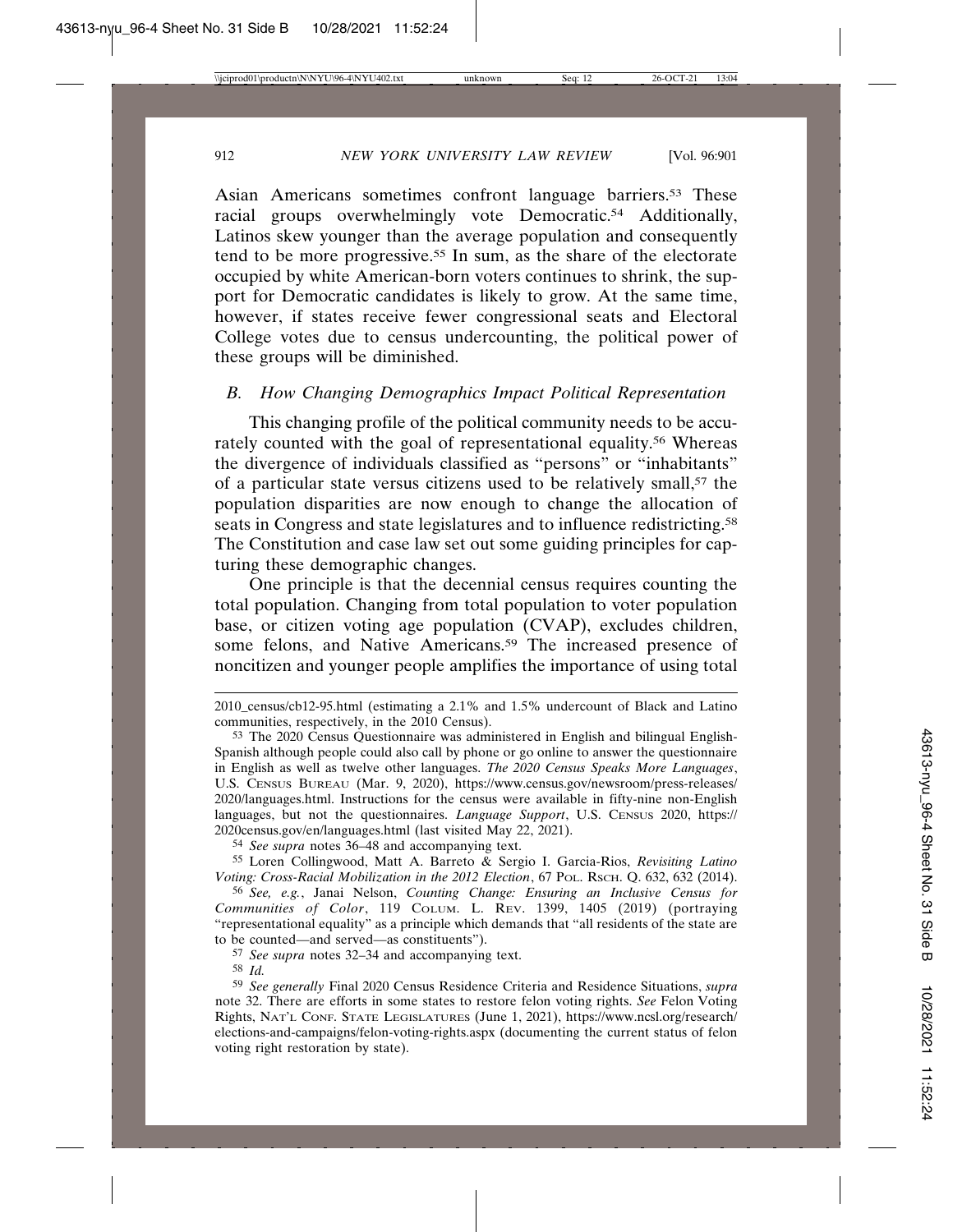Asian Americans sometimes confront language barriers.53 These racial groups overwhelmingly vote Democratic.<sup>54</sup> Additionally, Latinos skew younger than the average population and consequently tend to be more progressive.55 In sum, as the share of the electorate occupied by white American-born voters continues to shrink, the support for Democratic candidates is likely to grow. At the same time, however, if states receive fewer congressional seats and Electoral College votes due to census undercounting, the political power of these groups will be diminished.

## *B. How Changing Demographics Impact Political Representation*

This changing profile of the political community needs to be accurately counted with the goal of representational equality.56 Whereas the divergence of individuals classified as "persons" or "inhabitants" of a particular state versus citizens used to be relatively small,57 the population disparities are now enough to change the allocation of seats in Congress and state legislatures and to influence redistricting.<sup>58</sup> The Constitution and case law set out some guiding principles for capturing these demographic changes.

One principle is that the decennial census requires counting the total population. Changing from total population to voter population base, or citizen voting age population (CVAP), excludes children, some felons, and Native Americans.<sup>59</sup> The increased presence of noncitizen and younger people amplifies the importance of using total

54 *See supra* notes 36–48 and accompanying text.

55 Loren Collingwood, Matt A. Barreto & Sergio I. Garcia-Rios, *Revisiting Latino Voting: Cross-Racial Mobilization in the 2012 Election*, 67 POL. RSCH. Q. 632, 632 (2014).

56 *See, e.g.*, Janai Nelson, *Counting Change: Ensuring an Inclusive Census for Communities of Color*, 119 COLUM. L. REV. 1399, 1405 (2019) (portraying "representational equality" as a principle which demands that "all residents of the state are to be counted—and served—as constituents").

57 *See supra* notes 32–34 and accompanying text.

58 *Id.*

59 *See generally* Final 2020 Census Residence Criteria and Residence Situations, *supra* note 32. There are efforts in some states to restore felon voting rights. *See* Felon Voting Rights, NAT'L CONF. STATE LEGISLATURES (June 1, 2021), https://www.ncsl.org/research/ elections-and-campaigns/felon-voting-rights.aspx (documenting the current status of felon voting right restoration by state).

<sup>2010</sup>\_census/cb12-95.html (estimating a 2.1% and 1.5% undercount of Black and Latino communities, respectively, in the 2010 Census).

<sup>53</sup> The 2020 Census Questionnaire was administered in English and bilingual English-Spanish although people could also call by phone or go online to answer the questionnaire in English as well as twelve other languages. *The 2020 Census Speaks More Languages*, U.S. CENSUS BUREAU (Mar. 9, 2020), https://www.census.gov/newsroom/press-releases/ 2020/languages.html. Instructions for the census were available in fifty-nine non-English languages, but not the questionnaires. *Language Support*, U.S. CENSUS 2020, https:// 2020census.gov/en/languages.html (last visited May 22, 2021).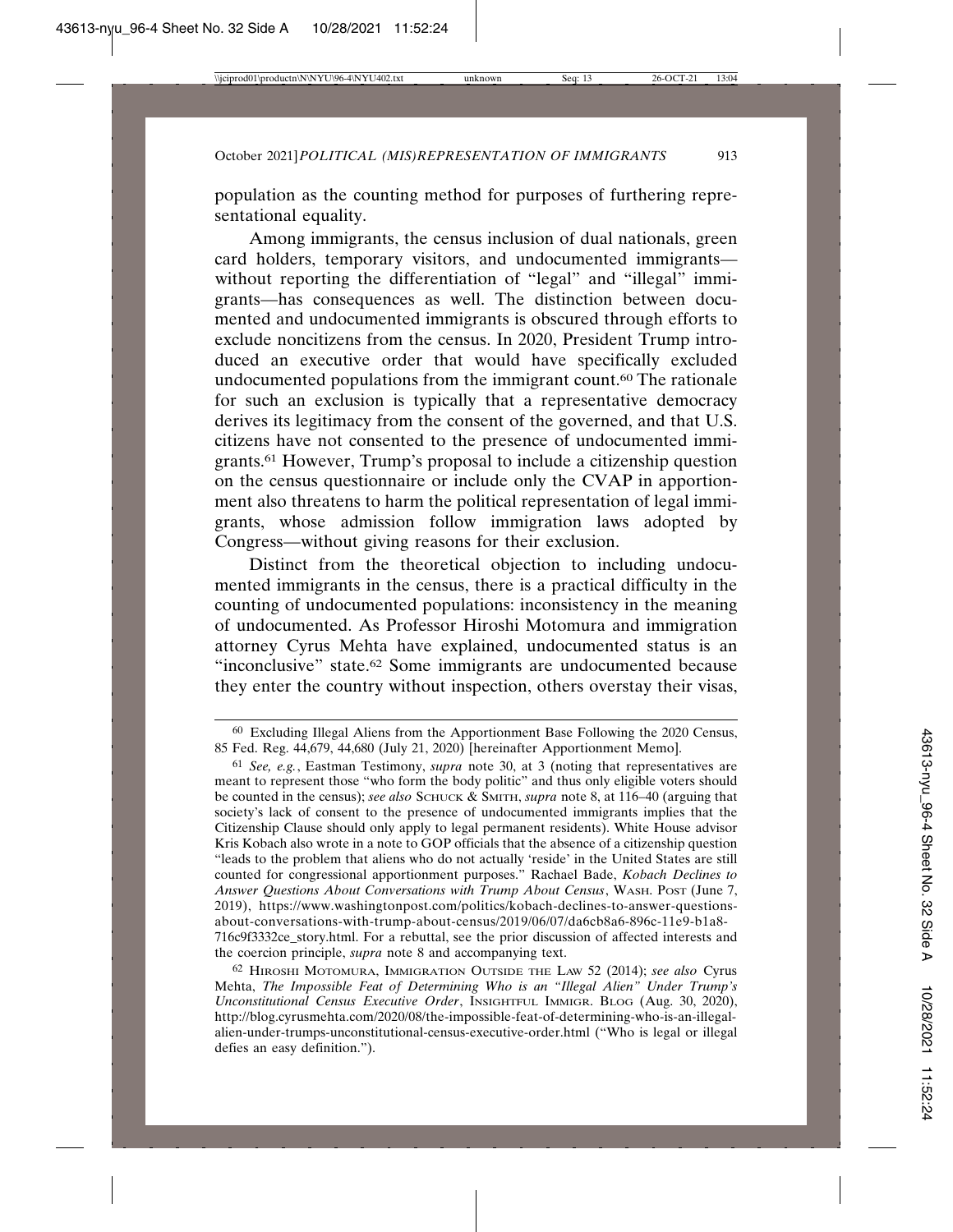population as the counting method for purposes of furthering representational equality.

Among immigrants, the census inclusion of dual nationals, green card holders, temporary visitors, and undocumented immigrants without reporting the differentiation of "legal" and "illegal" immigrants—has consequences as well. The distinction between documented and undocumented immigrants is obscured through efforts to exclude noncitizens from the census. In 2020, President Trump introduced an executive order that would have specifically excluded undocumented populations from the immigrant count.<sup>60</sup> The rationale for such an exclusion is typically that a representative democracy derives its legitimacy from the consent of the governed, and that U.S. citizens have not consented to the presence of undocumented immigrants.61 However, Trump's proposal to include a citizenship question on the census questionnaire or include only the CVAP in apportionment also threatens to harm the political representation of legal immigrants, whose admission follow immigration laws adopted by Congress—without giving reasons for their exclusion.

Distinct from the theoretical objection to including undocumented immigrants in the census, there is a practical difficulty in the counting of undocumented populations: inconsistency in the meaning of undocumented. As Professor Hiroshi Motomura and immigration attorney Cyrus Mehta have explained, undocumented status is an "inconclusive" state.62 Some immigrants are undocumented because they enter the country without inspection, others overstay their visas,

<sup>60</sup> Excluding Illegal Aliens from the Apportionment Base Following the 2020 Census, 85 Fed. Reg. 44,679, 44,680 (July 21, 2020) [hereinafter Apportionment Memo].

<sup>61</sup> *See, e.g.*, Eastman Testimony, *supra* note 30, at 3 (noting that representatives are meant to represent those "who form the body politic" and thus only eligible voters should be counted in the census); *see also* SCHUCK & SMITH, *supra* note 8, at 116–40 (arguing that society's lack of consent to the presence of undocumented immigrants implies that the Citizenship Clause should only apply to legal permanent residents). White House advisor Kris Kobach also wrote in a note to GOP officials that the absence of a citizenship question "leads to the problem that aliens who do not actually 'reside' in the United States are still counted for congressional apportionment purposes." Rachael Bade, *Kobach Declines to Answer Questions About Conversations with Trump About Census*, WASH. POST (June 7, 2019), https://www.washingtonpost.com/politics/kobach-declines-to-answer-questionsabout-conversations-with-trump-about-census/2019/06/07/da6cb8a6-896c-11e9-b1a8- 716c9f3332ce\_story.html. For a rebuttal, see the prior discussion of affected interests and the coercion principle, *supra* note 8 and accompanying text.

<sup>62</sup> HIROSHI MOTOMURA, IMMIGRATION OUTSIDE THE LAW 52 (2014); *see also* Cyrus Mehta, *The Impossible Feat of Determining Who is an "Illegal Alien" Under Trump's Unconstitutional Census Executive Order*, INSIGHTFUL IMMIGR. BLOG (Aug. 30, 2020), http://blog.cyrusmehta.com/2020/08/the-impossible-feat-of-determining-who-is-an-illegalalien-under-trumps-unconstitutional-census-executive-order.html ("Who is legal or illegal defies an easy definition.").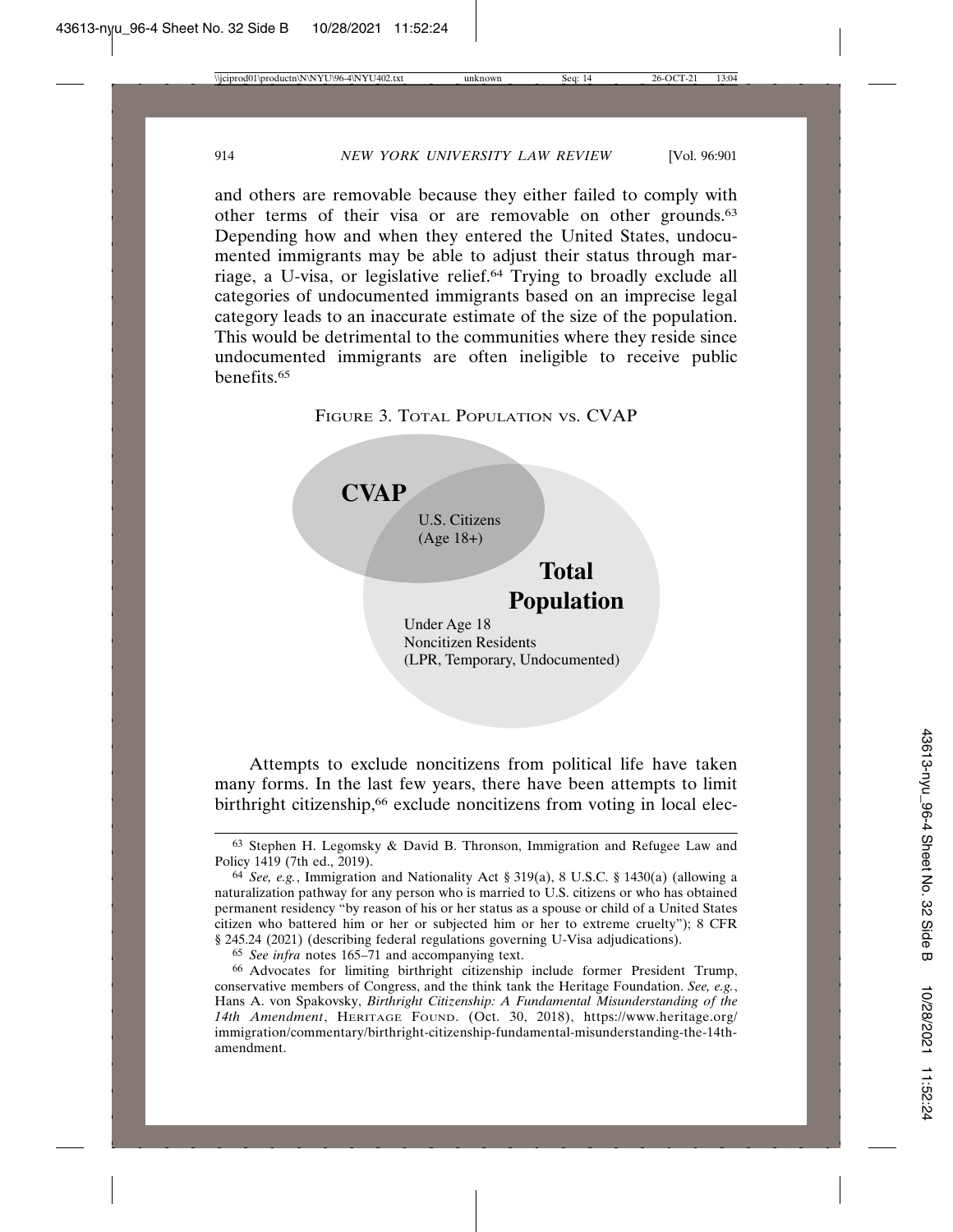and others are removable because they either failed to comply with other terms of their visa or are removable on other grounds.63 Depending how and when they entered the United States, undocumented immigrants may be able to adjust their status through marriage, a U-visa, or legislative relief.64 Trying to broadly exclude all categories of undocumented immigrants based on an imprecise legal category leads to an inaccurate estimate of the size of the population. This would be detrimental to the communities where they reside since undocumented immigrants are often ineligible to receive public benefits.65





Noncitizen Residents (LPR, Temporary, Undocumented)

Attempts to exclude noncitizens from political life have taken many forms. In the last few years, there have been attempts to limit birthright citizenship,<sup>66</sup> exclude noncitizens from voting in local elec-

65 *See infra* notes 165–71 and accompanying text.

<sup>63</sup> Stephen H. Legomsky & David B. Thronson, Immigration and Refugee Law and Policy 1419 (7th ed., 2019).

<sup>64</sup> *See, e.g.*, Immigration and Nationality Act § 319(a), 8 U.S.C. § 1430(a) (allowing a naturalization pathway for any person who is married to U.S. citizens or who has obtained permanent residency "by reason of his or her status as a spouse or child of a United States citizen who battered him or her or subjected him or her to extreme cruelty"); 8 CFR § 245.24 (2021) (describing federal regulations governing U-Visa adjudications).

<sup>66</sup> Advocates for limiting birthright citizenship include former President Trump, conservative members of Congress, and the think tank the Heritage Foundation. *See, e.g.*, Hans A. von Spakovsky, *Birthright Citizenship: A Fundamental Misunderstanding of the 14th Amendment*, HERITAGE FOUND. (Oct. 30, 2018), https://www.heritage.org/ immigration/commentary/birthright-citizenship-fundamental-misunderstanding-the-14thamendment.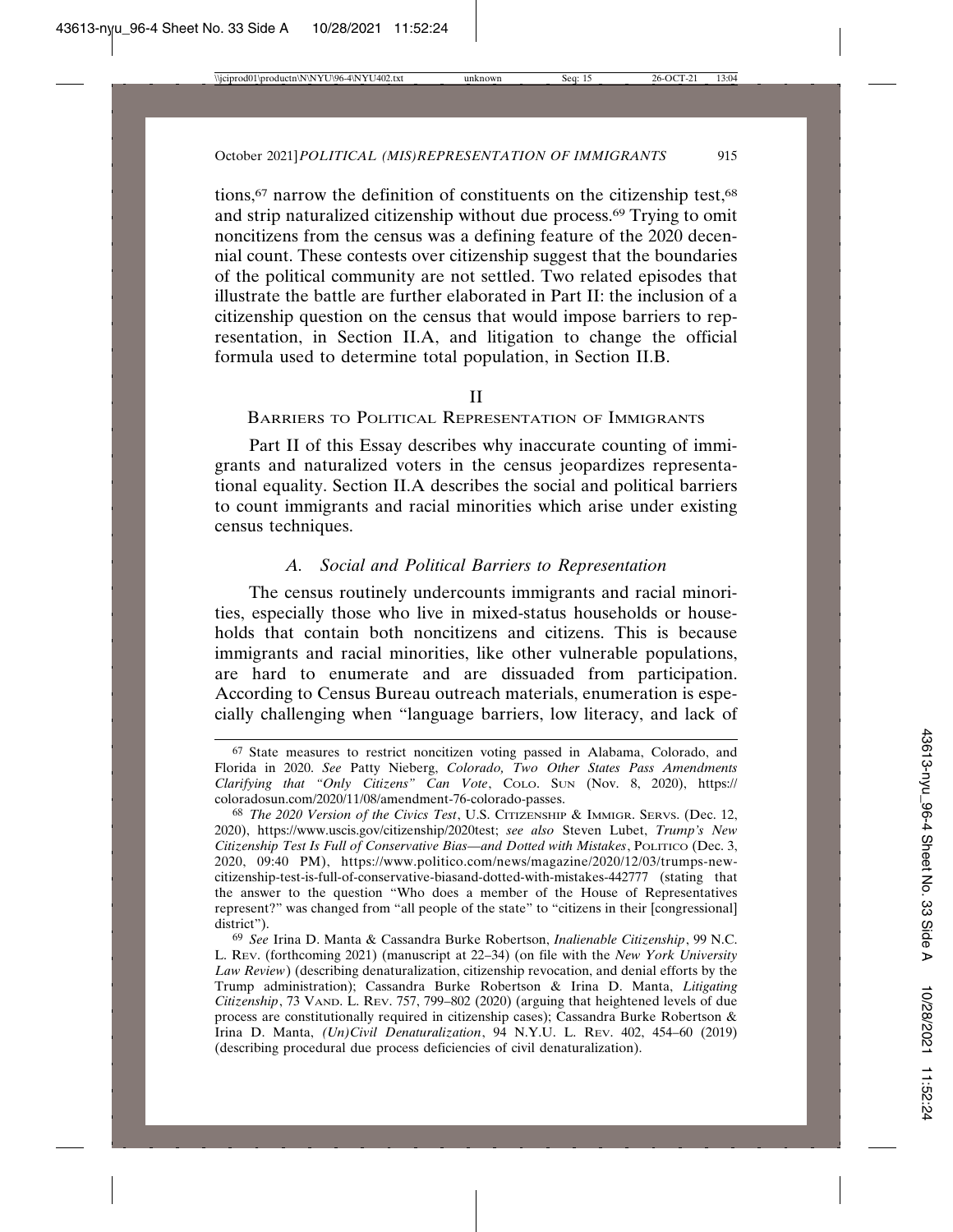tions,<sup>67</sup> narrow the definition of constituents on the citizenship test,<sup>68</sup> and strip naturalized citizenship without due process.69 Trying to omit noncitizens from the census was a defining feature of the 2020 decennial count. These contests over citizenship suggest that the boundaries of the political community are not settled. Two related episodes that illustrate the battle are further elaborated in Part II: the inclusion of a citizenship question on the census that would impose barriers to representation, in Section II.A, and litigation to change the official formula used to determine total population, in Section II.B.

## II

BARRIERS TO POLITICAL REPRESENTATION OF IMMIGRANTS

Part II of this Essay describes why inaccurate counting of immigrants and naturalized voters in the census jeopardizes representational equality. Section II.A describes the social and political barriers to count immigrants and racial minorities which arise under existing census techniques.

## *A. Social and Political Barriers to Representation*

The census routinely undercounts immigrants and racial minorities, especially those who live in mixed-status households or households that contain both noncitizens and citizens. This is because immigrants and racial minorities, like other vulnerable populations, are hard to enumerate and are dissuaded from participation. According to Census Bureau outreach materials, enumeration is especially challenging when "language barriers, low literacy, and lack of

<sup>67</sup> State measures to restrict noncitizen voting passed in Alabama, Colorado, and Florida in 2020. *See* Patty Nieberg, *Colorado, Two Other States Pass Amendments Clarifying that "Only Citizens" Can Vote*, COLO. SUN (Nov. 8, 2020), https:// coloradosun.com/2020/11/08/amendment-76-colorado-passes.

<sup>68</sup> *The 2020 Version of the Civics Test*, U.S. CITIZENSHIP & IMMIGR. SERVS. (Dec. 12, 2020), https://www.uscis.gov/citizenship/2020test; *see also* Steven Lubet, *Trump's New Citizenship Test Is Full of Conservative Bias—and Dotted with Mistakes*, POLITICO (Dec. 3, 2020, 09:40 PM), https://www.politico.com/news/magazine/2020/12/03/trumps-newcitizenship-test-is-full-of-conservative-biasand-dotted-with-mistakes-442777 (stating that the answer to the question "Who does a member of the House of Representatives represent?" was changed from "all people of the state" to "citizens in their [congressional] district").

<sup>69</sup> *See* Irina D. Manta & Cassandra Burke Robertson, *Inalienable Citizenship*, 99 N.C. L. REV. (forthcoming 2021) (manuscript at 22–34) (on file with the *New York University Law Review*) (describing denaturalization, citizenship revocation, and denial efforts by the Trump administration); Cassandra Burke Robertson & Irina D. Manta, *Litigating Citizenship*, 73 VAND. L. REV. 757, 799–802 (2020) (arguing that heightened levels of due process are constitutionally required in citizenship cases); Cassandra Burke Robertson & Irina D. Manta, *(Un)Civil Denaturalization*, 94 N.Y.U. L. REV. 402, 454–60 (2019) (describing procedural due process deficiencies of civil denaturalization).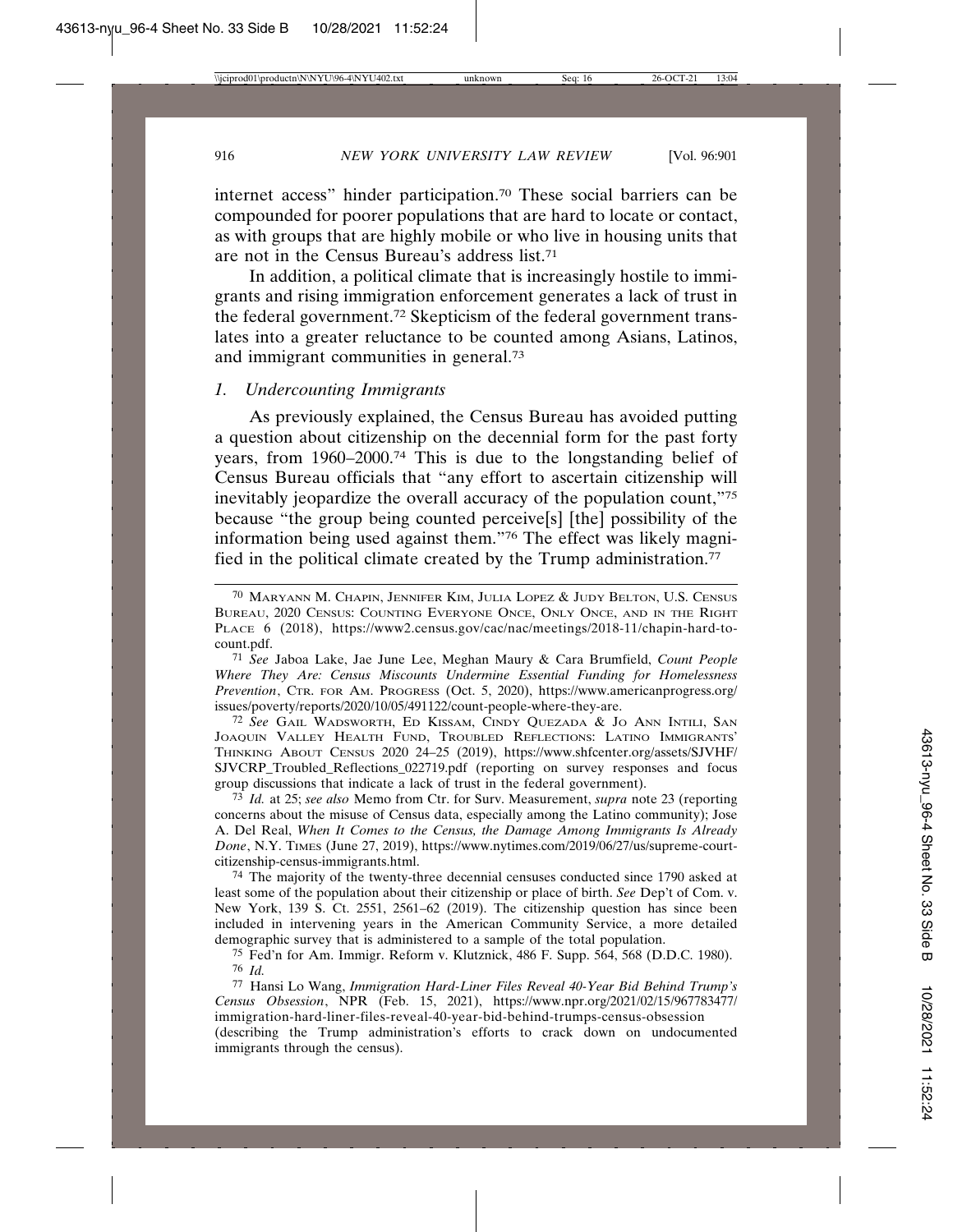internet access" hinder participation.70 These social barriers can be compounded for poorer populations that are hard to locate or contact, as with groups that are highly mobile or who live in housing units that are not in the Census Bureau's address list.71

In addition, a political climate that is increasingly hostile to immigrants and rising immigration enforcement generates a lack of trust in the federal government.72 Skepticism of the federal government translates into a greater reluctance to be counted among Asians, Latinos, and immigrant communities in general.73

## *1. Undercounting Immigrants*

As previously explained, the Census Bureau has avoided putting a question about citizenship on the decennial form for the past forty years, from 1960–2000.74 This is due to the longstanding belief of Census Bureau officials that "any effort to ascertain citizenship will inevitably jeopardize the overall accuracy of the population count,"75 because "the group being counted perceive[s] [the] possibility of the information being used against them."76 The effect was likely magnified in the political climate created by the Trump administration.<sup>77</sup>

71 *See* Jaboa Lake, Jae June Lee, Meghan Maury & Cara Brumfield, *Count People Where They Are: Census Miscounts Undermine Essential Funding for Homelessness Prevention*, CTR. FOR AM. PROGRESS (Oct. 5, 2020), https://www.americanprogress.org/ issues/poverty/reports/2020/10/05/491122/count-people-where-they-are.

72 *See* GAIL WADSWORTH, ED KISSAM, CINDY QUEZADA & JO ANN INTILI, SAN JOAQUIN VALLEY HEALTH FUND, TROUBLED REFLECTIONS: LATINO IMMIGRANTS' THINKING ABOUT CENSUS 2020 24–25 (2019), https://www.shfcenter.org/assets/SJVHF/ SJVCRP\_Troubled\_Reflections\_022719.pdf (reporting on survey responses and focus group discussions that indicate a lack of trust in the federal government).

73 *Id.* at 25; *see also* Memo from Ctr. for Surv. Measurement, *supra* note 23 (reporting concerns about the misuse of Census data, especially among the Latino community); Jose A. Del Real, *When It Comes to the Census, the Damage Among Immigrants Is Already Done*, N.Y. TIMES (June 27, 2019), https://www.nytimes.com/2019/06/27/us/supreme-courtcitizenship-census-immigrants.html.

74 The majority of the twenty-three decennial censuses conducted since 1790 asked at least some of the population about their citizenship or place of birth. *See* Dep't of Com. v. New York, 139 S. Ct. 2551, 2561–62 (2019). The citizenship question has since been included in intervening years in the American Community Service, a more detailed demographic survey that is administered to a sample of the total population.

75 Fed'n for Am. Immigr. Reform v. Klutznick, 486 F. Supp. 564, 568 (D.D.C. 1980). 76 *Id.*

77 Hansi Lo Wang, *Immigration Hard-Liner Files Reveal 40-Year Bid Behind Trump's Census Obsession*, NPR (Feb. 15, 2021), https://www.npr.org/2021/02/15/967783477/ immigration-hard-liner-files-reveal-40-year-bid-behind-trumps-census-obsession (describing the Trump administration's efforts to crack down on undocumented immigrants through the census).

<sup>70</sup> MARYANN M. CHAPIN, JENNIFER KIM, JULIA LOPEZ & JUDY BELTON, U.S. CENSUS BUREAU, 2020 CENSUS: COUNTING EVERYONE ONCE, ONLY ONCE, AND IN THE RIGHT PLACE 6 (2018), https://www2.census.gov/cac/nac/meetings/2018-11/chapin-hard-tocount.pdf.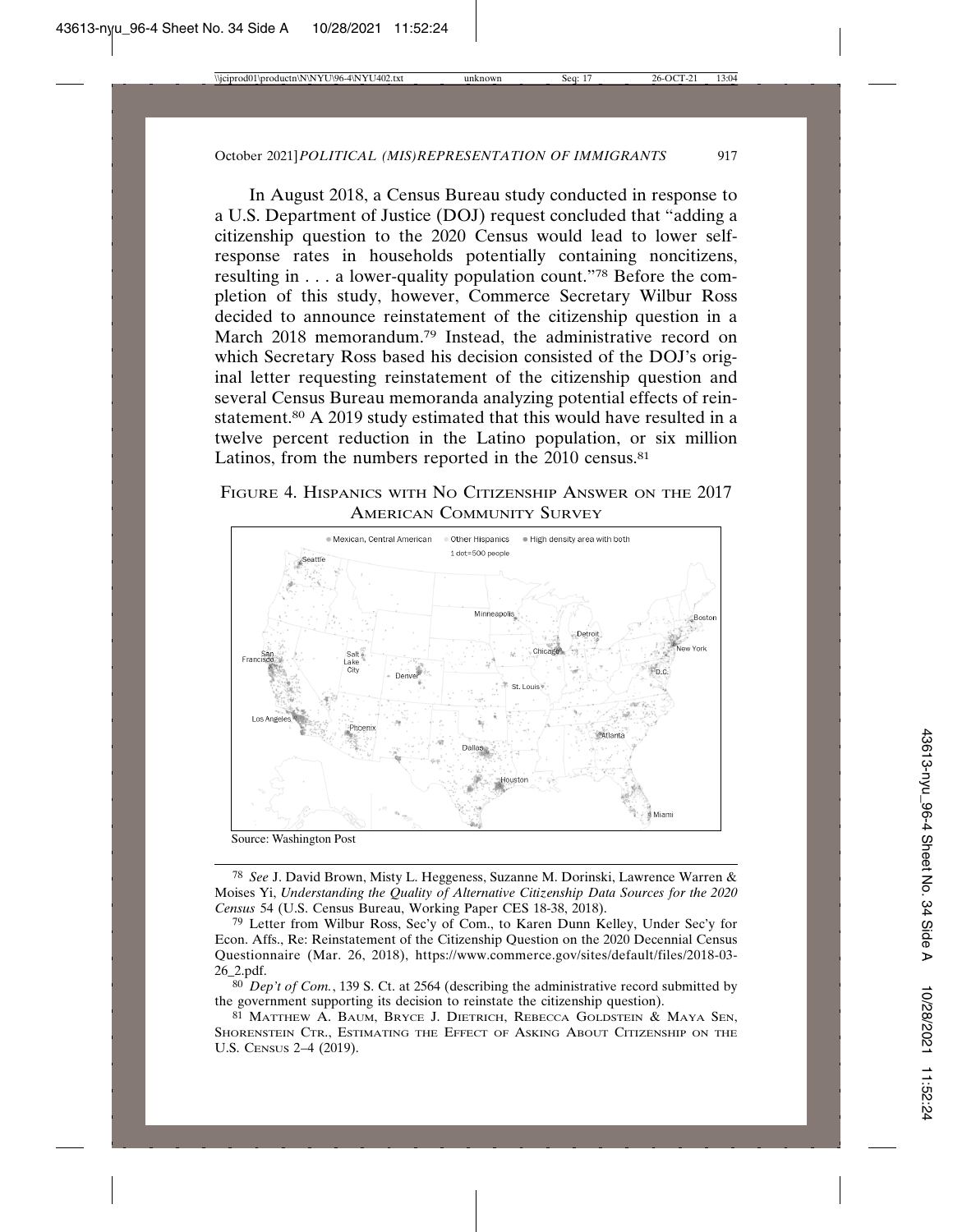In August 2018, a Census Bureau study conducted in response to a U.S. Department of Justice (DOJ) request concluded that "adding a citizenship question to the 2020 Census would lead to lower selfresponse rates in households potentially containing noncitizens, resulting in . . . a lower-quality population count."78 Before the completion of this study, however, Commerce Secretary Wilbur Ross decided to announce reinstatement of the citizenship question in a March 2018 memorandum.<sup>79</sup> Instead, the administrative record on which Secretary Ross based his decision consisted of the DOJ's original letter requesting reinstatement of the citizenship question and several Census Bureau memoranda analyzing potential effects of reinstatement.80 A 2019 study estimated that this would have resulted in a twelve percent reduction in the Latino population, or six million Latinos, from the numbers reported in the 2010 census.<sup>81</sup>

FIGURE 4. HISPANICS WITH NO CITIZENSHIP ANSWER ON THE 2017 AMERICAN COMMUNITY SURVEY



Source: Washington Post

78 *See* J. David Brown, Misty L. Heggeness, Suzanne M. Dorinski, Lawrence Warren & Moises Yi, *Understanding the Quality of Alternative Citizenship Data Sources for the 2020 Census* 54 (U.S. Census Bureau, Working Paper CES 18-38, 2018).

79 Letter from Wilbur Ross, Sec'y of Com., to Karen Dunn Kelley, Under Sec'y for Econ. Affs., Re: Reinstatement of the Citizenship Question on the 2020 Decennial Census Questionnaire (Mar. 26, 2018), https://www.commerce.gov/sites/default/files/2018-03- 26\_2.pdf.

80 *Dep't of Com.*, 139 S. Ct. at 2564 (describing the administrative record submitted by the government supporting its decision to reinstate the citizenship question).

81 MATTHEW A. BAUM, BRYCE J. DIETRICH, REBECCA GOLDSTEIN & MAYA SEN, SHORENSTEIN CTR., ESTIMATING THE EFFECT OF ASKING ABOUT CITIZENSHIP ON THE U.S. CENSUS 2–4 (2019).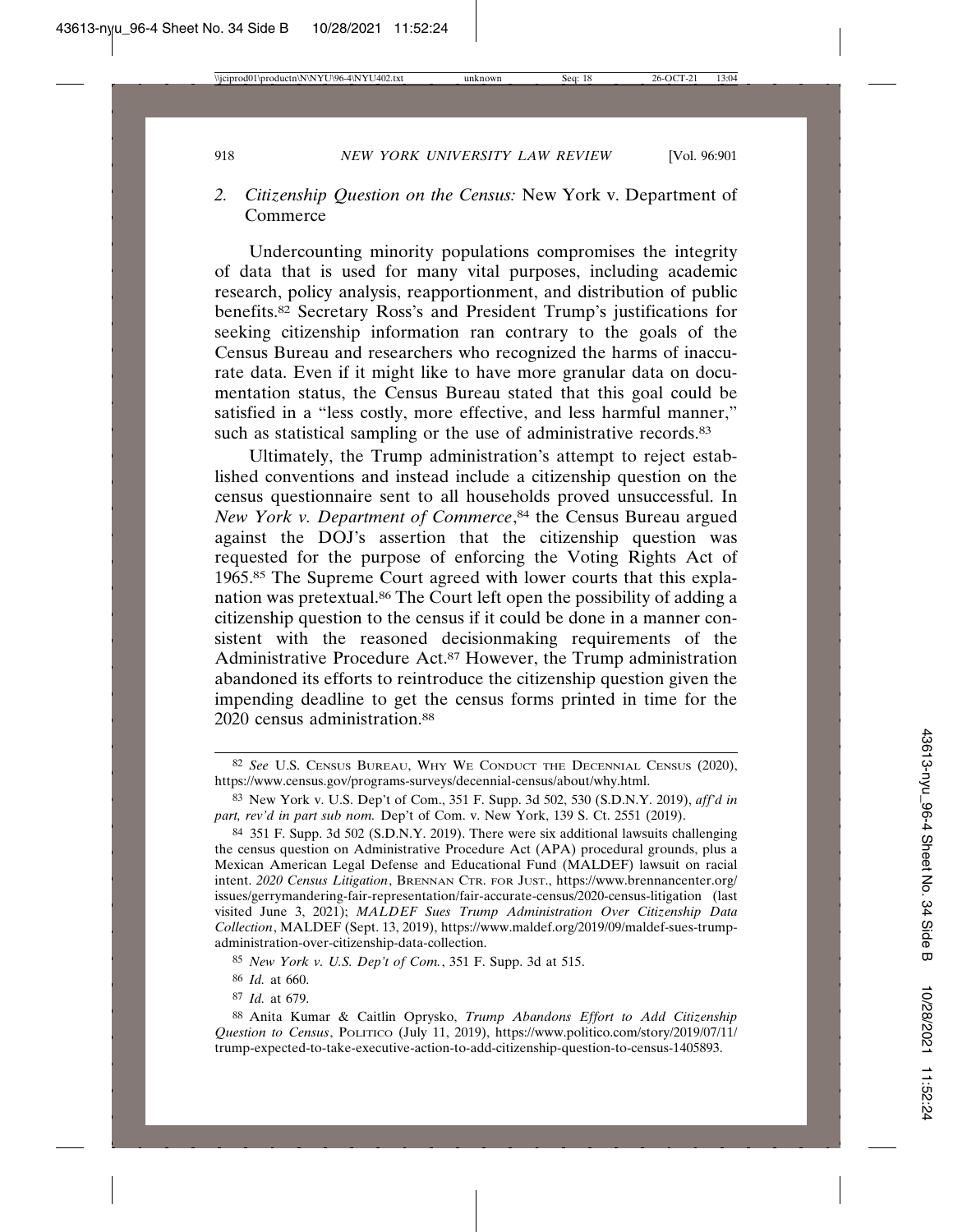# *2. Citizenship Question on the Census:* New York v. Department of **Commerce**

Undercounting minority populations compromises the integrity of data that is used for many vital purposes, including academic research, policy analysis, reapportionment, and distribution of public benefits.82 Secretary Ross's and President Trump's justifications for seeking citizenship information ran contrary to the goals of the Census Bureau and researchers who recognized the harms of inaccurate data. Even if it might like to have more granular data on documentation status, the Census Bureau stated that this goal could be satisfied in a "less costly, more effective, and less harmful manner," such as statistical sampling or the use of administrative records.<sup>83</sup>

Ultimately, the Trump administration's attempt to reject established conventions and instead include a citizenship question on the census questionnaire sent to all households proved unsuccessful. In *New York v. Department of Commerce*, 84 the Census Bureau argued against the DOJ's assertion that the citizenship question was requested for the purpose of enforcing the Voting Rights Act of 1965.85 The Supreme Court agreed with lower courts that this explanation was pretextual.86 The Court left open the possibility of adding a citizenship question to the census if it could be done in a manner consistent with the reasoned decisionmaking requirements of the Administrative Procedure Act.87 However, the Trump administration abandoned its efforts to reintroduce the citizenship question given the impending deadline to get the census forms printed in time for the 2020 census administration.<sup>88</sup>

<sup>82</sup> *See* U.S. CENSUS BUREAU, WHY WE CONDUCT THE DECENNIAL CENSUS (2020), https://www.census.gov/programs-surveys/decennial-census/about/why.html.

<sup>83</sup> New York v. U.S. Dep't of Com., 351 F. Supp. 3d 502, 530 (S.D.N.Y. 2019), *aff'd in part, rev'd in part sub nom.* Dep't of Com. v. New York, 139 S. Ct. 2551 (2019).

<sup>84</sup> 351 F. Supp. 3d 502 (S.D.N.Y. 2019). There were six additional lawsuits challenging the census question on Administrative Procedure Act (APA) procedural grounds, plus a Mexican American Legal Defense and Educational Fund (MALDEF) lawsuit on racial intent. *2020 Census Litigation*, BRENNAN CTR. FOR JUST., https://www.brennancenter.org/ issues/gerrymandering-fair-representation/fair-accurate-census/2020-census-litigation (last visited June 3, 2021); *MALDEF Sues Trump Administration Over Citizenship Data Collection*, MALDEF (Sept. 13, 2019), https://www.maldef.org/2019/09/maldef-sues-trumpadministration-over-citizenship-data-collection.

<sup>85</sup> *New York v. U.S. Dep't of Com.*, 351 F. Supp. 3d at 515.

<sup>86</sup> *Id.* at 660.

<sup>87</sup> *Id.* at 679.

<sup>88</sup> Anita Kumar & Caitlin Oprysko, *Trump Abandons Effort to Add Citizenship Question to Census*, POLITICO (July 11, 2019), https://www.politico.com/story/2019/07/11/ trump-expected-to-take-executive-action-to-add-citizenship-question-to-census-1405893.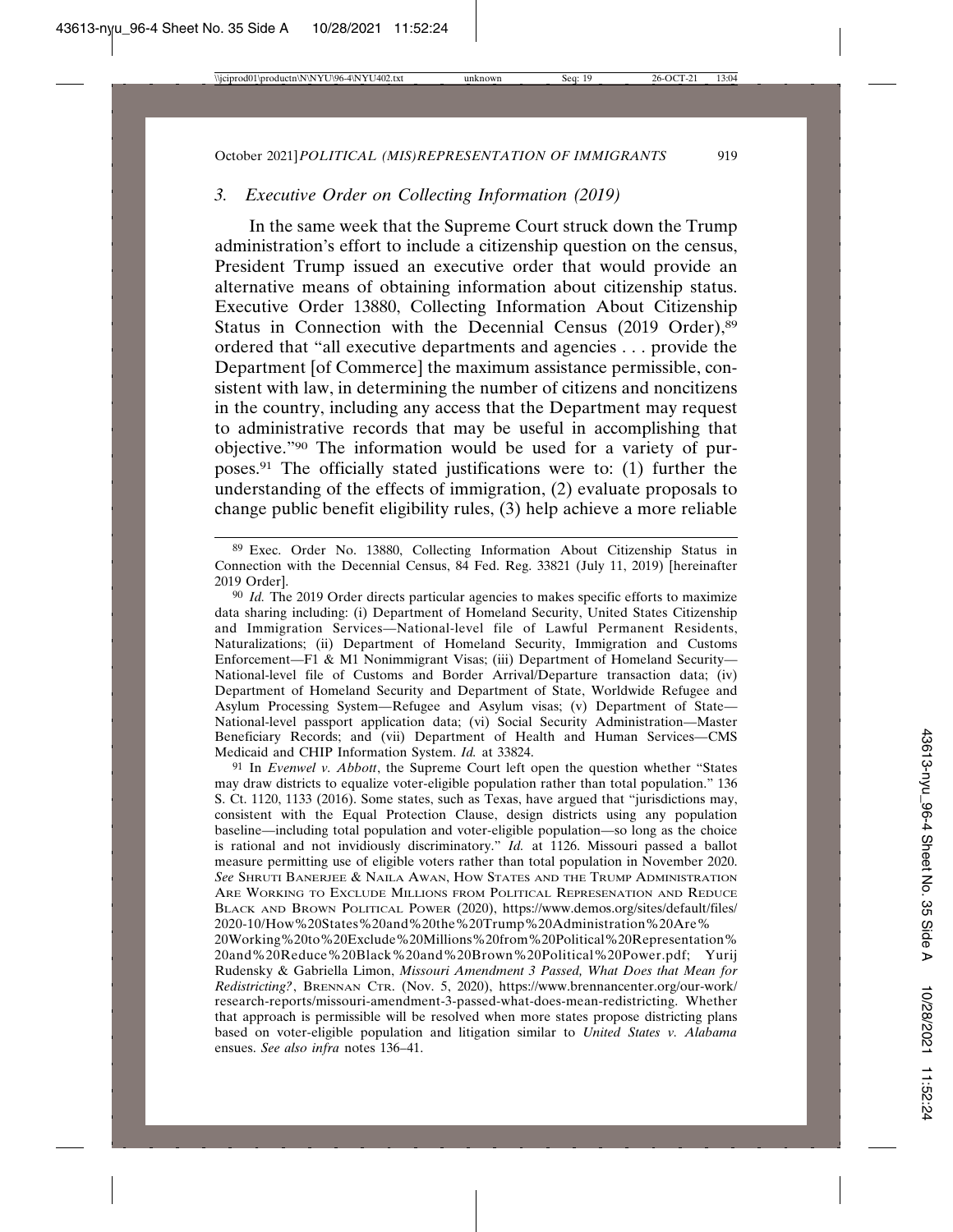## *3. Executive Order on Collecting Information (2019)*

In the same week that the Supreme Court struck down the Trump administration's effort to include a citizenship question on the census, President Trump issued an executive order that would provide an alternative means of obtaining information about citizenship status. Executive Order 13880, Collecting Information About Citizenship Status in Connection with the Decennial Census (2019 Order),<sup>89</sup> ordered that "all executive departments and agencies . . . provide the Department [of Commerce] the maximum assistance permissible, consistent with law, in determining the number of citizens and noncitizens in the country, including any access that the Department may request to administrative records that may be useful in accomplishing that objective."90 The information would be used for a variety of purposes.91 The officially stated justifications were to: (1) further the understanding of the effects of immigration, (2) evaluate proposals to change public benefit eligibility rules, (3) help achieve a more reliable

91 In *Evenwel v. Abbott*, the Supreme Court left open the question whether "States may draw districts to equalize voter-eligible population rather than total population." 136 S. Ct. 1120, 1133 (2016). Some states, such as Texas, have argued that "jurisdictions may, consistent with the Equal Protection Clause, design districts using any population baseline—including total population and voter-eligible population—so long as the choice is rational and not invidiously discriminatory." *Id.* at 1126. Missouri passed a ballot measure permitting use of eligible voters rather than total population in November 2020. *See* SHRUTI BANERJEE & NAILA AWAN, HOW STATES AND THE TRUMP ADMINISTRATION ARE WORKING TO EXCLUDE MILLIONS FROM POLITICAL REPRESENATION AND REDUCE BLACK AND BROWN POLITICAL POWER (2020), https://www.demos.org/sites/default/files/ 2020-10/How%20States%20and%20the%20Trump%20Administration%20Are%

20Working%20to%20Exclude%20Millions%20from%20Political%20Representation% 20and%20Reduce%20Black%20and%20Brown%20Political%20Power.pdf; Yurij Rudensky & Gabriella Limon, *Missouri Amendment 3 Passed, What Does that Mean for Redistricting?*, BRENNAN CTR. (Nov. 5, 2020), https://www.brennancenter.org/our-work/ research-reports/missouri-amendment-3-passed-what-does-mean-redistricting. Whether that approach is permissible will be resolved when more states propose districting plans based on voter-eligible population and litigation similar to *United States v. Alabama* ensues. *See also infra* notes 136–41.

<sup>89</sup> Exec. Order No. 13880, Collecting Information About Citizenship Status in Connection with the Decennial Census, 84 Fed. Reg. 33821 (July 11, 2019) [hereinafter 2019 Order].

<sup>90</sup> *Id.* The 2019 Order directs particular agencies to makes specific efforts to maximize data sharing including: (i) Department of Homeland Security, United States Citizenship and Immigration Services—National-level file of Lawful Permanent Residents, Naturalizations; (ii) Department of Homeland Security, Immigration and Customs Enforcement—F1 & M1 Nonimmigrant Visas; (iii) Department of Homeland Security— National-level file of Customs and Border Arrival/Departure transaction data; (iv) Department of Homeland Security and Department of State, Worldwide Refugee and Asylum Processing System—Refugee and Asylum visas; (v) Department of State— National-level passport application data; (vi) Social Security Administration—Master Beneficiary Records; and (vii) Department of Health and Human Services—CMS Medicaid and CHIP Information System. *Id.* at 33824.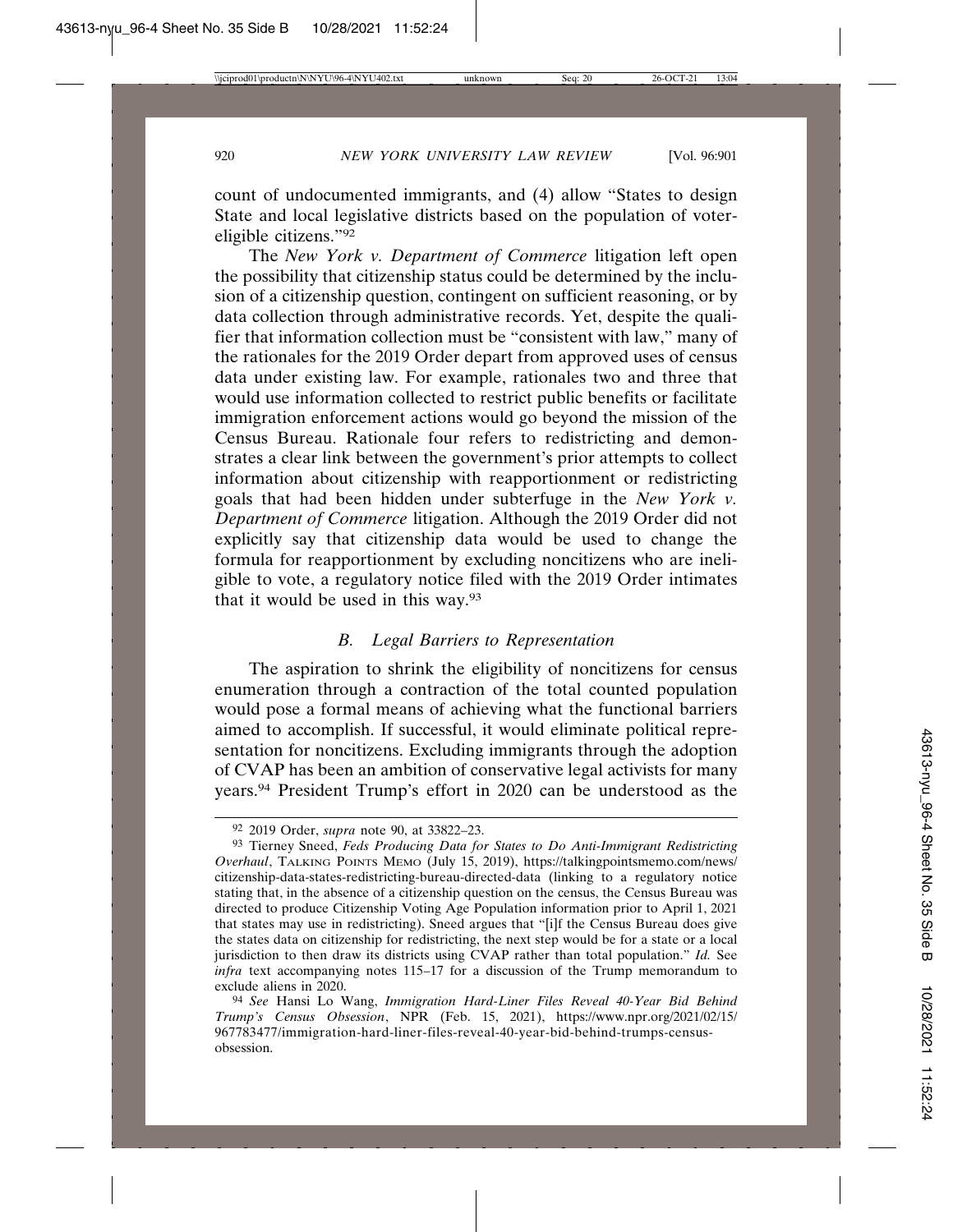count of undocumented immigrants, and (4) allow "States to design State and local legislative districts based on the population of votereligible citizens."92

The *New York v. Department of Commerce* litigation left open the possibility that citizenship status could be determined by the inclusion of a citizenship question, contingent on sufficient reasoning, or by data collection through administrative records. Yet, despite the qualifier that information collection must be "consistent with law," many of the rationales for the 2019 Order depart from approved uses of census data under existing law. For example, rationales two and three that would use information collected to restrict public benefits or facilitate immigration enforcement actions would go beyond the mission of the Census Bureau. Rationale four refers to redistricting and demonstrates a clear link between the government's prior attempts to collect information about citizenship with reapportionment or redistricting goals that had been hidden under subterfuge in the *New York v. Department of Commerce* litigation. Although the 2019 Order did not explicitly say that citizenship data would be used to change the formula for reapportionment by excluding noncitizens who are ineligible to vote, a regulatory notice filed with the 2019 Order intimates that it would be used in this way.93

## *B. Legal Barriers to Representation*

The aspiration to shrink the eligibility of noncitizens for census enumeration through a contraction of the total counted population would pose a formal means of achieving what the functional barriers aimed to accomplish. If successful, it would eliminate political representation for noncitizens. Excluding immigrants through the adoption of CVAP has been an ambition of conservative legal activists for many years.94 President Trump's effort in 2020 can be understood as the

<sup>92</sup> 2019 Order, *supra* note 90, at 33822–23.

<sup>93</sup> Tierney Sneed, *Feds Producing Data for States to Do Anti-Immigrant Redistricting Overhaul*, TALKING POINTS MEMO (July 15, 2019), https://talkingpointsmemo.com/news/ citizenship-data-states-redistricting-bureau-directed-data (linking to a regulatory notice stating that, in the absence of a citizenship question on the census, the Census Bureau was directed to produce Citizenship Voting Age Population information prior to April 1, 2021 that states may use in redistricting). Sneed argues that "[i]f the Census Bureau does give the states data on citizenship for redistricting, the next step would be for a state or a local jurisdiction to then draw its districts using CVAP rather than total population." *Id.* See *infra* text accompanying notes 115–17 for a discussion of the Trump memorandum to exclude aliens in 2020.

<sup>94</sup> *See* Hansi Lo Wang, *Immigration Hard-Liner Files Reveal 40-Year Bid Behind Trump's Census Obsession*, NPR (Feb. 15, 2021), https://www.npr.org/2021/02/15/ 967783477/immigration-hard-liner-files-reveal-40-year-bid-behind-trumps-censusobsession.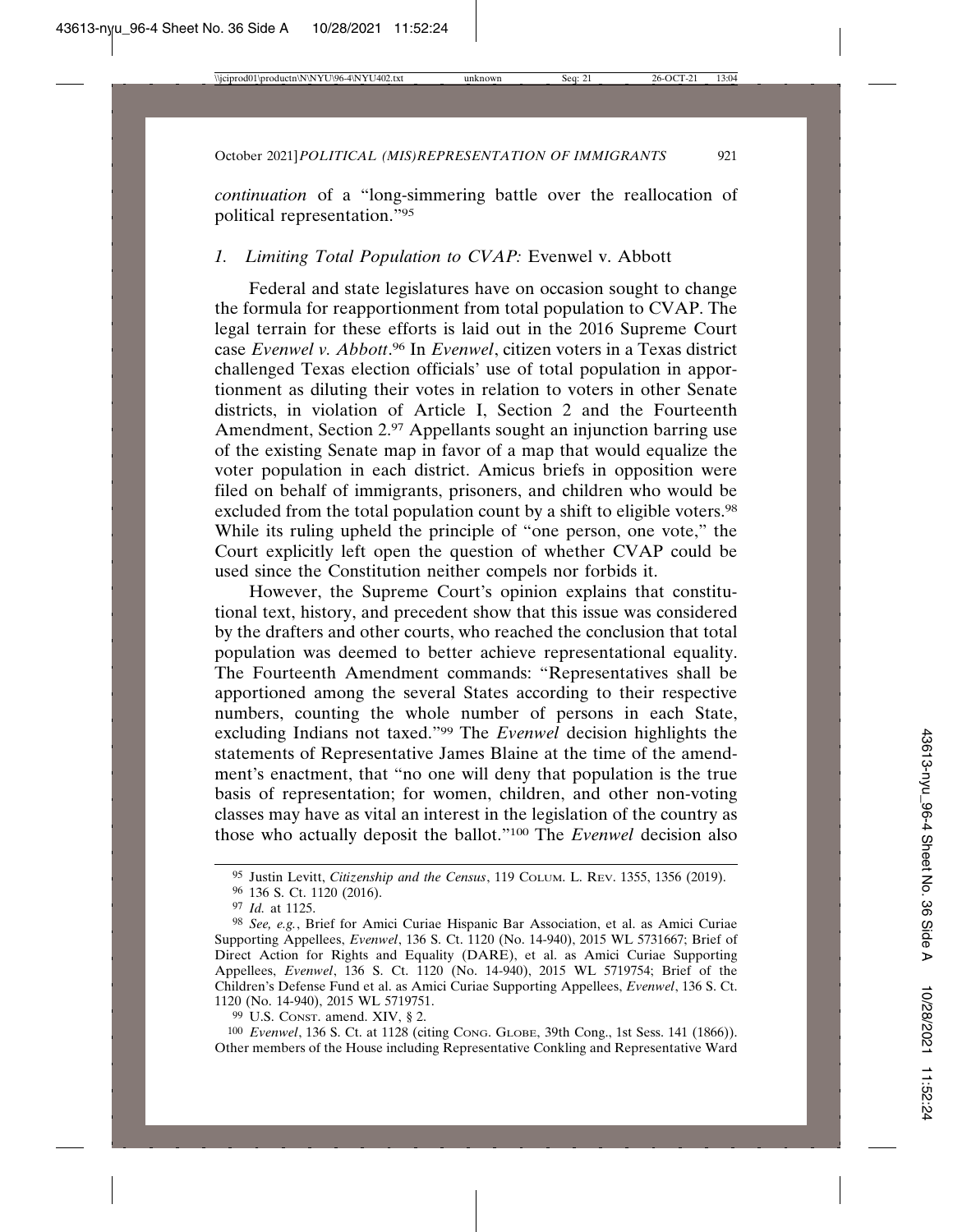*continuation* of a "long-simmering battle over the reallocation of political representation."95

# *1. Limiting Total Population to CVAP:* Evenwel v. Abbott

Federal and state legislatures have on occasion sought to change the formula for reapportionment from total population to CVAP. The legal terrain for these efforts is laid out in the 2016 Supreme Court case *Evenwel v. Abbott*. 96 In *Evenwel*, citizen voters in a Texas district challenged Texas election officials' use of total population in apportionment as diluting their votes in relation to voters in other Senate districts, in violation of Article I, Section 2 and the Fourteenth Amendment, Section 2.97 Appellants sought an injunction barring use of the existing Senate map in favor of a map that would equalize the voter population in each district. Amicus briefs in opposition were filed on behalf of immigrants, prisoners, and children who would be excluded from the total population count by a shift to eligible voters.<sup>98</sup> While its ruling upheld the principle of "one person, one vote," the Court explicitly left open the question of whether CVAP could be used since the Constitution neither compels nor forbids it.

However, the Supreme Court's opinion explains that constitutional text, history, and precedent show that this issue was considered by the drafters and other courts, who reached the conclusion that total population was deemed to better achieve representational equality. The Fourteenth Amendment commands: "Representatives shall be apportioned among the several States according to their respective numbers, counting the whole number of persons in each State, excluding Indians not taxed."99 The *Evenwel* decision highlights the statements of Representative James Blaine at the time of the amendment's enactment, that "no one will deny that population is the true basis of representation; for women, children, and other non-voting classes may have as vital an interest in the legislation of the country as those who actually deposit the ballot."100 The *Evenwel* decision also

99 U.S. CONST. amend. XIV, § 2.

100 *Evenwel*, 136 S. Ct. at 1128 (citing CONG. GLOBE, 39th Cong., 1st Sess. 141 (1866)). Other members of the House including Representative Conkling and Representative Ward

<sup>95</sup> Justin Levitt, *Citizenship and the Census*, 119 COLUM. L. REV. 1355, 1356 (2019).

<sup>96</sup> 136 S. Ct. 1120 (2016).

<sup>97</sup> *Id.* at 1125.

<sup>98</sup> *See, e.g.*, Brief for Amici Curiae Hispanic Bar Association, et al. as Amici Curiae Supporting Appellees, *Evenwel*, 136 S. Ct. 1120 (No. 14-940), 2015 WL 5731667; Brief of Direct Action for Rights and Equality (DARE), et al. as Amici Curiae Supporting Appellees, *Evenwel*, 136 S. Ct. 1120 (No. 14-940), 2015 WL 5719754; Brief of the Children's Defense Fund et al. as Amici Curiae Supporting Appellees, *Evenwel*, 136 S. Ct. 1120 (No. 14-940), 2015 WL 5719751.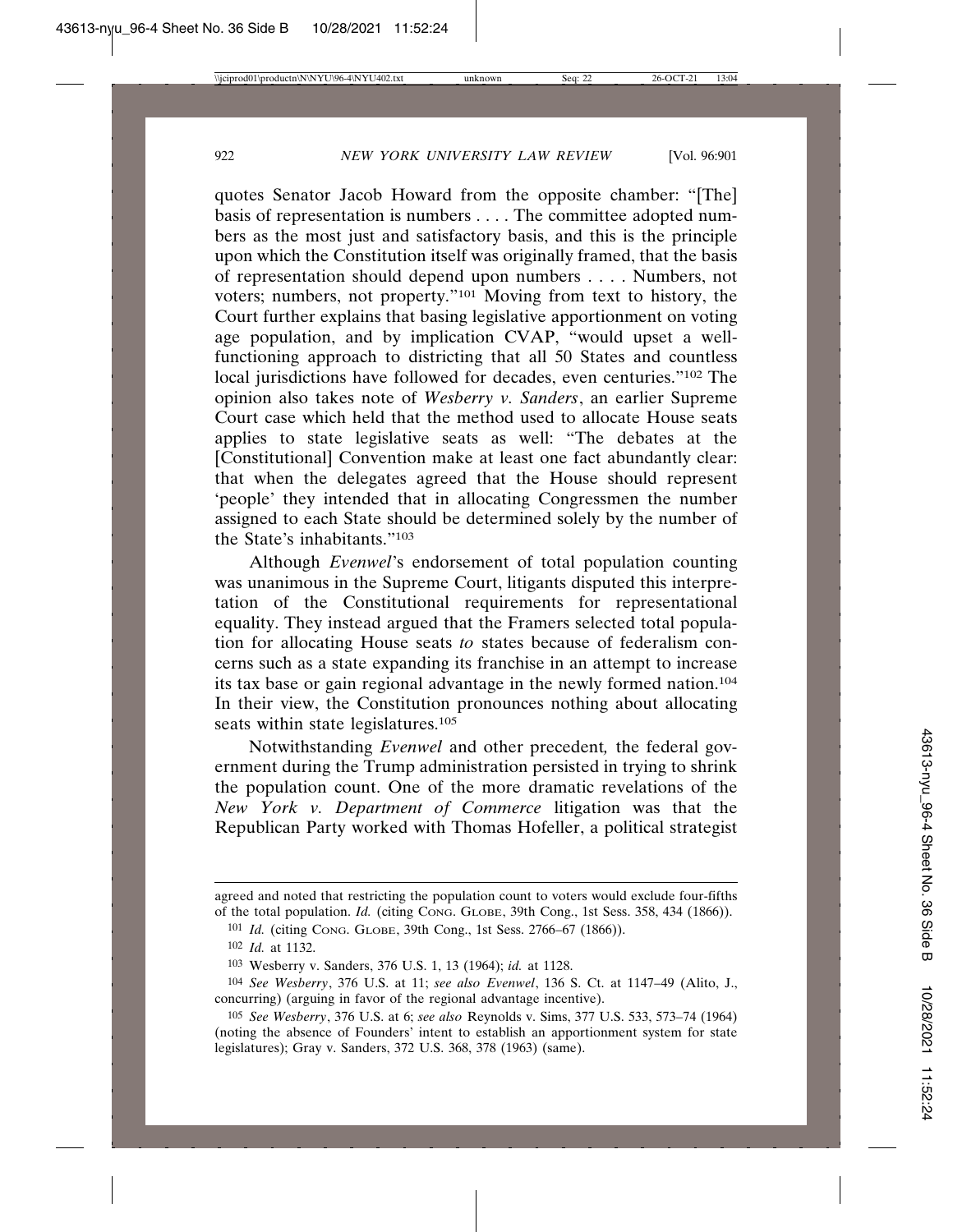quotes Senator Jacob Howard from the opposite chamber: "[The] basis of representation is numbers . . . . The committee adopted numbers as the most just and satisfactory basis, and this is the principle upon which the Constitution itself was originally framed, that the basis of representation should depend upon numbers . . . . Numbers, not voters; numbers, not property."101 Moving from text to history, the Court further explains that basing legislative apportionment on voting age population, and by implication CVAP, "would upset a wellfunctioning approach to districting that all 50 States and countless local jurisdictions have followed for decades, even centuries."102 The opinion also takes note of *Wesberry v. Sanders*, an earlier Supreme Court case which held that the method used to allocate House seats applies to state legislative seats as well: "The debates at the [Constitutional] Convention make at least one fact abundantly clear: that when the delegates agreed that the House should represent 'people' they intended that in allocating Congressmen the number assigned to each State should be determined solely by the number of the State's inhabitants."103

Although *Evenwel*'s endorsement of total population counting was unanimous in the Supreme Court, litigants disputed this interpretation of the Constitutional requirements for representational equality. They instead argued that the Framers selected total population for allocating House seats *to* states because of federalism concerns such as a state expanding its franchise in an attempt to increase its tax base or gain regional advantage in the newly formed nation.104 In their view, the Constitution pronounces nothing about allocating seats within state legislatures.<sup>105</sup>

Notwithstanding *Evenwel* and other precedent*,* the federal government during the Trump administration persisted in trying to shrink the population count. One of the more dramatic revelations of the *New York v. Department of Commerce* litigation was that the Republican Party worked with Thomas Hofeller, a political strategist

agreed and noted that restricting the population count to voters would exclude four-fifths of the total population. *Id.* (citing CONG. GLOBE, 39th Cong., 1st Sess. 358, 434 (1866)).

<sup>101</sup> *Id.* (citing CONG. GLOBE, 39th Cong., 1st Sess. 2766–67 (1866)).

<sup>102</sup> *Id.* at 1132.

<sup>103</sup> Wesberry v. Sanders, 376 U.S. 1, 13 (1964); *id.* at 1128.

<sup>104</sup> *See Wesberry*, 376 U.S. at 11; *see also Evenwel*, 136 S. Ct. at 1147–49 (Alito, J., concurring) (arguing in favor of the regional advantage incentive).

<sup>105</sup> *See Wesberry*, 376 U.S. at 6; *see also* Reynolds v. Sims, 377 U.S. 533, 573–74 (1964) (noting the absence of Founders' intent to establish an apportionment system for state legislatures); Gray v. Sanders, 372 U.S. 368, 378 (1963) (same).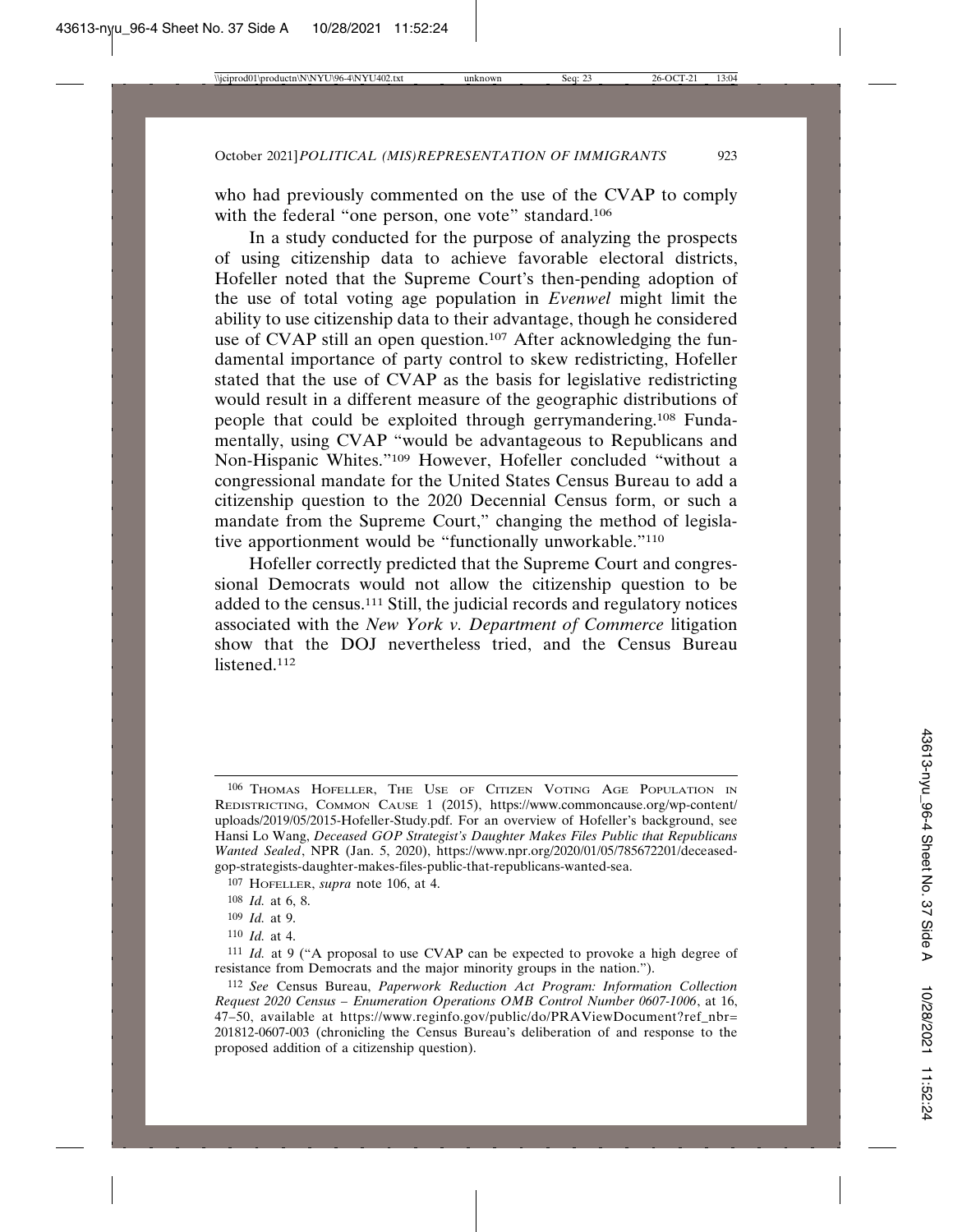who had previously commented on the use of the CVAP to comply with the federal "one person, one vote" standard.<sup>106</sup>

In a study conducted for the purpose of analyzing the prospects of using citizenship data to achieve favorable electoral districts, Hofeller noted that the Supreme Court's then-pending adoption of the use of total voting age population in *Evenwel* might limit the ability to use citizenship data to their advantage, though he considered use of CVAP still an open question.<sup>107</sup> After acknowledging the fundamental importance of party control to skew redistricting, Hofeller stated that the use of CVAP as the basis for legislative redistricting would result in a different measure of the geographic distributions of people that could be exploited through gerrymandering.108 Fundamentally, using CVAP "would be advantageous to Republicans and Non-Hispanic Whites."109 However, Hofeller concluded "without a congressional mandate for the United States Census Bureau to add a citizenship question to the 2020 Decennial Census form, or such a mandate from the Supreme Court," changing the method of legislative apportionment would be "functionally unworkable."110

Hofeller correctly predicted that the Supreme Court and congressional Democrats would not allow the citizenship question to be added to the census.111 Still, the judicial records and regulatory notices associated with the *New York v. Department of Commerce* litigation show that the DOJ nevertheless tried, and the Census Bureau listened.112

<sup>106</sup> THOMAS HOFELLER, THE USE OF CITIZEN VOTING AGE POPULATION IN REDISTRICTING, COMMON CAUSE 1 (2015), https://www.commoncause.org/wp-content/ uploads/2019/05/2015-Hofeller-Study.pdf. For an overview of Hofeller's background, see Hansi Lo Wang, *Deceased GOP Strategist's Daughter Makes Files Public that Republicans Wanted Sealed*, NPR (Jan. 5, 2020), https://www.npr.org/2020/01/05/785672201/deceasedgop-strategists-daughter-makes-files-public-that-republicans-wanted-sea.

<sup>107</sup> HOFELLER, *supra* note 106, at 4.

<sup>108</sup> *Id.* at 6, 8.

<sup>109</sup> *Id.* at 9.

<sup>110</sup> *Id.* at 4.

<sup>111</sup> *Id.* at 9 ("A proposal to use CVAP can be expected to provoke a high degree of resistance from Democrats and the major minority groups in the nation.").

<sup>112</sup> *See* Census Bureau, *Paperwork Reduction Act Program: Information Collection Request 2020 Census – Enumeration Operations OMB Control Number 0607-1006*, at 16, 47–50, available at https://www.reginfo.gov/public/do/PRAViewDocument?ref\_nbr= 201812-0607-003 (chronicling the Census Bureau's deliberation of and response to the proposed addition of a citizenship question).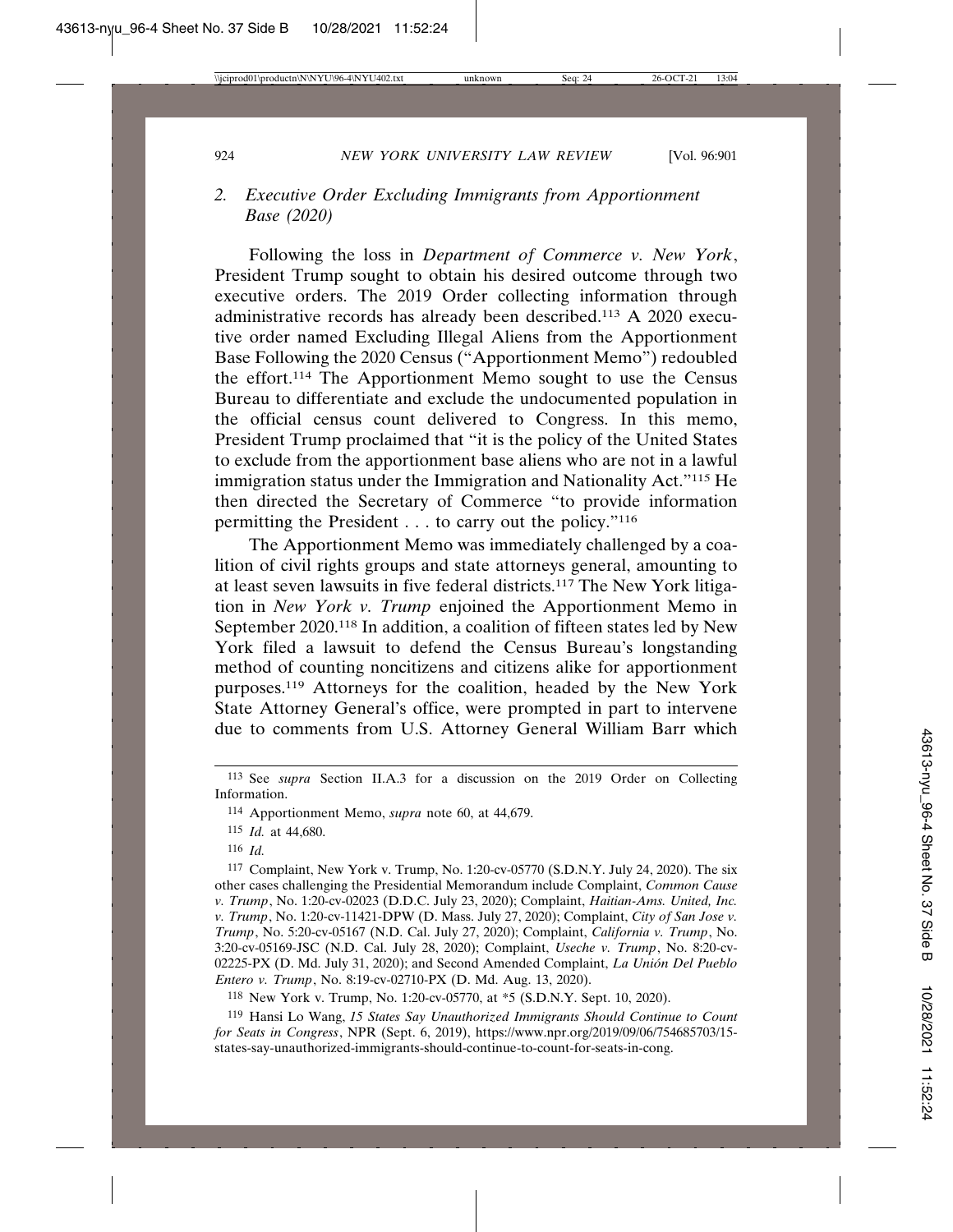# *2. Executive Order Excluding Immigrants from Apportionment Base (2020)*

Following the loss in *Department of Commerce v. New York*, President Trump sought to obtain his desired outcome through two executive orders. The 2019 Order collecting information through administrative records has already been described.113 A 2020 executive order named Excluding Illegal Aliens from the Apportionment Base Following the 2020 Census ("Apportionment Memo") redoubled the effort.114 The Apportionment Memo sought to use the Census Bureau to differentiate and exclude the undocumented population in the official census count delivered to Congress. In this memo, President Trump proclaimed that "it is the policy of the United States to exclude from the apportionment base aliens who are not in a lawful immigration status under the Immigration and Nationality Act."115 He then directed the Secretary of Commerce "to provide information permitting the President . . . to carry out the policy."116

The Apportionment Memo was immediately challenged by a coalition of civil rights groups and state attorneys general, amounting to at least seven lawsuits in five federal districts.117 The New York litigation in *New York v. Trump* enjoined the Apportionment Memo in September 2020.118 In addition, a coalition of fifteen states led by New York filed a lawsuit to defend the Census Bureau's longstanding method of counting noncitizens and citizens alike for apportionment purposes.119 Attorneys for the coalition, headed by the New York State Attorney General's office, were prompted in part to intervene due to comments from U.S. Attorney General William Barr which

- 115 *Id.* at 44,680.
- 116 *Id.*

117 Complaint, New York v. Trump, No. 1:20-cv-05770 (S.D.N.Y. July 24, 2020). The six other cases challenging the Presidential Memorandum include Complaint, *Common Cause v. Trump*, No. 1:20-cv-02023 (D.D.C. July 23, 2020); Complaint, *Haitian-Ams. United, Inc. v. Trump*, No. 1:20-cv-11421-DPW (D. Mass. July 27, 2020); Complaint, *City of San Jose v. Trump*, No. 5:20-cv-05167 (N.D. Cal. July 27, 2020); Complaint, *California v. Trump*, No. 3:20-cv-05169-JSC (N.D. Cal. July 28, 2020); Complaint, *Useche v. Trump*, No. 8:20-cv-02225-PX (D. Md. July 31, 2020); and Second Amended Complaint, *La Unión Del Pueblo Entero v. Trump*, No. 8:19-cv-02710-PX (D. Md. Aug. 13, 2020).

118 New York v. Trump, No. 1:20-cv-05770, at \*5 (S.D.N.Y. Sept. 10, 2020).

119 Hansi Lo Wang, *15 States Say Unauthorized Immigrants Should Continue to Count for Seats in Congress*, NPR (Sept. 6, 2019), https://www.npr.org/2019/09/06/754685703/15 states-say-unauthorized-immigrants-should-continue-to-count-for-seats-in-cong.

<sup>113</sup> See *supra* Section II.A.3 for a discussion on the 2019 Order on Collecting Information.

<sup>114</sup> Apportionment Memo, *supra* note 60, at 44,679.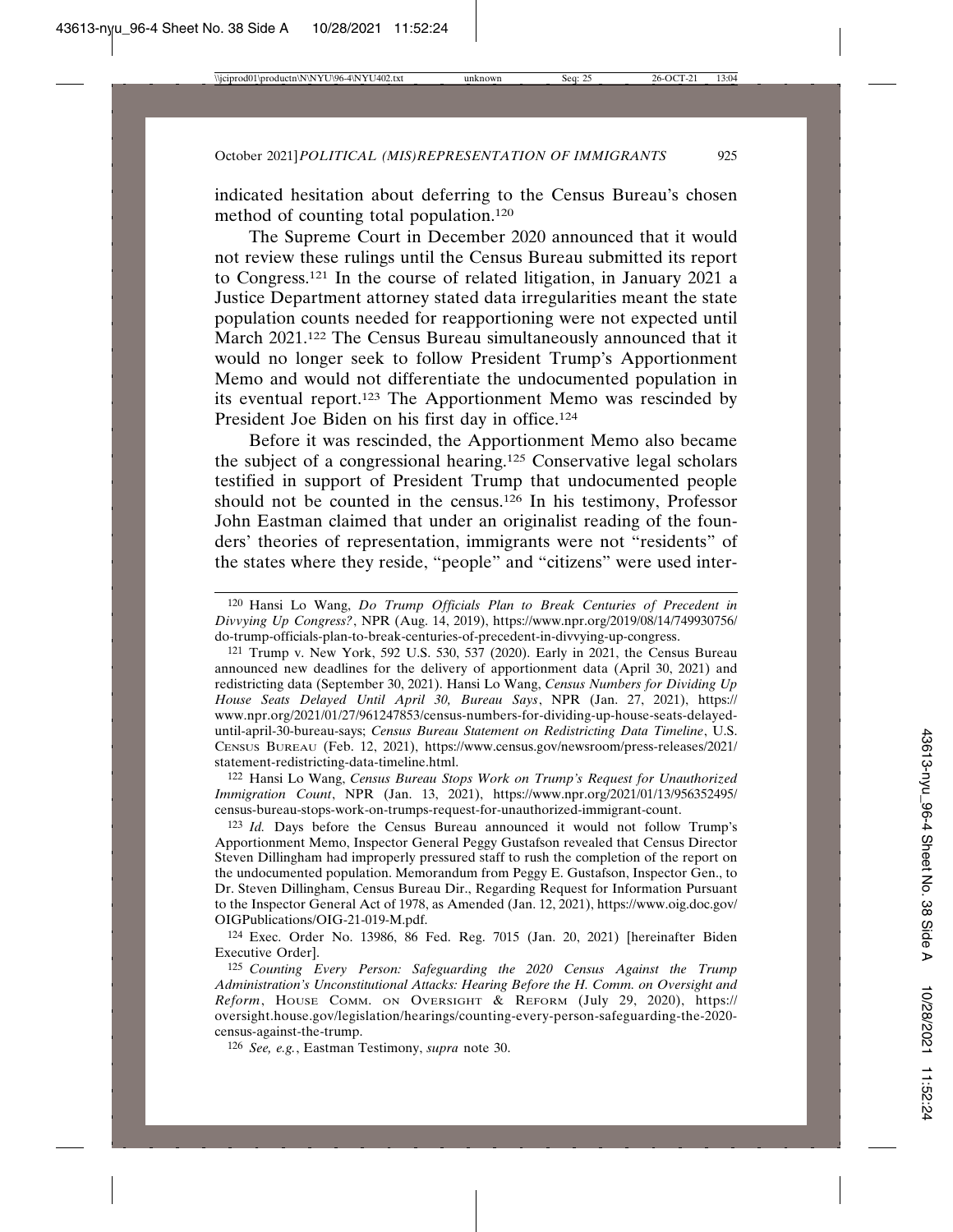indicated hesitation about deferring to the Census Bureau's chosen method of counting total population.120

The Supreme Court in December 2020 announced that it would not review these rulings until the Census Bureau submitted its report to Congress.121 In the course of related litigation, in January 2021 a Justice Department attorney stated data irregularities meant the state population counts needed for reapportioning were not expected until March 2021.122 The Census Bureau simultaneously announced that it would no longer seek to follow President Trump's Apportionment Memo and would not differentiate the undocumented population in its eventual report.123 The Apportionment Memo was rescinded by President Joe Biden on his first day in office.<sup>124</sup>

Before it was rescinded, the Apportionment Memo also became the subject of a congressional hearing.125 Conservative legal scholars testified in support of President Trump that undocumented people should not be counted in the census.126 In his testimony, Professor John Eastman claimed that under an originalist reading of the founders' theories of representation, immigrants were not "residents" of the states where they reside, "people" and "citizens" were used inter-

121 Trump v. New York, 592 U.S. 530, 537 (2020). Early in 2021, the Census Bureau announced new deadlines for the delivery of apportionment data (April 30, 2021) and redistricting data (September 30, 2021). Hansi Lo Wang, *Census Numbers for Dividing Up House Seats Delayed Until April 30, Bureau Says*, NPR (Jan. 27, 2021), https:// www.npr.org/2021/01/27/961247853/census-numbers-for-dividing-up-house-seats-delayeduntil-april-30-bureau-says; *Census Bureau Statement on Redistricting Data Timeline*, U.S. CENSUS BUREAU (Feb. 12, 2021), https://www.census.gov/newsroom/press-releases/2021/ statement-redistricting-data-timeline.html.

122 Hansi Lo Wang, *Census Bureau Stops Work on Trump's Request for Unauthorized Immigration Count*, NPR (Jan. 13, 2021), https://www.npr.org/2021/01/13/956352495/ census-bureau-stops-work-on-trumps-request-for-unauthorized-immigrant-count.

123 *Id.* Days before the Census Bureau announced it would not follow Trump's Apportionment Memo, Inspector General Peggy Gustafson revealed that Census Director Steven Dillingham had improperly pressured staff to rush the completion of the report on the undocumented population. Memorandum from Peggy E. Gustafson, Inspector Gen., to Dr. Steven Dillingham, Census Bureau Dir., Regarding Request for Information Pursuant to the Inspector General Act of 1978, as Amended (Jan. 12, 2021), https://www.oig.doc.gov/ OIGPublications/OIG-21-019-M.pdf.

124 Exec. Order No. 13986, 86 Fed. Reg. 7015 (Jan. 20, 2021) [hereinafter Biden Executive Order].

125 *Counting Every Person: Safeguarding the 2020 Census Against the Trump Administration's Unconstitutional Attacks: Hearing Before the H. Comm. on Oversight and Reform*, HOUSE COMM. ON OVERSIGHT & REFORM (July 29, 2020), https:// oversight.house.gov/legislation/hearings/counting-every-person-safeguarding-the-2020 census-against-the-trump.

126 *See, e.g.*, Eastman Testimony, *supra* note 30.

<sup>120</sup> Hansi Lo Wang, *Do Trump Officials Plan to Break Centuries of Precedent in Divvying Up Congress?*, NPR (Aug. 14, 2019), https://www.npr.org/2019/08/14/749930756/ do-trump-officials-plan-to-break-centuries-of-precedent-in-divvying-up-congress.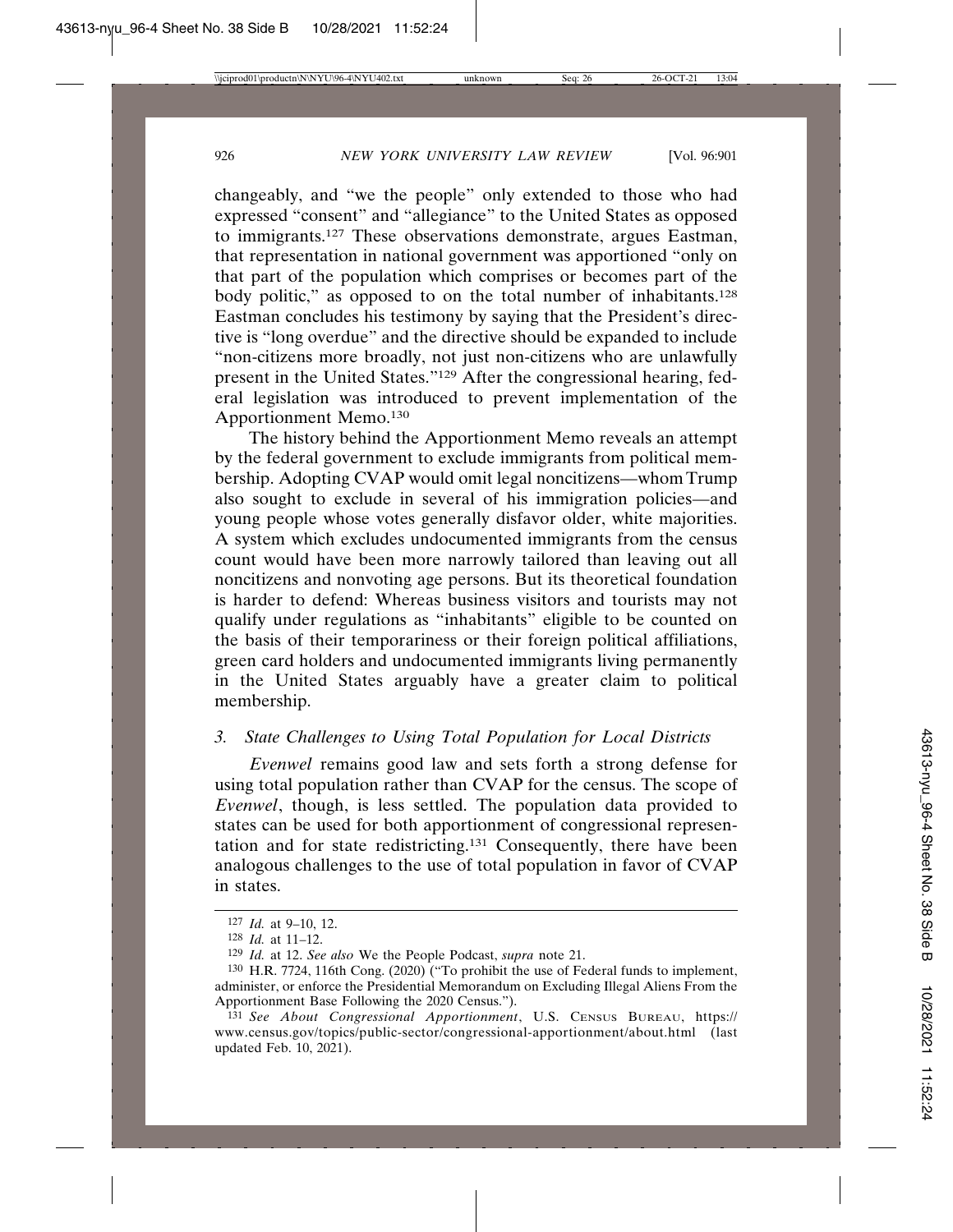changeably, and "we the people" only extended to those who had expressed "consent" and "allegiance" to the United States as opposed to immigrants.<sup>127</sup> These observations demonstrate, argues Eastman, that representation in national government was apportioned "only on that part of the population which comprises or becomes part of the body politic," as opposed to on the total number of inhabitants.<sup>128</sup> Eastman concludes his testimony by saying that the President's directive is "long overdue" and the directive should be expanded to include "non-citizens more broadly, not just non-citizens who are unlawfully present in the United States."129 After the congressional hearing, federal legislation was introduced to prevent implementation of the Apportionment Memo.130

The history behind the Apportionment Memo reveals an attempt by the federal government to exclude immigrants from political membership. Adopting CVAP would omit legal noncitizens—whom Trump also sought to exclude in several of his immigration policies—and young people whose votes generally disfavor older, white majorities. A system which excludes undocumented immigrants from the census count would have been more narrowly tailored than leaving out all noncitizens and nonvoting age persons. But its theoretical foundation is harder to defend: Whereas business visitors and tourists may not qualify under regulations as "inhabitants" eligible to be counted on the basis of their temporariness or their foreign political affiliations, green card holders and undocumented immigrants living permanently in the United States arguably have a greater claim to political membership.

# *3. State Challenges to Using Total Population for Local Districts*

*Evenwel* remains good law and sets forth a strong defense for using total population rather than CVAP for the census. The scope of *Evenwel*, though, is less settled. The population data provided to states can be used for both apportionment of congressional representation and for state redistricting.131 Consequently, there have been analogous challenges to the use of total population in favor of CVAP in states.

<sup>127</sup> *Id.* at 9–10, 12.

<sup>128</sup> *Id.* at 11–12.

<sup>129</sup> *Id.* at 12. *See also* We the People Podcast, *supra* note 21.

<sup>130</sup> H.R. 7724, 116th Cong. (2020) ("To prohibit the use of Federal funds to implement, administer, or enforce the Presidential Memorandum on Excluding Illegal Aliens From the Apportionment Base Following the 2020 Census.").

<sup>131</sup> *See About Congressional Apportionment*, U.S. CENSUS BUREAU, https:// www.census.gov/topics/public-sector/congressional-apportionment/about.html (last updated Feb. 10, 2021).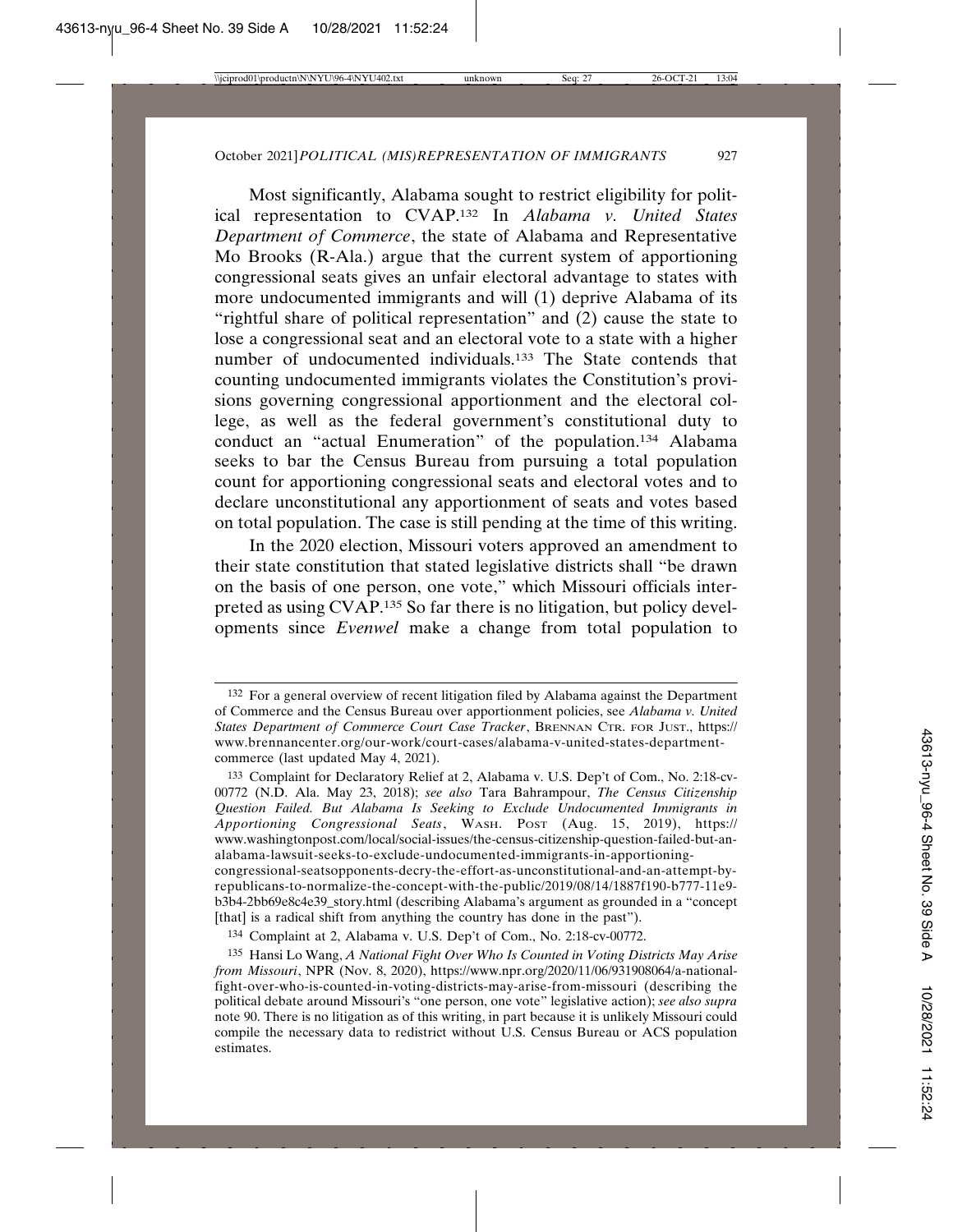Most significantly, Alabama sought to restrict eligibility for political representation to CVAP.132 In *Alabama v. United States Department of Commerce*, the state of Alabama and Representative Mo Brooks (R-Ala.) argue that the current system of apportioning congressional seats gives an unfair electoral advantage to states with more undocumented immigrants and will (1) deprive Alabama of its "rightful share of political representation" and (2) cause the state to lose a congressional seat and an electoral vote to a state with a higher number of undocumented individuals.133 The State contends that counting undocumented immigrants violates the Constitution's provisions governing congressional apportionment and the electoral college, as well as the federal government's constitutional duty to conduct an "actual Enumeration" of the population.134 Alabama seeks to bar the Census Bureau from pursuing a total population count for apportioning congressional seats and electoral votes and to declare unconstitutional any apportionment of seats and votes based on total population. The case is still pending at the time of this writing.

In the 2020 election, Missouri voters approved an amendment to their state constitution that stated legislative districts shall "be drawn on the basis of one person, one vote," which Missouri officials interpreted as using CVAP.135 So far there is no litigation, but policy developments since *Evenwel* make a change from total population to

[that] is a radical shift from anything the country has done in the past").

<sup>132</sup> For a general overview of recent litigation filed by Alabama against the Department of Commerce and the Census Bureau over apportionment policies, see *Alabama v. United States Department of Commerce Court Case Tracker*, BRENNAN CTR. FOR JUST., https:// www.brennancenter.org/our-work/court-cases/alabama-v-united-states-departmentcommerce (last updated May 4, 2021).

<sup>133</sup> Complaint for Declaratory Relief at 2, Alabama v. U.S. Dep't of Com., No. 2:18-cv-00772 (N.D. Ala. May 23, 2018); *see also* Tara Bahrampour, *The Census Citizenship Question Failed. But Alabama Is Seeking to Exclude Undocumented Immigrants in Apportioning Congressional Seats*, WASH. POST (Aug. 15, 2019), https:// www.washingtonpost.com/local/social-issues/the-census-citizenship-question-failed-but-analabama-lawsuit-seeks-to-exclude-undocumented-immigrants-in-apportioningcongressional-seatsopponents-decry-the-effort-as-unconstitutional-and-an-attempt-byrepublicans-to-normalize-the-concept-with-the-public/2019/08/14/1887f190-b777-11e9 b3b4-2bb69e8c4e39\_story.html (describing Alabama's argument as grounded in a "concept

<sup>134</sup> Complaint at 2, Alabama v. U.S. Dep't of Com., No. 2:18-cv-00772.

<sup>135</sup> Hansi Lo Wang, *A National Fight Over Who Is Counted in Voting Districts May Arise from Missouri*, NPR (Nov. 8, 2020), https://www.npr.org/2020/11/06/931908064/a-nationalfight-over-who-is-counted-in-voting-districts-may-arise-from-missouri (describing the political debate around Missouri's "one person, one vote" legislative action); *see also supra* note 90. There is no litigation as of this writing, in part because it is unlikely Missouri could compile the necessary data to redistrict without U.S. Census Bureau or ACS population estimates.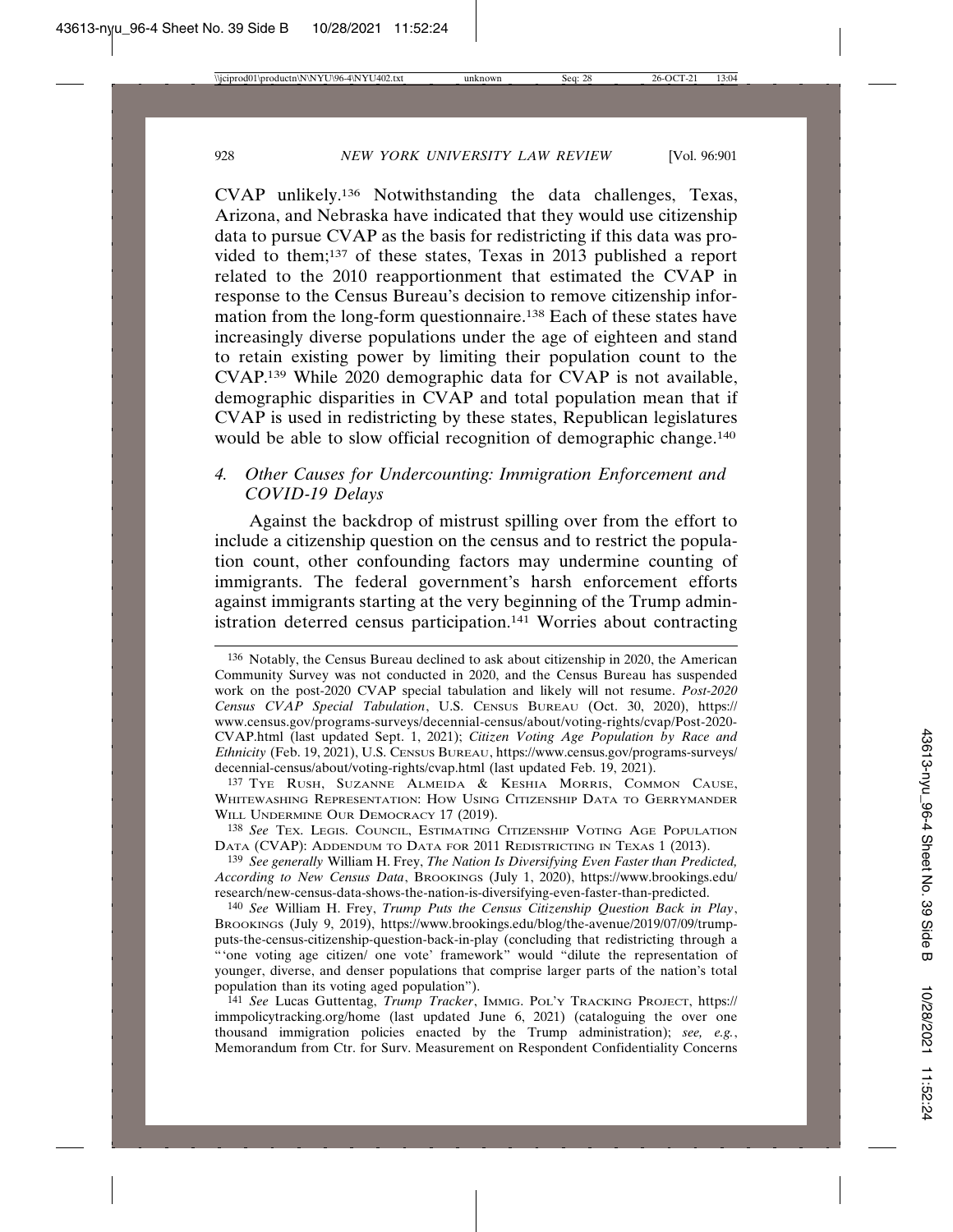CVAP unlikely.136 Notwithstanding the data challenges, Texas, Arizona, and Nebraska have indicated that they would use citizenship data to pursue CVAP as the basis for redistricting if this data was provided to them;137 of these states, Texas in 2013 published a report related to the 2010 reapportionment that estimated the CVAP in response to the Census Bureau's decision to remove citizenship information from the long-form questionnaire.138 Each of these states have increasingly diverse populations under the age of eighteen and stand to retain existing power by limiting their population count to the CVAP.139 While 2020 demographic data for CVAP is not available, demographic disparities in CVAP and total population mean that if CVAP is used in redistricting by these states, Republican legislatures would be able to slow official recognition of demographic change.<sup>140</sup>

# *4. Other Causes for Undercounting: Immigration Enforcement and COVID-19 Delays*

Against the backdrop of mistrust spilling over from the effort to include a citizenship question on the census and to restrict the population count, other confounding factors may undermine counting of immigrants. The federal government's harsh enforcement efforts against immigrants starting at the very beginning of the Trump administration deterred census participation.<sup>141</sup> Worries about contracting

137 TYE RUSH, SUZANNE ALMEIDA & KESHIA MORRIS, COMMON CAUSE, WHITEWASHING REPRESENTATION: HOW USING CITIZENSHIP DATA TO GERRYMANDER WILL UNDERMINE OUR DEMOCRACY 17 (2019).

138 *See* TEX. LEGIS. COUNCIL, ESTIMATING CITIZENSHIP VOTING AGE POPULATION DATA (CVAP): ADDENDUM TO DATA FOR 2011 REDISTRICTING IN TEXAS 1 (2013).

139 *See generally* William H. Frey, *The Nation Is Diversifying Even Faster than Predicted, According to New Census Data*, BROOKINGS (July 1, 2020), https://www.brookings.edu/ research/new-census-data-shows-the-nation-is-diversifying-even-faster-than-predicted.

140 *See* William H. Frey, *Trump Puts the Census Citizenship Question Back in Play*, BROOKINGS (July 9, 2019), https://www.brookings.edu/blog/the-avenue/2019/07/09/trumpputs-the-census-citizenship-question-back-in-play (concluding that redistricting through a "'one voting age citizen/ one vote' framework" would "dilute the representation of younger, diverse, and denser populations that comprise larger parts of the nation's total population than its voting aged population").

141 *See* Lucas Guttentag, *Trump Tracker*, IMMIG. POL'Y TRACKING PROJECT, https:// immpolicytracking.org/home (last updated June 6, 2021) (cataloguing the over one thousand immigration policies enacted by the Trump administration); *see, e.g.*, Memorandum from Ctr. for Surv. Measurement on Respondent Confidentiality Concerns

<sup>136</sup> Notably, the Census Bureau declined to ask about citizenship in 2020, the American Community Survey was not conducted in 2020, and the Census Bureau has suspended work on the post-2020 CVAP special tabulation and likely will not resume. *Post-2020 Census CVAP Special Tabulation*, U.S. CENSUS BUREAU (Oct. 30, 2020), https:// www.census.gov/programs-surveys/decennial-census/about/voting-rights/cvap/Post-2020- CVAP.html (last updated Sept. 1, 2021); *Citizen Voting Age Population by Race and Ethnicity* (Feb. 19, 2021), U.S. CENSUS BUREAU, https://www.census.gov/programs-surveys/ decennial-census/about/voting-rights/cvap.html (last updated Feb. 19, 2021).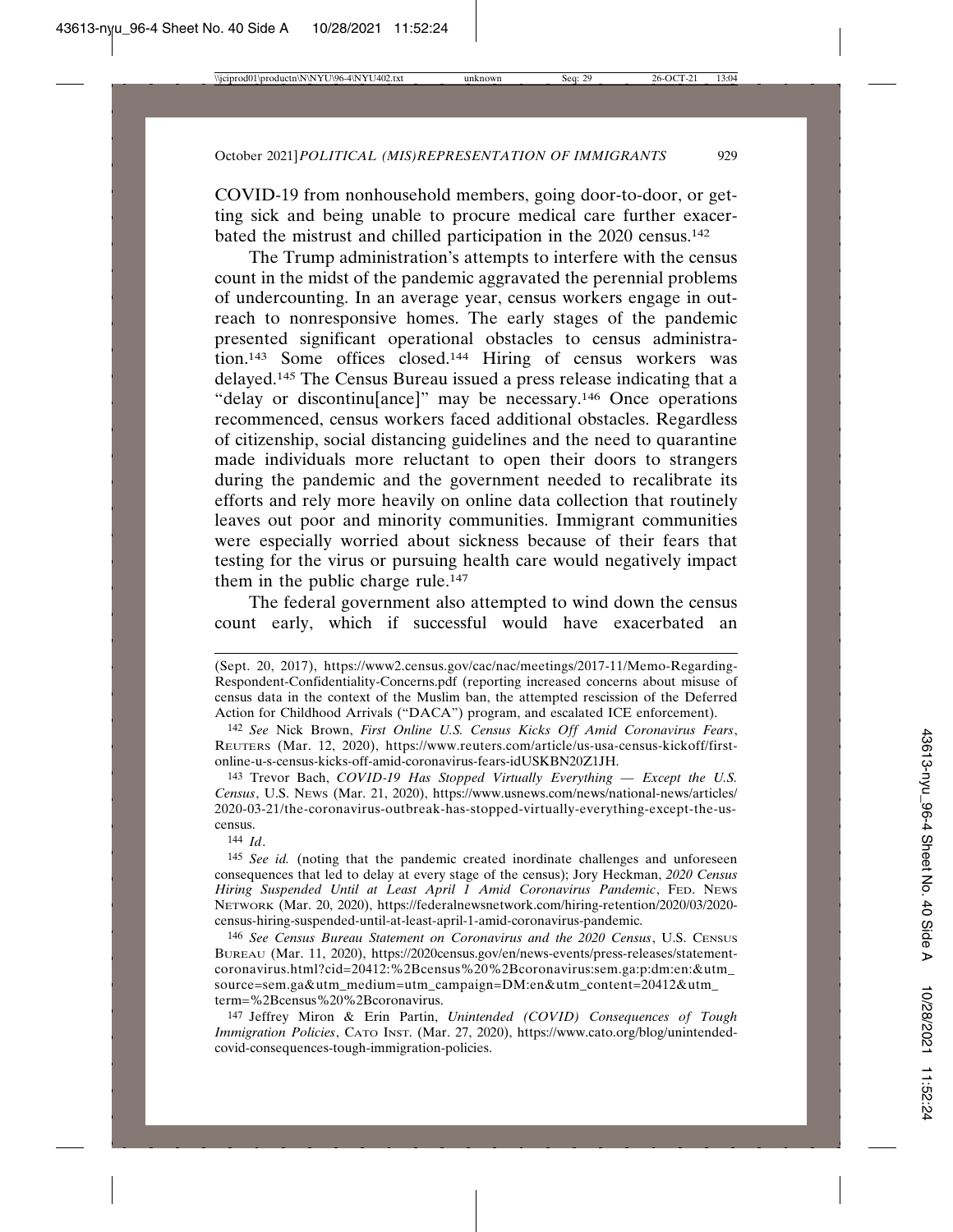COVID-19 from nonhousehold members, going door-to-door, or getting sick and being unable to procure medical care further exacerbated the mistrust and chilled participation in the 2020 census.142

The Trump administration's attempts to interfere with the census count in the midst of the pandemic aggravated the perennial problems of undercounting. In an average year, census workers engage in outreach to nonresponsive homes. The early stages of the pandemic presented significant operational obstacles to census administration.143 Some offices closed.144 Hiring of census workers was delayed.145 The Census Bureau issued a press release indicating that a "delay or discontinu[ance]" may be necessary.146 Once operations recommenced, census workers faced additional obstacles. Regardless of citizenship, social distancing guidelines and the need to quarantine made individuals more reluctant to open their doors to strangers during the pandemic and the government needed to recalibrate its efforts and rely more heavily on online data collection that routinely leaves out poor and minority communities. Immigrant communities were especially worried about sickness because of their fears that testing for the virus or pursuing health care would negatively impact them in the public charge rule.<sup>147</sup>

The federal government also attempted to wind down the census count early, which if successful would have exacerbated an

144 *Id*.

145 *See id.* (noting that the pandemic created inordinate challenges and unforeseen consequences that led to delay at every stage of the census); Jory Heckman, *2020 Census Hiring Suspended Until at Least April 1 Amid Coronavirus Pandemic*, FED. NEWS NETWORK (Mar. 20, 2020), https://federalnewsnetwork.com/hiring-retention/2020/03/2020 census-hiring-suspended-until-at-least-april-1-amid-coronavirus-pandemic.

146 *See Census Bureau Statement on Coronavirus and the 2020 Census*, U.S. CENSUS BUREAU (Mar. 11, 2020), https://2020census.gov/en/news-events/press-releases/statementcoronavirus.html?cid=20412:%2Bcensus%20%2Bcoronavirus:sem.ga:p:dm:en:&utm\_ source=sem.ga&utm\_medium=utm\_campaign=DM:en&utm\_content=20412&utm\_ term=%2Bcensus%20%2Bcoronavirus.

147 Jeffrey Miron & Erin Partin, *Unintended (COVID) Consequences of Tough Immigration Policies*, CATO INST. (Mar. 27, 2020), https://www.cato.org/blog/unintendedcovid-consequences-tough-immigration-policies.

<sup>(</sup>Sept. 20, 2017), https://www2.census.gov/cac/nac/meetings/2017-11/Memo-Regarding-Respondent-Confidentiality-Concerns.pdf (reporting increased concerns about misuse of census data in the context of the Muslim ban, the attempted rescission of the Deferred Action for Childhood Arrivals ("DACA") program, and escalated ICE enforcement).

<sup>142</sup> *See* Nick Brown, *First Online U.S. Census Kicks Off Amid Coronavirus Fears*, REUTERS (Mar. 12, 2020), https://www.reuters.com/article/us-usa-census-kickoff/firstonline-u-s-census-kicks-off-amid-coronavirus-fears-idUSKBN20Z1JH.

<sup>143</sup> Trevor Bach, *COVID-19 Has Stopped Virtually Everything — Except the U.S. Census*, U.S. NEWS (Mar. 21, 2020), https://www.usnews.com/news/national-news/articles/ 2020-03-21/the-coronavirus-outbreak-has-stopped-virtually-everything-except-the-uscensus.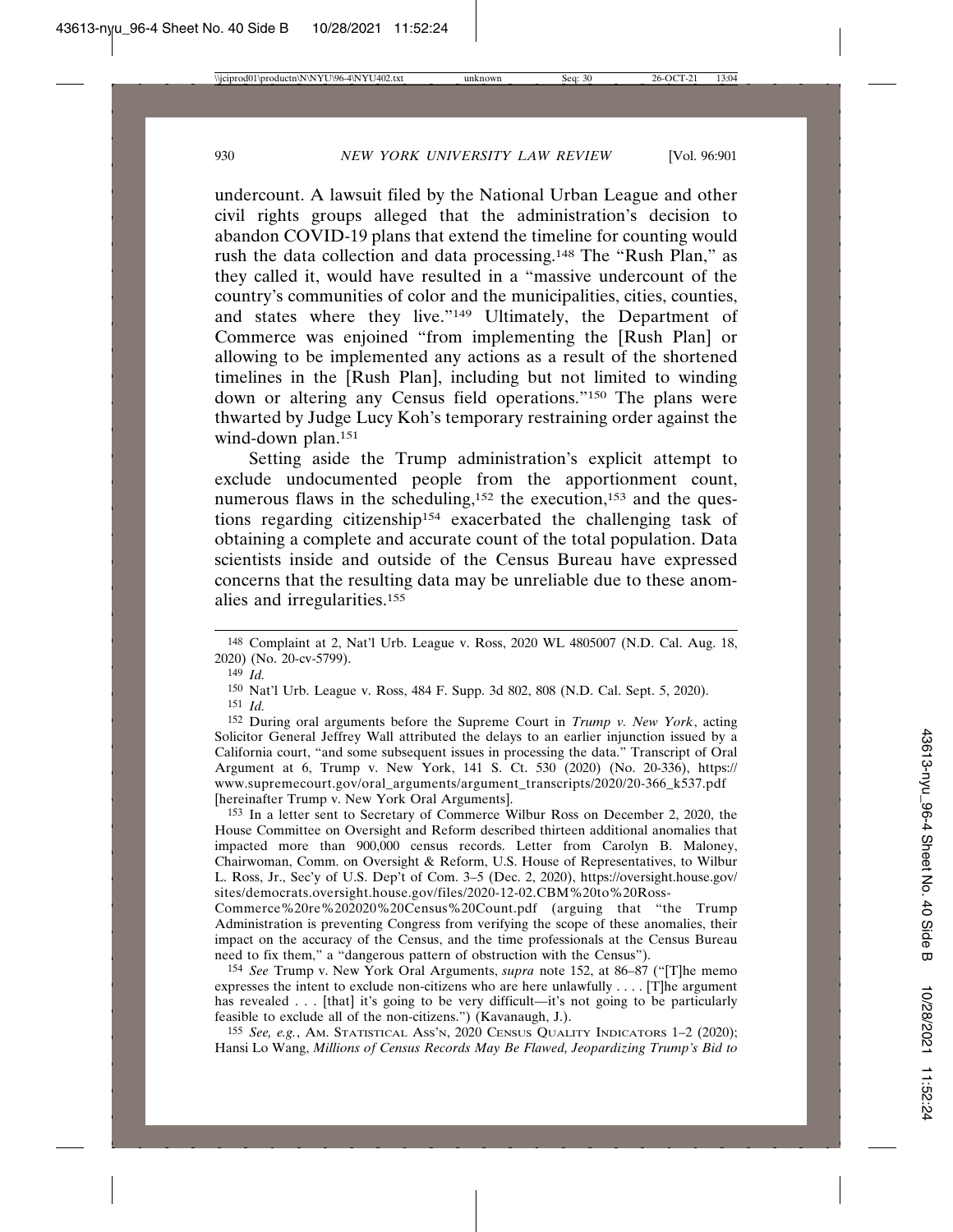undercount. A lawsuit filed by the National Urban League and other civil rights groups alleged that the administration's decision to abandon COVID-19 plans that extend the timeline for counting would rush the data collection and data processing.148 The "Rush Plan," as they called it, would have resulted in a "massive undercount of the country's communities of color and the municipalities, cities, counties, and states where they live."149 Ultimately, the Department of Commerce was enjoined "from implementing the [Rush Plan] or allowing to be implemented any actions as a result of the shortened timelines in the [Rush Plan], including but not limited to winding down or altering any Census field operations."150 The plans were thwarted by Judge Lucy Koh's temporary restraining order against the wind-down plan.<sup>151</sup>

Setting aside the Trump administration's explicit attempt to exclude undocumented people from the apportionment count, numerous flaws in the scheduling,<sup>152</sup> the execution,<sup>153</sup> and the questions regarding citizenship154 exacerbated the challenging task of obtaining a complete and accurate count of the total population. Data scientists inside and outside of the Census Bureau have expressed concerns that the resulting data may be unreliable due to these anomalies and irregularities.155

152 During oral arguments before the Supreme Court in *Trump v. New York*, acting Solicitor General Jeffrey Wall attributed the delays to an earlier injunction issued by a California court, "and some subsequent issues in processing the data." Transcript of Oral Argument at 6, Trump v. New York, 141 S. Ct. 530 (2020) (No. 20-336), https:// www.supremecourt.gov/oral\_arguments/argument\_transcripts/2020/20-366\_k537.pdf [hereinafter Trump v. New York Oral Arguments].

153 In a letter sent to Secretary of Commerce Wilbur Ross on December 2, 2020, the House Committee on Oversight and Reform described thirteen additional anomalies that impacted more than 900,000 census records. Letter from Carolyn B. Maloney, Chairwoman, Comm. on Oversight & Reform, U.S. House of Representatives, to Wilbur L. Ross, Jr., Sec'y of U.S. Dep't of Com. 3–5 (Dec. 2, 2020), https://oversight.house.gov/ sites/democrats.oversight.house.gov/files/2020-12-02.CBM%20to%20Ross-

Commerce%20re%202020%20Census%20Count.pdf (arguing that "the Trump Administration is preventing Congress from verifying the scope of these anomalies, their impact on the accuracy of the Census, and the time professionals at the Census Bureau need to fix them," a "dangerous pattern of obstruction with the Census").

154 *See* Trump v. New York Oral Arguments, *supra* note 152, at 86–87 ("[T]he memo expresses the intent to exclude non-citizens who are here unlawfully . . . . [T]he argument has revealed . . . [that] it's going to be very difficult—it's not going to be particularly feasible to exclude all of the non-citizens.") (Kavanaugh, J.).

155 *See, e.g.*, AM. STATISTICAL ASS'N, 2020 CENSUS QUALITY INDICATORS 1–2 (2020); Hansi Lo Wang, *Millions of Census Records May Be Flawed, Jeopardizing Trump's Bid to*

<sup>148</sup> Complaint at 2, Nat'l Urb. League v. Ross, 2020 WL 4805007 (N.D. Cal. Aug. 18, 2020) (No. 20-cv-5799).

<sup>149</sup> *Id.*

<sup>150</sup> Nat'l Urb. League v. Ross, 484 F. Supp. 3d 802, 808 (N.D. Cal. Sept. 5, 2020).

<sup>151</sup> *Id.*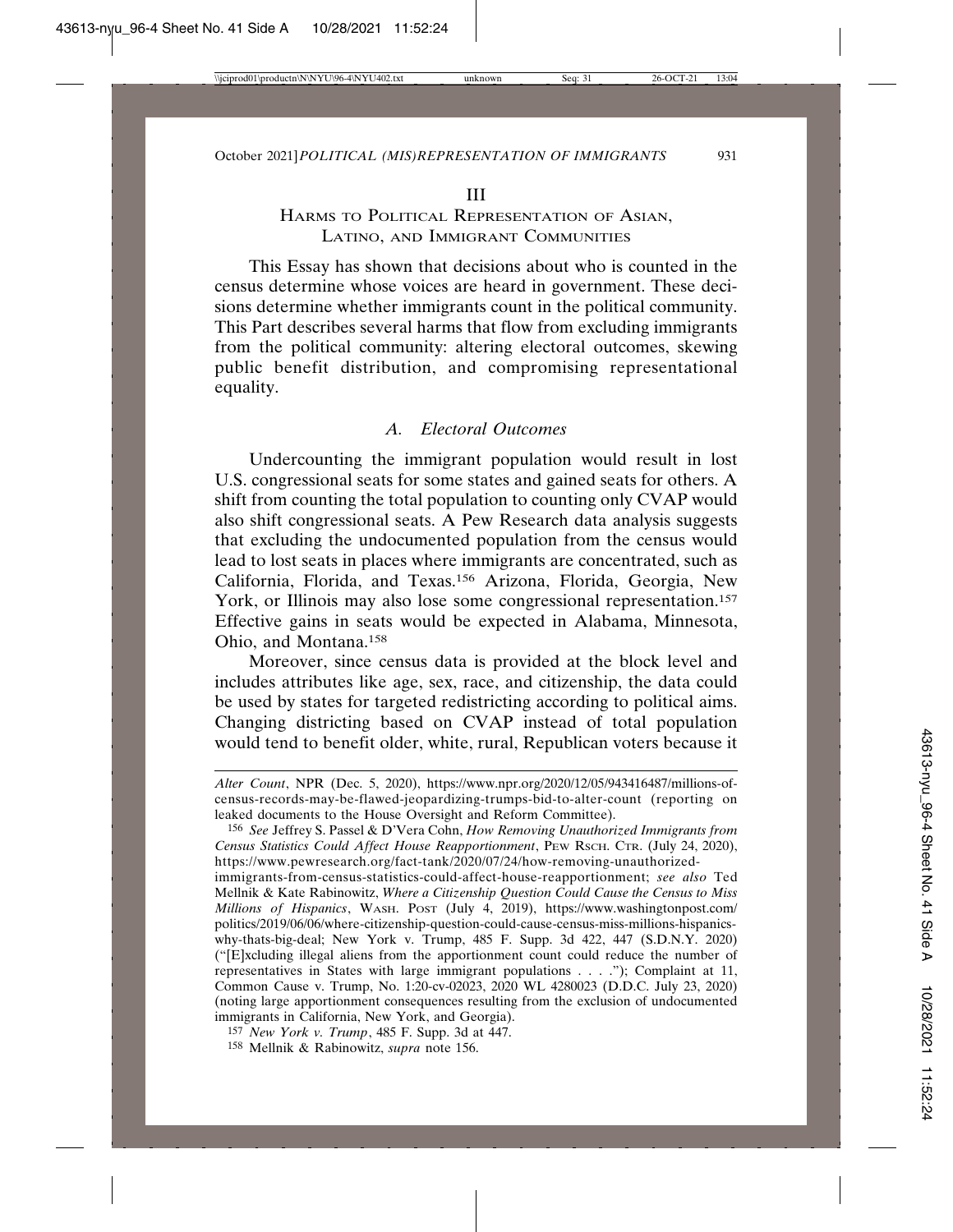#### III

## HARMS TO POLITICAL REPRESENTATION OF ASIAN, LATINO, AND IMMIGRANT COMMUNITIES

This Essay has shown that decisions about who is counted in the census determine whose voices are heard in government. These decisions determine whether immigrants count in the political community. This Part describes several harms that flow from excluding immigrants from the political community: altering electoral outcomes, skewing public benefit distribution, and compromising representational equality.

## *A. Electoral Outcomes*

Undercounting the immigrant population would result in lost U.S. congressional seats for some states and gained seats for others. A shift from counting the total population to counting only CVAP would also shift congressional seats. A Pew Research data analysis suggests that excluding the undocumented population from the census would lead to lost seats in places where immigrants are concentrated, such as California, Florida, and Texas.156 Arizona, Florida, Georgia, New York, or Illinois may also lose some congressional representation.<sup>157</sup> Effective gains in seats would be expected in Alabama, Minnesota, Ohio, and Montana.158

Moreover, since census data is provided at the block level and includes attributes like age, sex, race, and citizenship, the data could be used by states for targeted redistricting according to political aims. Changing districting based on CVAP instead of total population would tend to benefit older, white, rural, Republican voters because it

*Alter Count*, NPR (Dec. 5, 2020), https://www.npr.org/2020/12/05/943416487/millions-ofcensus-records-may-be-flawed-jeopardizing-trumps-bid-to-alter-count (reporting on leaked documents to the House Oversight and Reform Committee).

<sup>156</sup> *See* Jeffrey S. Passel & D'Vera Cohn, *How Removing Unauthorized Immigrants from Census Statistics Could Affect House Reapportionment*, PEW RSCH. CTR. (July 24, 2020), https://www.pewresearch.org/fact-tank/2020/07/24/how-removing-unauthorized-

immigrants-from-census-statistics-could-affect-house-reapportionment; *see also* Ted Mellnik & Kate Rabinowitz, *Where a Citizenship Question Could Cause the Census to Miss Millions of Hispanics*, WASH. POST (July 4, 2019), https://www.washingtonpost.com/ politics/2019/06/06/where-citizenship-question-could-cause-census-miss-millions-hispanicswhy-thats-big-deal; New York v. Trump, 485 F. Supp. 3d 422, 447 (S.D.N.Y. 2020) ("[E]xcluding illegal aliens from the apportionment count could reduce the number of representatives in States with large immigrant populations . . . ."); Complaint at 11, Common Cause v. Trump, No. 1:20-cv-02023, 2020 WL 4280023 (D.D.C. July 23, 2020) (noting large apportionment consequences resulting from the exclusion of undocumented immigrants in California, New York, and Georgia).

<sup>157</sup> *New York v. Trump*, 485 F. Supp. 3d at 447.

<sup>158</sup> Mellnik & Rabinowitz, *supra* note 156.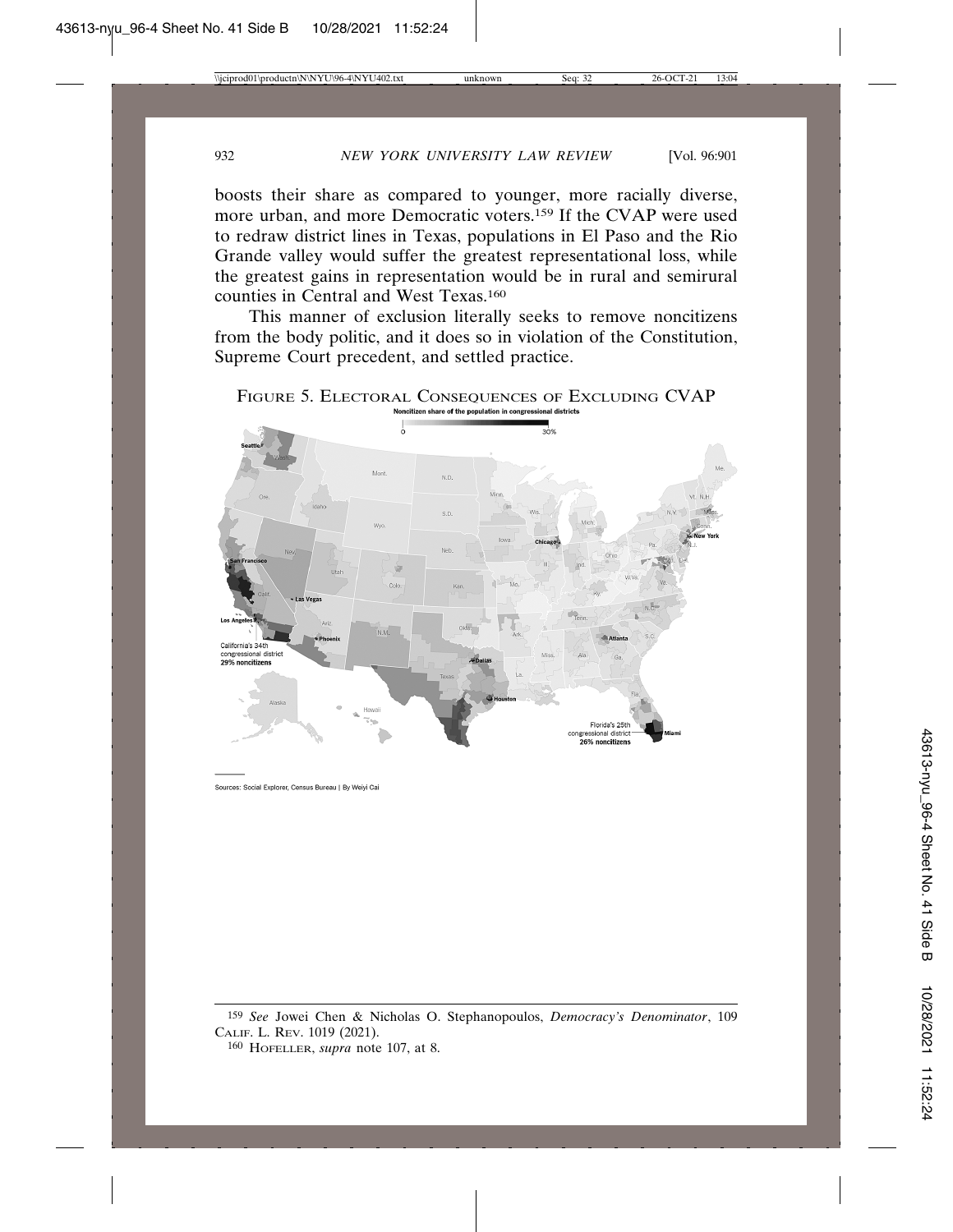boosts their share as compared to younger, more racially diverse, more urban, and more Democratic voters.159 If the CVAP were used to redraw district lines in Texas, populations in El Paso and the Rio Grande valley would suffer the greatest representational loss, while the greatest gains in representation would be in rural and semirural counties in Central and West Texas.160

This manner of exclusion literally seeks to remove noncitizens from the body politic, and it does so in violation of the Constitution, Supreme Court precedent, and settled practice.

FIGURE 5. ELECTORAL CONSEQUENCES OF EXCLUDING CVAP



Sources: Social Explorer, Census Bureau | By Weiyi Cai

<sup>159</sup> *See* Jowei Chen & Nicholas O. Stephanopoulos, *Democracy's Denominator*, 109 CALIF. L. REV. 1019 (2021).

<sup>160</sup> HOFELLER, *supra* note 107, at 8.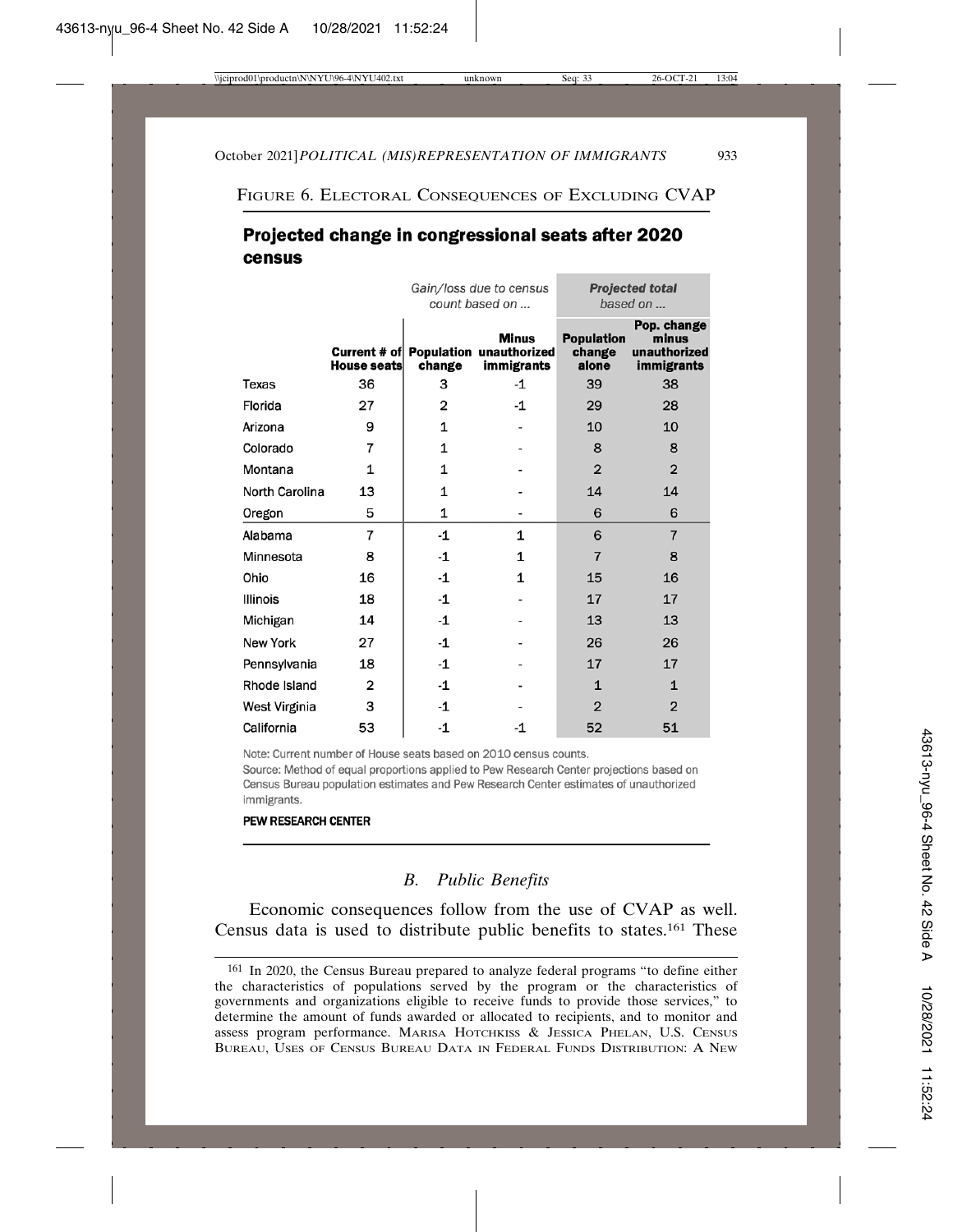FIGURE 6. ELECTORAL CONSEQUENCES OF EXCLUDING CVAP

# Projected change in congressional seats after 2020 census

|                 |                | Gain/loss due to census<br>count based on |                                                             | <b>Projected total</b><br>based on   |                                                           |
|-----------------|----------------|-------------------------------------------|-------------------------------------------------------------|--------------------------------------|-----------------------------------------------------------|
|                 | House seats    | change                                    | Minus<br>Current # of Population unauthorized<br>immigrants | <b>Population</b><br>change<br>alone | Pop. change<br>minus<br>unauthorized<br><b>immigrants</b> |
| Texas           | 36             | 3                                         | $-1$                                                        | 39                                   | 38                                                        |
| Florida         | 27             | 2                                         | $-1$                                                        | 29                                   | 28                                                        |
| Arizona         | 9              | 1                                         |                                                             | 10                                   | 10                                                        |
| Colorado        | $\overline{7}$ | 1                                         |                                                             | 8                                    | 8                                                         |
| Montana         | 1              | 1                                         |                                                             | $\overline{2}$                       | $\overline{2}$                                            |
| North Carolina  | 13             | 1                                         |                                                             | 14                                   | 14                                                        |
| Oregon          | 5              | 1                                         |                                                             | 6                                    | 6                                                         |
| Alabama         | 7              | -1                                        | 1                                                           | 6                                    | $\overline{7}$                                            |
| Minnesota       | 8              | -1                                        | 1                                                           | $\overline{7}$                       | 8                                                         |
| Ohio            | 16             | -1                                        | 1                                                           | 15                                   | 16                                                        |
| <b>Illinois</b> | 18             | -1                                        |                                                             | 17                                   | 17                                                        |
| Michigan        | 14             | -1                                        |                                                             | 13                                   | 13                                                        |
| <b>New York</b> | 27             | -1                                        |                                                             | 26                                   | 26                                                        |
| Pennsylvania    | 18             | -1                                        |                                                             | 17                                   | 17                                                        |
| Rhode Island    | $\overline{2}$ | -1                                        |                                                             | $\mathbf{1}$                         | $\mathbf{1}$                                              |
| West Virginia   | з              | -1                                        |                                                             | $\overline{2}$                       | $\overline{2}$                                            |
| California      | 53             | -1                                        | -1                                                          | 52                                   | 51                                                        |

Note: Current number of House seats based on 2010 census counts.

Source: Method of equal proportions applied to Pew Research Center projections based on Census Bureau population estimates and Pew Research Center estimates of unauthorized immigrants.

#### **PEW RESEARCH CENTER**

## *B. Public Benefits*

Economic consequences follow from the use of CVAP as well. Census data is used to distribute public benefits to states.161 These

<sup>161</sup> In 2020, the Census Bureau prepared to analyze federal programs "to define either the characteristics of populations served by the program or the characteristics of governments and organizations eligible to receive funds to provide those services," to determine the amount of funds awarded or allocated to recipients, and to monitor and assess program performance. MARISA HOTCHKISS & JESSICA PHELAN, U.S. CENSUS BUREAU, USES OF CENSUS BUREAU DATA IN FEDERAL FUNDS DISTRIBUTION: A NEW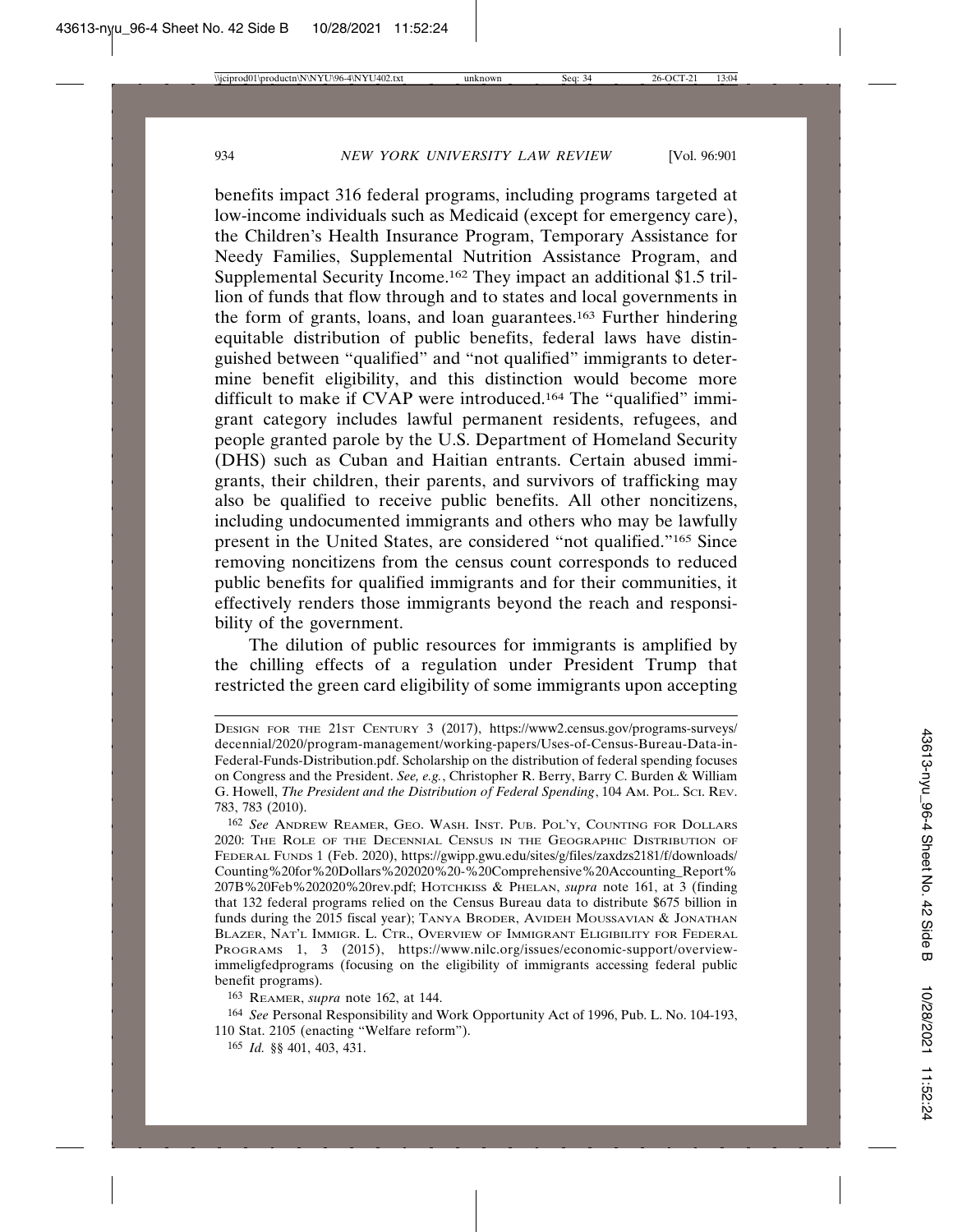benefits impact 316 federal programs, including programs targeted at low-income individuals such as Medicaid (except for emergency care), the Children's Health Insurance Program, Temporary Assistance for Needy Families, Supplemental Nutrition Assistance Program, and Supplemental Security Income.162 They impact an additional \$1.5 trillion of funds that flow through and to states and local governments in the form of grants, loans, and loan guarantees.163 Further hindering equitable distribution of public benefits, federal laws have distinguished between "qualified" and "not qualified" immigrants to determine benefit eligibility, and this distinction would become more difficult to make if CVAP were introduced.164 The "qualified" immigrant category includes lawful permanent residents, refugees, and people granted parole by the U.S. Department of Homeland Security (DHS) such as Cuban and Haitian entrants. Certain abused immigrants, their children, their parents, and survivors of trafficking may also be qualified to receive public benefits. All other noncitizens, including undocumented immigrants and others who may be lawfully present in the United States, are considered "not qualified."165 Since removing noncitizens from the census count corresponds to reduced public benefits for qualified immigrants and for their communities, it effectively renders those immigrants beyond the reach and responsibility of the government.

The dilution of public resources for immigrants is amplified by the chilling effects of a regulation under President Trump that restricted the green card eligibility of some immigrants upon accepting

DESIGN FOR THE 21ST CENTURY 3 (2017), https://www2.census.gov/programs-surveys/ decennial/2020/program-management/working-papers/Uses-of-Census-Bureau-Data-in-Federal-Funds-Distribution.pdf. Scholarship on the distribution of federal spending focuses on Congress and the President. *See, e.g.*, Christopher R. Berry, Barry C. Burden & William G. Howell, *The President and the Distribution of Federal Spending*, 104 AM. POL. SCI. REV. 783, 783 (2010).

<sup>162</sup> *See* ANDREW REAMER, GEO. WASH. INST. PUB. POL'Y, COUNTING FOR DOLLARS 2020: THE ROLE OF THE DECENNIAL CENSUS IN THE GEOGRAPHIC DISTRIBUTION OF FEDERAL FUNDS 1 (Feb. 2020), https://gwipp.gwu.edu/sites/g/files/zaxdzs2181/f/downloads/ Counting%20for%20Dollars%202020%20-%20Comprehensive%20Accounting\_Report% 207B%20Feb%202020%20rev.pdf; HOTCHKISS & PHELAN, *supra* note 161, at 3 (finding that 132 federal programs relied on the Census Bureau data to distribute \$675 billion in funds during the 2015 fiscal year); TANYA BRODER, AVIDEH MOUSSAVIAN & JONATHAN BLAZER, NAT'L IMMIGR. L. CTR., OVERVIEW OF IMMIGRANT ELIGIBILITY FOR FEDERAL PROGRAMS 1, 3 (2015), https://www.nilc.org/issues/economic-support/overviewimmeligfedprograms (focusing on the eligibility of immigrants accessing federal public benefit programs).

<sup>163</sup> REAMER, *supra* note 162, at 144.

<sup>164</sup> *See* Personal Responsibility and Work Opportunity Act of 1996, Pub. L. No. 104-193, 110 Stat. 2105 (enacting "Welfare reform").

<sup>165</sup> *Id.* §§ 401, 403, 431.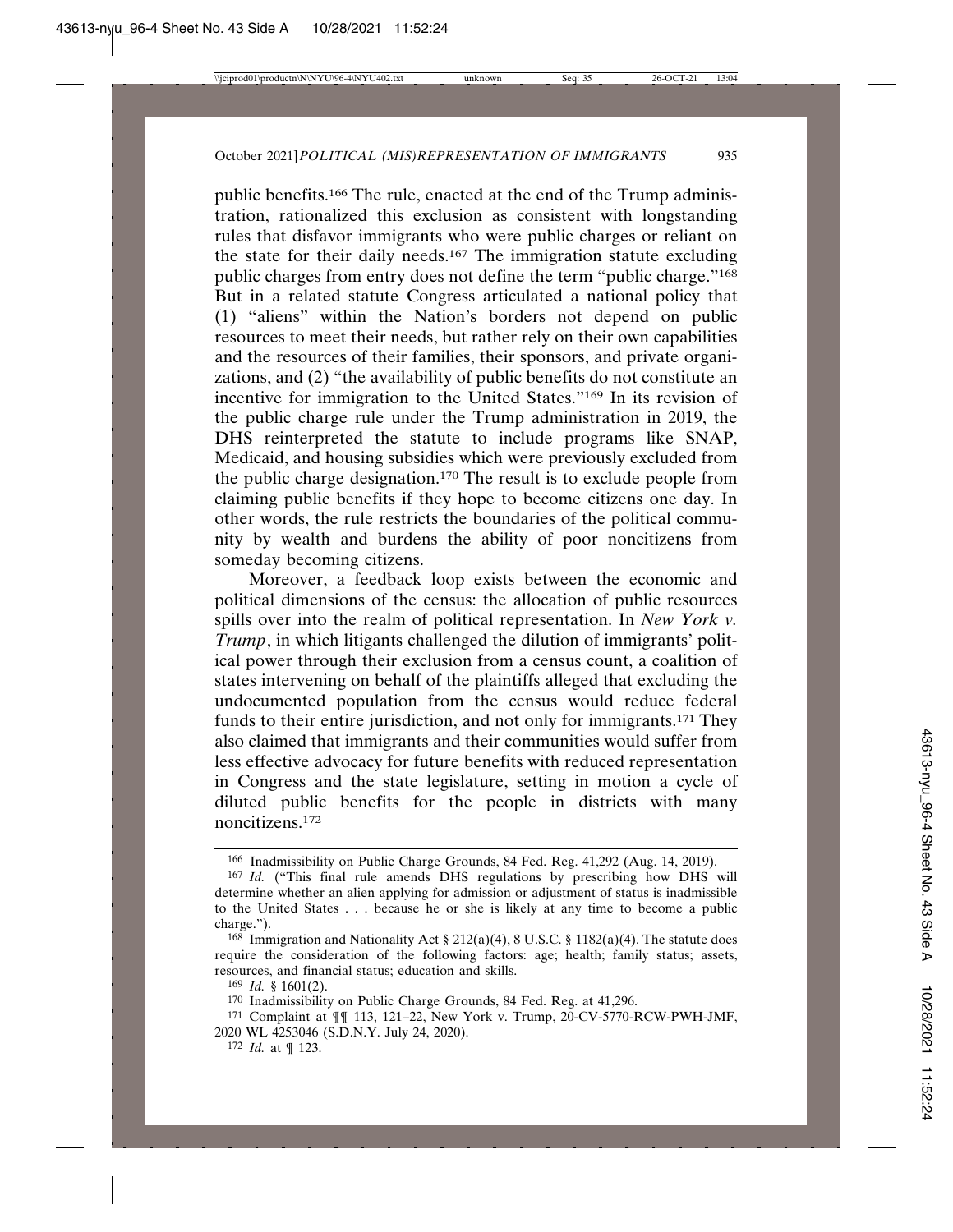public benefits.166 The rule, enacted at the end of the Trump administration, rationalized this exclusion as consistent with longstanding rules that disfavor immigrants who were public charges or reliant on the state for their daily needs.167 The immigration statute excluding public charges from entry does not define the term "public charge."168 But in a related statute Congress articulated a national policy that (1) "aliens" within the Nation's borders not depend on public resources to meet their needs, but rather rely on their own capabilities and the resources of their families, their sponsors, and private organizations, and (2) "the availability of public benefits do not constitute an incentive for immigration to the United States."169 In its revision of the public charge rule under the Trump administration in 2019, the DHS reinterpreted the statute to include programs like SNAP, Medicaid, and housing subsidies which were previously excluded from the public charge designation.170 The result is to exclude people from claiming public benefits if they hope to become citizens one day. In other words, the rule restricts the boundaries of the political community by wealth and burdens the ability of poor noncitizens from someday becoming citizens.

Moreover, a feedback loop exists between the economic and political dimensions of the census: the allocation of public resources spills over into the realm of political representation. In *New York v. Trump*, in which litigants challenged the dilution of immigrants' political power through their exclusion from a census count, a coalition of states intervening on behalf of the plaintiffs alleged that excluding the undocumented population from the census would reduce federal funds to their entire jurisdiction, and not only for immigrants.171 They also claimed that immigrants and their communities would suffer from less effective advocacy for future benefits with reduced representation in Congress and the state legislature, setting in motion a cycle of diluted public benefits for the people in districts with many noncitizens.172

<sup>166</sup> Inadmissibility on Public Charge Grounds, 84 Fed. Reg. 41,292 (Aug. 14, 2019).

<sup>167</sup> *Id.* ("This final rule amends DHS regulations by prescribing how DHS will determine whether an alien applying for admission or adjustment of status is inadmissible to the United States . . . because he or she is likely at any time to become a public charge.").

<sup>&</sup>lt;sup>168</sup> Immigration and Nationality Act  $\S 212(a)(4)$ , 8 U.S.C.  $\S 1182(a)(4)$ . The statute does require the consideration of the following factors: age; health; family status; assets, resources, and financial status; education and skills.

<sup>169</sup> *Id.* § 1601(2).

<sup>170</sup> Inadmissibility on Public Charge Grounds, 84 Fed. Reg. at 41,296.

<sup>171</sup> Complaint at  $\P\P$  113, 121-22, New York v. Trump, 20-CV-5770-RCW-PWH-JMF, 2020 WL 4253046 (S.D.N.Y. July 24, 2020).

<sup>172</sup> *Id.* at ¶ 123.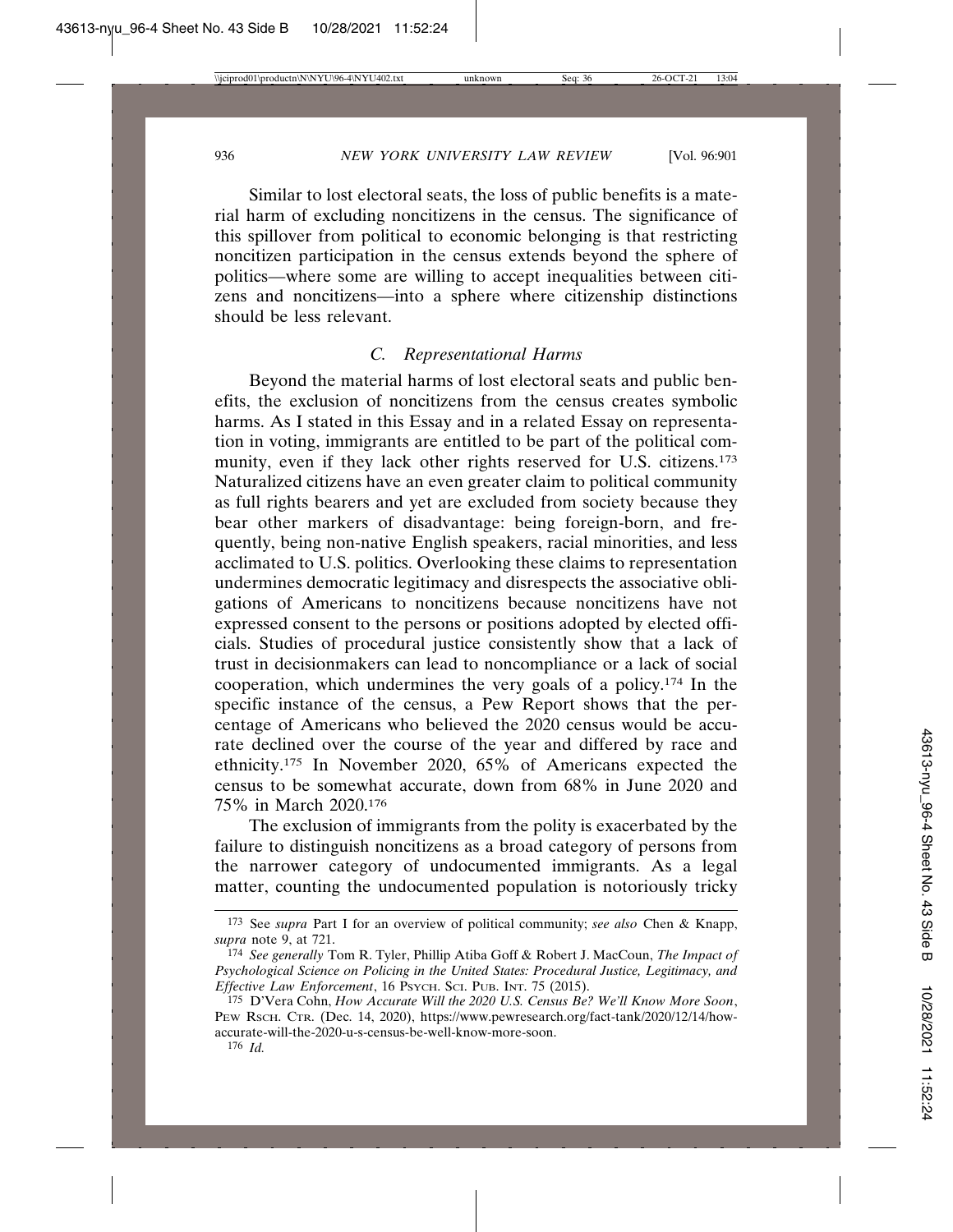Similar to lost electoral seats, the loss of public benefits is a material harm of excluding noncitizens in the census. The significance of this spillover from political to economic belonging is that restricting noncitizen participation in the census extends beyond the sphere of politics—where some are willing to accept inequalities between citizens and noncitizens—into a sphere where citizenship distinctions should be less relevant.

## *C. Representational Harms*

Beyond the material harms of lost electoral seats and public benefits, the exclusion of noncitizens from the census creates symbolic harms. As I stated in this Essay and in a related Essay on representation in voting, immigrants are entitled to be part of the political community, even if they lack other rights reserved for U.S. citizens.173 Naturalized citizens have an even greater claim to political community as full rights bearers and yet are excluded from society because they bear other markers of disadvantage: being foreign-born, and frequently, being non-native English speakers, racial minorities, and less acclimated to U.S. politics. Overlooking these claims to representation undermines democratic legitimacy and disrespects the associative obligations of Americans to noncitizens because noncitizens have not expressed consent to the persons or positions adopted by elected officials. Studies of procedural justice consistently show that a lack of trust in decisionmakers can lead to noncompliance or a lack of social cooperation, which undermines the very goals of a policy.174 In the specific instance of the census, a Pew Report shows that the percentage of Americans who believed the 2020 census would be accurate declined over the course of the year and differed by race and ethnicity.175 In November 2020, 65% of Americans expected the census to be somewhat accurate, down from 68% in June 2020 and 75% in March 2020.176

The exclusion of immigrants from the polity is exacerbated by the failure to distinguish noncitizens as a broad category of persons from the narrower category of undocumented immigrants. As a legal matter, counting the undocumented population is notoriously tricky

<sup>173</sup> See *supra* Part I for an overview of political community; *see also* Chen & Knapp, *supra* note 9, at 721.

<sup>174</sup> *See generally* Tom R. Tyler, Phillip Atiba Goff & Robert J. MacCoun, *The Impact of Psychological Science on Policing in the United States: Procedural Justice, Legitimacy, and Effective Law Enforcement*, 16 PSYCH. SCI. PUB. INT. 75 (2015).

<sup>175</sup> D'Vera Cohn, *How Accurate Will the 2020 U.S. Census Be? We'll Know More Soon*, PEW RSCH. CTR. (Dec. 14, 2020), https://www.pewresearch.org/fact-tank/2020/12/14/howaccurate-will-the-2020-u-s-census-be-well-know-more-soon.

<sup>176</sup> *Id.*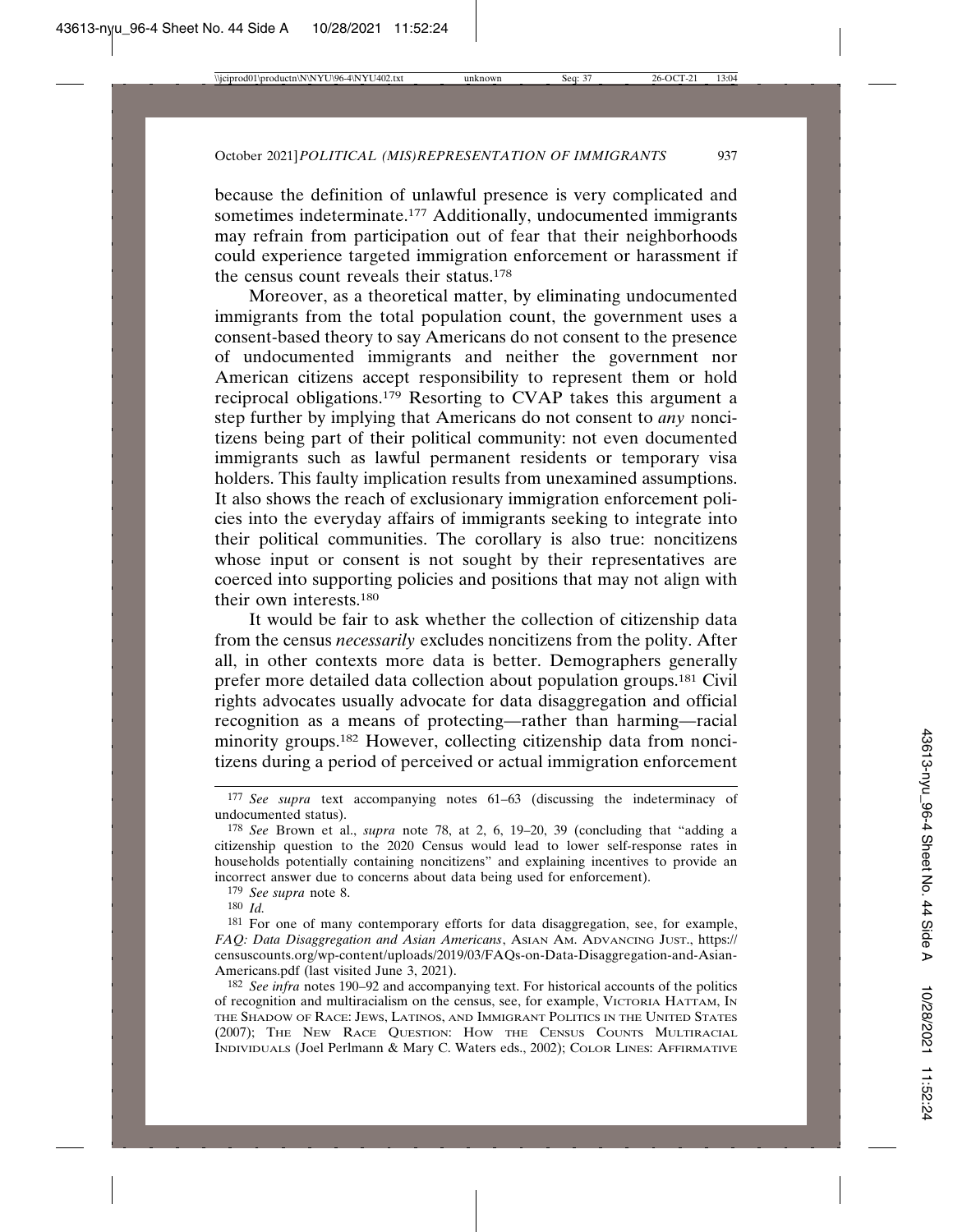because the definition of unlawful presence is very complicated and sometimes indeterminate.<sup>177</sup> Additionally, undocumented immigrants may refrain from participation out of fear that their neighborhoods could experience targeted immigration enforcement or harassment if the census count reveals their status.178

Moreover, as a theoretical matter, by eliminating undocumented immigrants from the total population count, the government uses a consent-based theory to say Americans do not consent to the presence of undocumented immigrants and neither the government nor American citizens accept responsibility to represent them or hold reciprocal obligations.179 Resorting to CVAP takes this argument a step further by implying that Americans do not consent to *any* noncitizens being part of their political community: not even documented immigrants such as lawful permanent residents or temporary visa holders. This faulty implication results from unexamined assumptions. It also shows the reach of exclusionary immigration enforcement policies into the everyday affairs of immigrants seeking to integrate into their political communities. The corollary is also true: noncitizens whose input or consent is not sought by their representatives are coerced into supporting policies and positions that may not align with their own interests.<sup>180</sup>

It would be fair to ask whether the collection of citizenship data from the census *necessarily* excludes noncitizens from the polity. After all, in other contexts more data is better. Demographers generally prefer more detailed data collection about population groups.181 Civil rights advocates usually advocate for data disaggregation and official recognition as a means of protecting—rather than harming—racial minority groups.182 However, collecting citizenship data from noncitizens during a period of perceived or actual immigration enforcement

179 *See supra* note 8.

180 *Id.*

181 For one of many contemporary efforts for data disaggregation, see, for example, *FAQ: Data Disaggregation and Asian Americans*, ASIAN AM. ADVANCING JUST., https:// censuscounts.org/wp-content/uploads/2019/03/FAQs-on-Data-Disaggregation-and-Asian-Americans.pdf (last visited June 3, 2021).

<sup>177</sup> *See supra* text accompanying notes 61–63 (discussing the indeterminacy of undocumented status).

<sup>178</sup> *See* Brown et al., *supra* note 78, at 2, 6, 19–20, 39 (concluding that "adding a citizenship question to the 2020 Census would lead to lower self-response rates in households potentially containing noncitizens" and explaining incentives to provide an incorrect answer due to concerns about data being used for enforcement).

<sup>182</sup> *See infra* notes 190–92 and accompanying text. For historical accounts of the politics of recognition and multiracialism on the census, see, for example, VICTORIA HATTAM, IN THE SHADOW OF RACE: JEWS, LATINOS, AND IMMIGRANT POLITICS IN THE UNITED STATES (2007); THE NEW RACE QUESTION: HOW THE CENSUS COUNTS MULTIRACIAL INDIVIDUALS (Joel Perlmann & Mary C. Waters eds., 2002); COLOR LINES: AFFIRMATIVE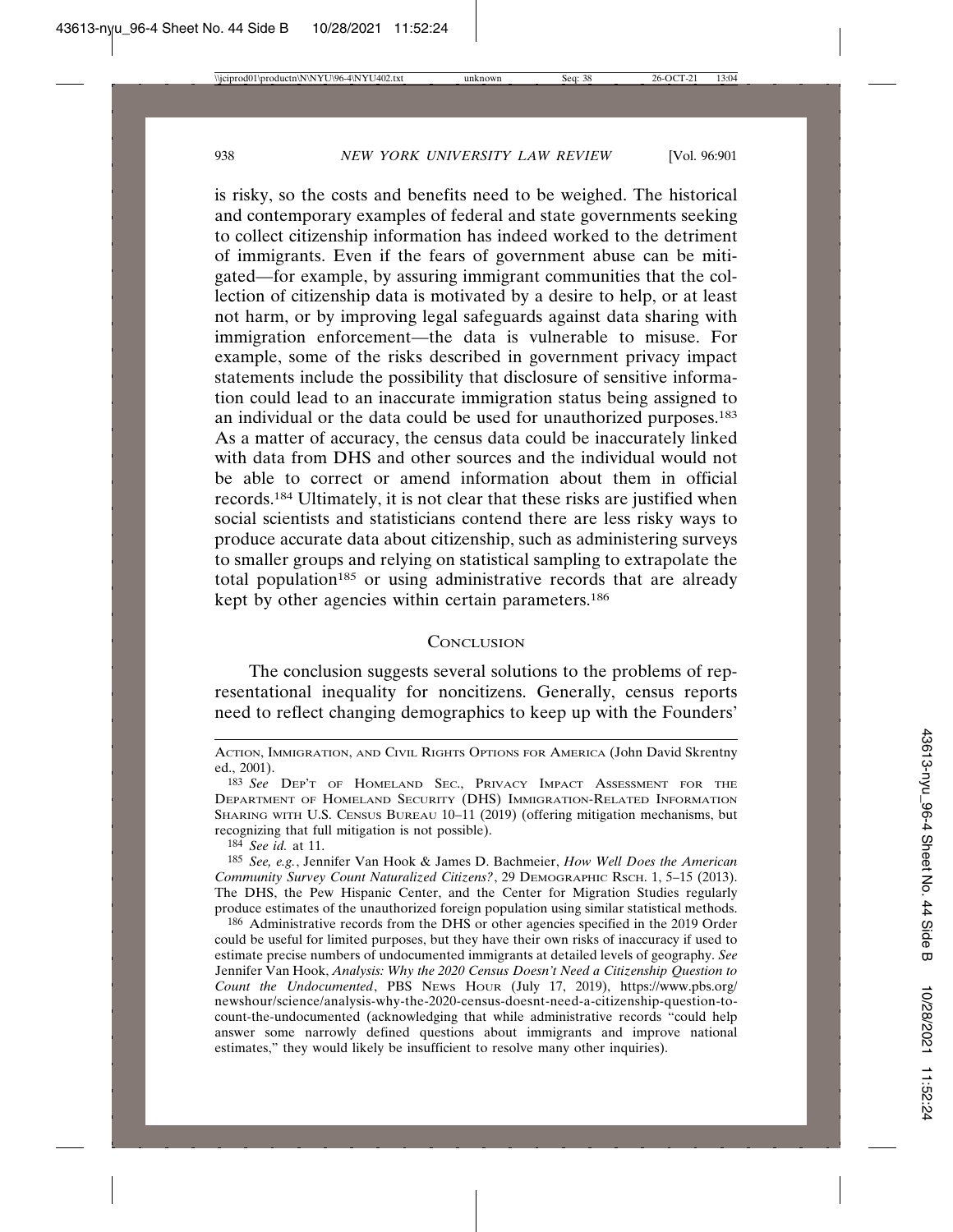is risky, so the costs and benefits need to be weighed. The historical and contemporary examples of federal and state governments seeking to collect citizenship information has indeed worked to the detriment of immigrants. Even if the fears of government abuse can be mitigated—for example, by assuring immigrant communities that the collection of citizenship data is motivated by a desire to help, or at least not harm, or by improving legal safeguards against data sharing with immigration enforcement—the data is vulnerable to misuse. For example, some of the risks described in government privacy impact statements include the possibility that disclosure of sensitive information could lead to an inaccurate immigration status being assigned to an individual or the data could be used for unauthorized purposes.183 As a matter of accuracy, the census data could be inaccurately linked with data from DHS and other sources and the individual would not be able to correct or amend information about them in official records.184 Ultimately, it is not clear that these risks are justified when social scientists and statisticians contend there are less risky ways to produce accurate data about citizenship, such as administering surveys to smaller groups and relying on statistical sampling to extrapolate the total population<sup>185</sup> or using administrative records that are already kept by other agencies within certain parameters.<sup>186</sup>

## **CONCLUSION**

The conclusion suggests several solutions to the problems of representational inequality for noncitizens. Generally, census reports need to reflect changing demographics to keep up with the Founders'

184 *See id.* at 11.

185 *See, e.g.*, Jennifer Van Hook & James D. Bachmeier, *How Well Does the American Community Survey Count Naturalized Citizens?*, 29 DEMOGRAPHIC RSCH. 1, 5–15 (2013). The DHS, the Pew Hispanic Center, and the Center for Migration Studies regularly produce estimates of the unauthorized foreign population using similar statistical methods.

ACTION, IMMIGRATION, AND CIVIL RIGHTS OPTIONS FOR AMERICA (John David Skrentny ed., 2001).

<sup>183</sup> *See* DEP'T OF HOMELAND SEC., PRIVACY IMPACT ASSESSMENT FOR THE DEPARTMENT OF HOMELAND SECURITY (DHS) IMMIGRATION-RELATED INFORMATION SHARING WITH U.S. CENSUS BUREAU 10–11 (2019) (offering mitigation mechanisms, but recognizing that full mitigation is not possible).

<sup>186</sup> Administrative records from the DHS or other agencies specified in the 2019 Order could be useful for limited purposes, but they have their own risks of inaccuracy if used to estimate precise numbers of undocumented immigrants at detailed levels of geography. *See* Jennifer Van Hook, *Analysis: Why the 2020 Census Doesn't Need a Citizenship Question to Count the Undocumented*, PBS NEWS HOUR (July 17, 2019), https://www.pbs.org/ newshour/science/analysis-why-the-2020-census-doesnt-need-a-citizenship-question-tocount-the-undocumented (acknowledging that while administrative records "could help answer some narrowly defined questions about immigrants and improve national estimates," they would likely be insufficient to resolve many other inquiries).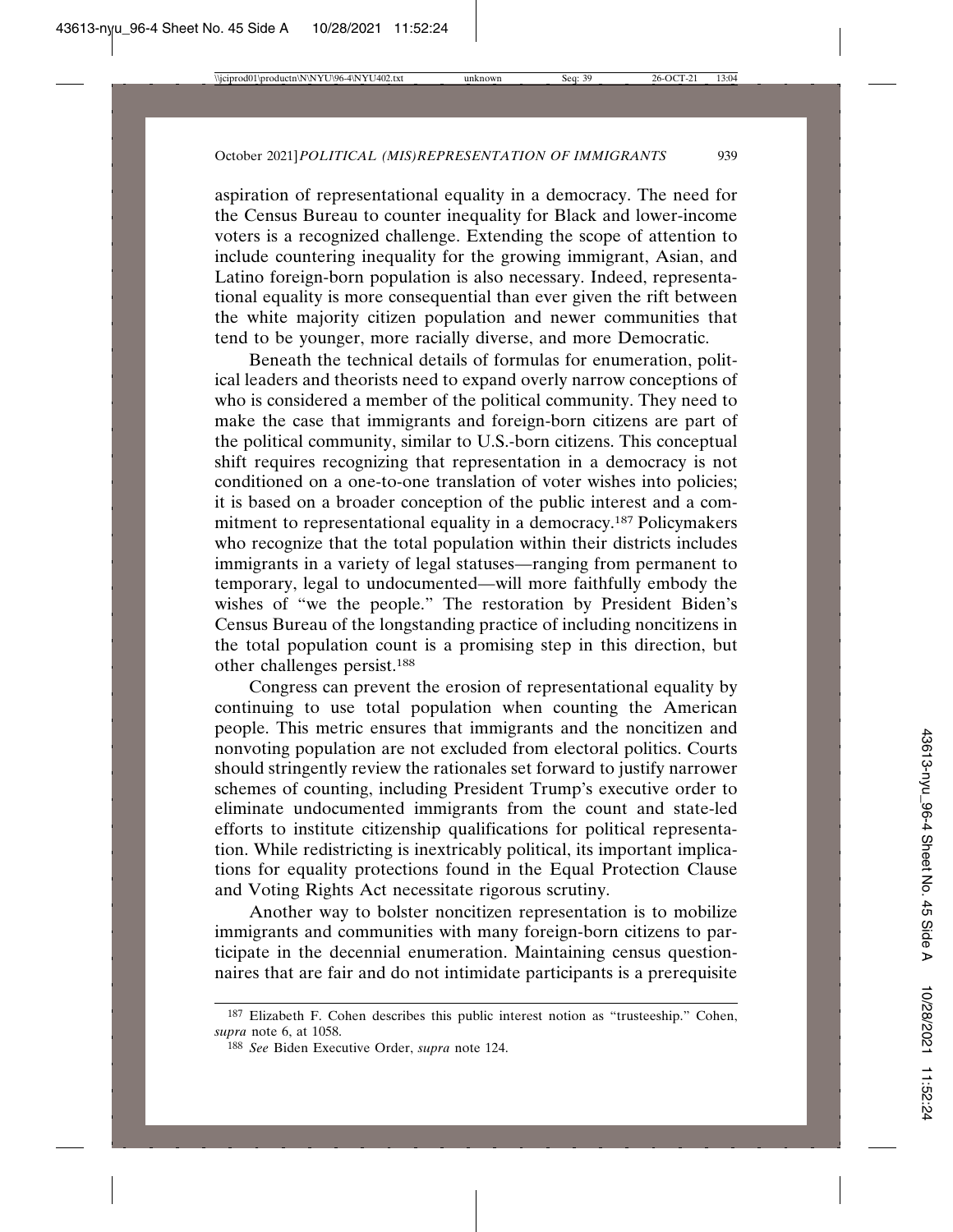aspiration of representational equality in a democracy. The need for the Census Bureau to counter inequality for Black and lower-income voters is a recognized challenge. Extending the scope of attention to include countering inequality for the growing immigrant, Asian, and Latino foreign-born population is also necessary. Indeed, representational equality is more consequential than ever given the rift between the white majority citizen population and newer communities that tend to be younger, more racially diverse, and more Democratic.

Beneath the technical details of formulas for enumeration, political leaders and theorists need to expand overly narrow conceptions of who is considered a member of the political community. They need to make the case that immigrants and foreign-born citizens are part of the political community, similar to U.S.-born citizens. This conceptual shift requires recognizing that representation in a democracy is not conditioned on a one-to-one translation of voter wishes into policies; it is based on a broader conception of the public interest and a commitment to representational equality in a democracy.187 Policymakers who recognize that the total population within their districts includes immigrants in a variety of legal statuses—ranging from permanent to temporary, legal to undocumented—will more faithfully embody the wishes of "we the people." The restoration by President Biden's Census Bureau of the longstanding practice of including noncitizens in the total population count is a promising step in this direction, but other challenges persist.188

Congress can prevent the erosion of representational equality by continuing to use total population when counting the American people. This metric ensures that immigrants and the noncitizen and nonvoting population are not excluded from electoral politics. Courts should stringently review the rationales set forward to justify narrower schemes of counting, including President Trump's executive order to eliminate undocumented immigrants from the count and state-led efforts to institute citizenship qualifications for political representation. While redistricting is inextricably political, its important implications for equality protections found in the Equal Protection Clause and Voting Rights Act necessitate rigorous scrutiny.

Another way to bolster noncitizen representation is to mobilize immigrants and communities with many foreign-born citizens to participate in the decennial enumeration. Maintaining census questionnaires that are fair and do not intimidate participants is a prerequisite

<sup>187</sup> Elizabeth F. Cohen describes this public interest notion as "trusteeship." Cohen, *supra* note 6, at 1058.

<sup>188</sup> *See* Biden Executive Order, *supra* note 124.